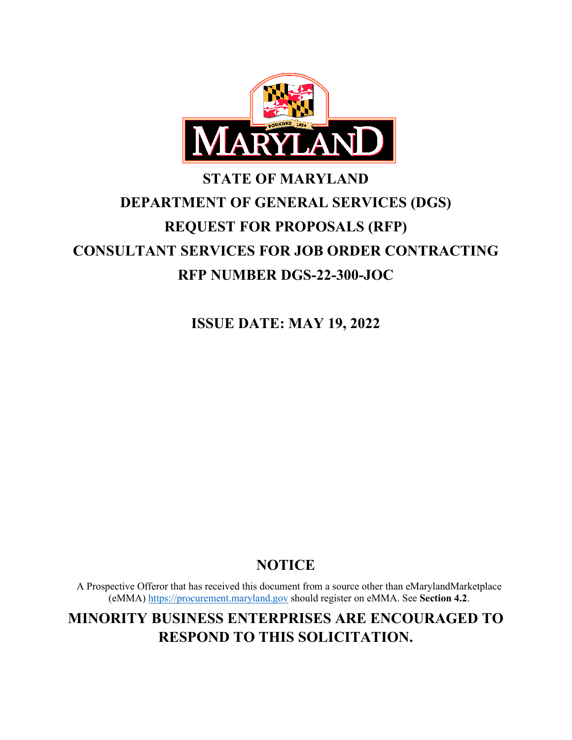

# **STATE OF MARYLAND DEPARTMENT OF GENERAL SERVICES (DGS) REQUEST FOR PROPOSALS (RFP) CONSULTANT SERVICES FOR JOB ORDER CONTRACTING RFP NUMBER DGS-22-300-JOC**

**ISSUE DATE: MAY 19, 2022**

# **NOTICE**

A Prospective Offeror that has received this document from a source other than eMarylandMarketplace (eMMA) https://procurement.maryland.gov should register on eMMA. See **Section 4.2**.

**MINORITY BUSINESS ENTERPRISES ARE ENCOURAGED TO RESPOND TO THIS SOLICITATION.**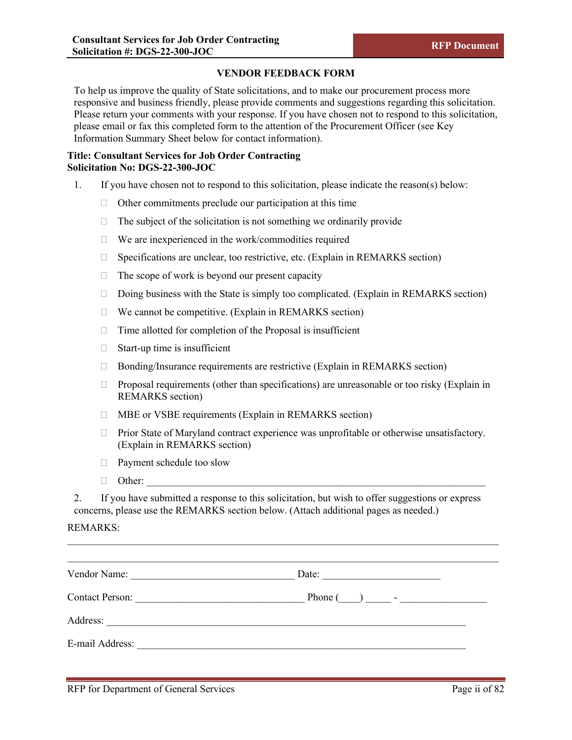#### **VENDOR FEEDBACK FORM**

To help us improve the quality of State solicitations, and to make our procurement process more responsive and business friendly, please provide comments and suggestions regarding this solicitation. Please return your comments with your response. If you have chosen not to respond to this solicitation, please email or fax this completed form to the attention of the Procurement Officer (see Key Information Summary Sheet below for contact information).

## **Title: Consultant Services for Job Order Contracting Solicitation No: DGS-22-300-JOC**

- 1. If you have chosen not to respond to this solicitation, please indicate the reason(s) below:
	- $\Box$  Other commitments preclude our participation at this time
	- $\Box$  The subject of the solicitation is not something we ordinarily provide
	- $\Box$  We are inexperienced in the work/commodities required
	- $\Box$  Specifications are unclear, too restrictive, etc. (Explain in REMARKS section)
	- $\Box$  The scope of work is beyond our present capacity
	- $\Box$  Doing business with the State is simply too complicated. (Explain in REMARKS section)
	- $\Box$  We cannot be competitive. (Explain in REMARKS section)
	- $\Box$  Time allotted for completion of the Proposal is insufficient
	- $\Box$  Start-up time is insufficient
	- $\Box$  Bonding/Insurance requirements are restrictive (Explain in REMARKS section)
	- $\Box$  Proposal requirements (other than specifications) are unreasonable or too risky (Explain in REMARKS section)
	- $\Box$  MBE or VSBE requirements (Explain in REMARKS section)
	- $\Box$  Prior State of Maryland contract experience was unprofitable or otherwise unsatisfactory. (Explain in REMARKS section)
	- Payment schedule too slow
	- $\Box$  Other:

2. If you have submitted a response to this solicitation, but wish to offer suggestions or express concerns, please use the REMARKS section below. (Attach additional pages as needed.)

\_\_\_\_\_\_\_\_\_\_\_\_\_\_\_\_\_\_\_\_\_\_\_\_\_\_\_\_\_\_\_\_\_\_\_\_\_\_\_\_\_\_\_\_\_\_\_\_\_\_\_\_\_\_\_\_\_\_\_\_\_\_\_\_\_\_\_\_\_\_\_\_\_\_\_\_\_\_\_\_\_\_\_\_

#### REMARKS:

| Vendor Name:                                                                | Date:                                                                                               |
|-----------------------------------------------------------------------------|-----------------------------------------------------------------------------------------------------|
| <b>Contact Person:</b><br><u> 1989 - Johann Barbara, martxa alemaniar a</u> | Phone $\begin{pmatrix} 1 & 1 \\ 1 & 1 \end{pmatrix}$ $\begin{pmatrix} 1 & 1 \\ 1 & 1 \end{pmatrix}$ |
| Address:                                                                    |                                                                                                     |
| E-mail Address:                                                             |                                                                                                     |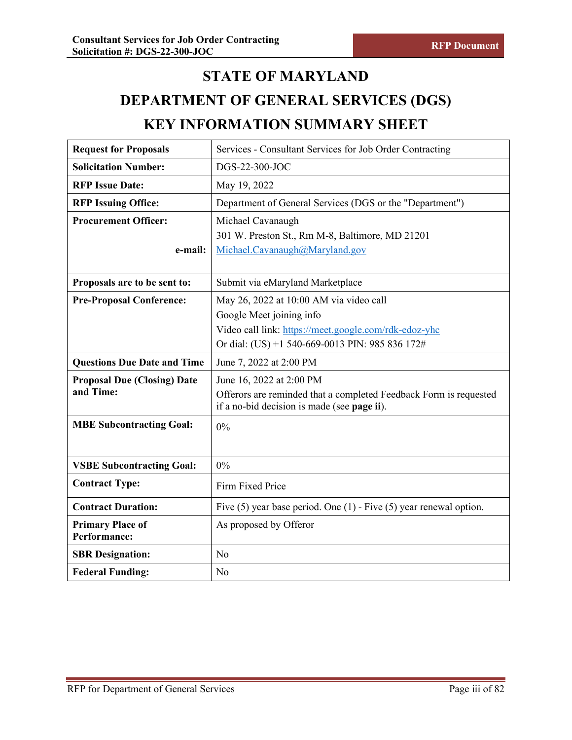# **STATE OF MARYLAND**

# **DEPARTMENT OF GENERAL SERVICES (DGS) KEY INFORMATION SUMMARY SHEET**

| <b>Request for Proposals</b>       | Services - Consultant Services for Job Order Contracting                 |
|------------------------------------|--------------------------------------------------------------------------|
| <b>Solicitation Number:</b>        | DGS-22-300-JOC                                                           |
| <b>RFP Issue Date:</b>             | May 19, 2022                                                             |
| <b>RFP Issuing Office:</b>         | Department of General Services (DGS or the "Department")                 |
| <b>Procurement Officer:</b>        | Michael Cavanaugh                                                        |
|                                    | 301 W. Preston St., Rm M-8, Baltimore, MD 21201                          |
| e-mail:                            | Michael.Cavanaugh@Maryland.gov                                           |
|                                    |                                                                          |
| Proposals are to be sent to:       | Submit via eMaryland Marketplace                                         |
| <b>Pre-Proposal Conference:</b>    | May 26, 2022 at 10:00 AM via video call                                  |
|                                    | Google Meet joining info                                                 |
|                                    | Video call link: https://meet.google.com/rdk-edoz-yhc                    |
|                                    | Or dial: (US) +1 540-669-0013 PIN: 985 836 172#                          |
| <b>Questions Due Date and Time</b> | June 7, 2022 at 2:00 PM                                                  |
| <b>Proposal Due (Closing) Date</b> | June 16, 2022 at 2:00 PM                                                 |
| and Time:                          | Offerors are reminded that a completed Feedback Form is requested        |
|                                    | if a no-bid decision is made (see page ii).                              |
| <b>MBE Subcontracting Goal:</b>    | 0%                                                                       |
|                                    |                                                                          |
| <b>VSBE Subcontracting Goal:</b>   | 0%                                                                       |
| <b>Contract Type:</b>              | Firm Fixed Price                                                         |
| <b>Contract Duration:</b>          | Five $(5)$ year base period. One $(1)$ - Five $(5)$ year renewal option. |
| <b>Primary Place of</b>            | As proposed by Offeror                                                   |
| <b>Performance:</b>                |                                                                          |
| <b>SBR Designation:</b>            | No                                                                       |
| <b>Federal Funding:</b>            | No                                                                       |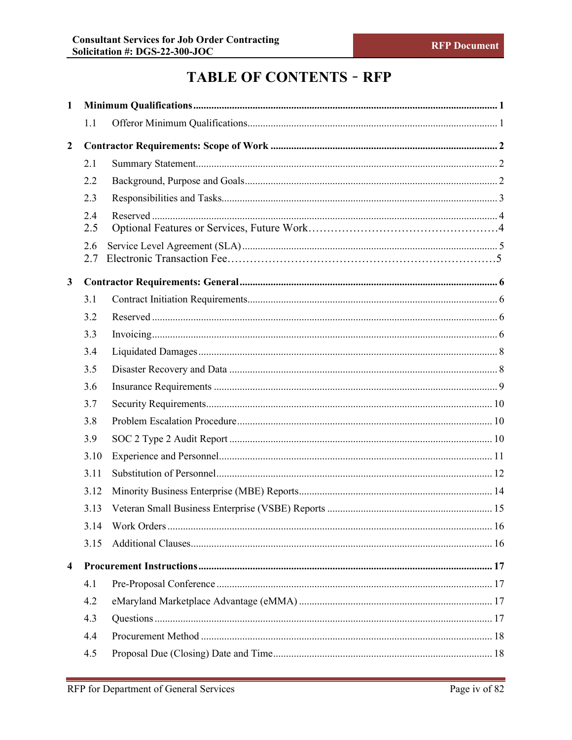# **TABLE OF CONTENTS - RFP**

| $\mathbf{1}$            |      |  |
|-------------------------|------|--|
|                         | 1.1  |  |
| $\overline{2}$          |      |  |
|                         | 2.1  |  |
|                         | 2.2  |  |
|                         | 2.3  |  |
|                         | 2.4  |  |
|                         | 2.5  |  |
|                         | 2.6  |  |
|                         | 2.7  |  |
| $\mathbf{3}$            |      |  |
|                         | 3.1  |  |
|                         | 3.2  |  |
|                         | 3.3  |  |
|                         | 3.4  |  |
|                         | 3.5  |  |
|                         | 3.6  |  |
|                         | 3.7  |  |
|                         | 3.8  |  |
|                         | 3.9  |  |
|                         | 3.10 |  |
|                         | 3.11 |  |
|                         | 3.12 |  |
|                         | 3.13 |  |
|                         | 3.14 |  |
|                         | 3.15 |  |
| $\overline{\mathbf{4}}$ |      |  |
|                         | 4.1  |  |
|                         | 4.2  |  |
|                         | 4.3  |  |
|                         | 4.4  |  |
|                         | 4.5  |  |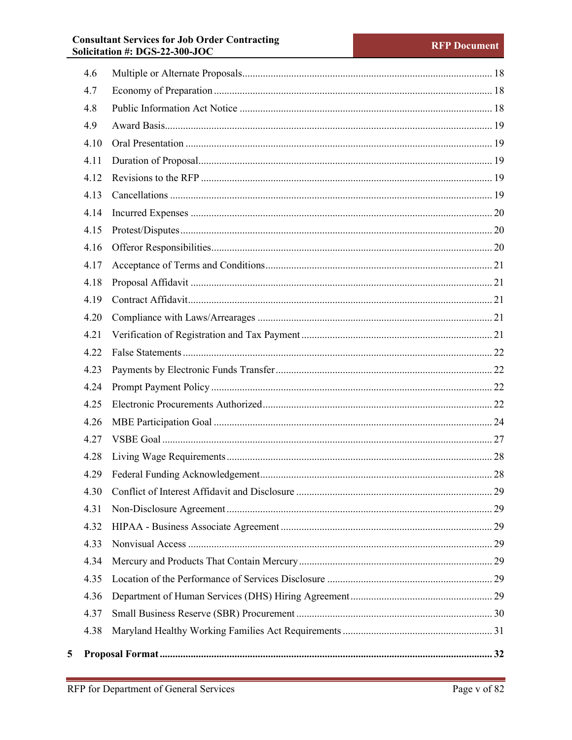# **Consultant Services for Job Order Contracting<br>Solicitation #: DGS-22-300-JOC**

| 4.6  |  |  |  |  |
|------|--|--|--|--|
| 4.7  |  |  |  |  |
| 4.8  |  |  |  |  |
| 4.9  |  |  |  |  |
| 4.10 |  |  |  |  |
| 4.11 |  |  |  |  |
| 4.12 |  |  |  |  |
| 4.13 |  |  |  |  |
| 4.14 |  |  |  |  |
| 4.15 |  |  |  |  |
| 4.16 |  |  |  |  |
| 4.17 |  |  |  |  |
| 4.18 |  |  |  |  |
| 4.19 |  |  |  |  |
| 4.20 |  |  |  |  |
| 4.21 |  |  |  |  |
| 4.22 |  |  |  |  |
| 4.23 |  |  |  |  |
| 4.24 |  |  |  |  |
| 4.25 |  |  |  |  |
| 4.26 |  |  |  |  |
| 4.27 |  |  |  |  |
| 4.28 |  |  |  |  |
| 4.29 |  |  |  |  |
| 4.30 |  |  |  |  |
| 4.31 |  |  |  |  |
| 4.32 |  |  |  |  |
| 4.33 |  |  |  |  |
| 4.34 |  |  |  |  |
| 4.35 |  |  |  |  |
| 4.36 |  |  |  |  |
| 4.37 |  |  |  |  |
| 4.38 |  |  |  |  |
|      |  |  |  |  |

 $5\overline{)}$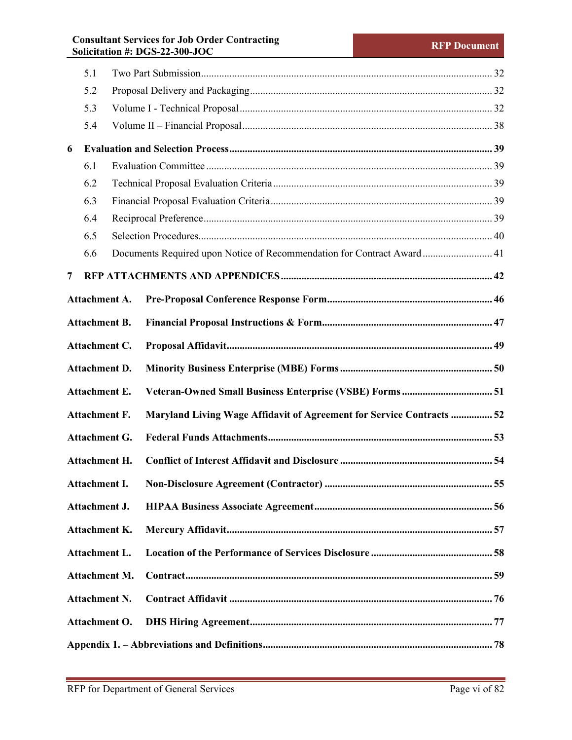# **Consultant Services for Job Order Contracting Solicitation #: DGS-22-300-JOC RFP Document**

|     | 5.1                  |  |                                                                        |  |
|-----|----------------------|--|------------------------------------------------------------------------|--|
|     | 5.2                  |  |                                                                        |  |
| 5.3 |                      |  |                                                                        |  |
|     | 5.4                  |  |                                                                        |  |
| 6   |                      |  |                                                                        |  |
|     | 6.1                  |  |                                                                        |  |
|     | 6.2                  |  |                                                                        |  |
|     | 6.3                  |  |                                                                        |  |
|     | 6.4                  |  |                                                                        |  |
|     | 6.5                  |  |                                                                        |  |
|     | 6.6                  |  | Documents Required upon Notice of Recommendation for Contract Award 41 |  |
| 7   |                      |  |                                                                        |  |
|     | <b>Attachment A.</b> |  |                                                                        |  |
|     | <b>Attachment B.</b> |  |                                                                        |  |
|     | Attachment C.        |  |                                                                        |  |
|     | <b>Attachment D.</b> |  |                                                                        |  |
|     | <b>Attachment E.</b> |  |                                                                        |  |
|     | <b>Attachment F.</b> |  | Maryland Living Wage Affidavit of Agreement for Service Contracts  52  |  |
|     | <b>Attachment G.</b> |  |                                                                        |  |
|     | Attachment H.        |  |                                                                        |  |
|     |                      |  |                                                                        |  |
|     | Attachment J.        |  |                                                                        |  |
|     | <b>Attachment K.</b> |  |                                                                        |  |
|     | <b>Attachment L.</b> |  |                                                                        |  |
|     | <b>Attachment M.</b> |  |                                                                        |  |
|     | <b>Attachment N.</b> |  |                                                                        |  |
|     | Attachment O.        |  |                                                                        |  |
|     |                      |  |                                                                        |  |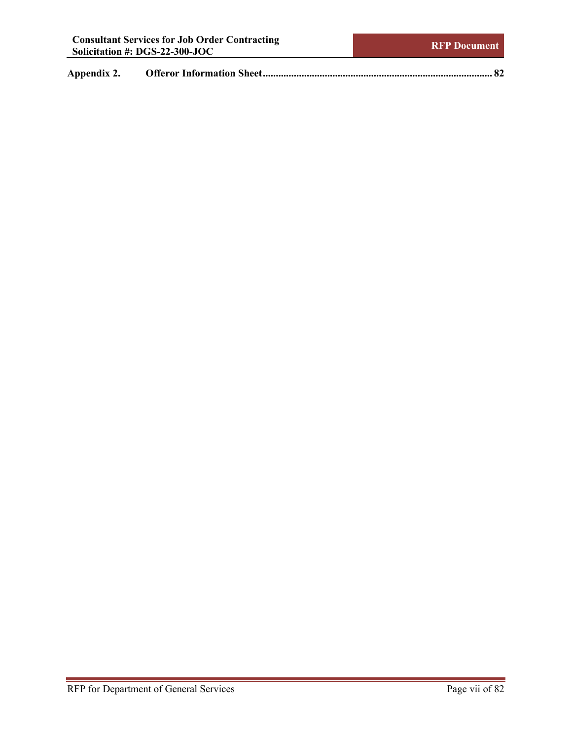**Appendix 2. [Offeror Information Sheet.........................................................................................](#page-88-0) 82**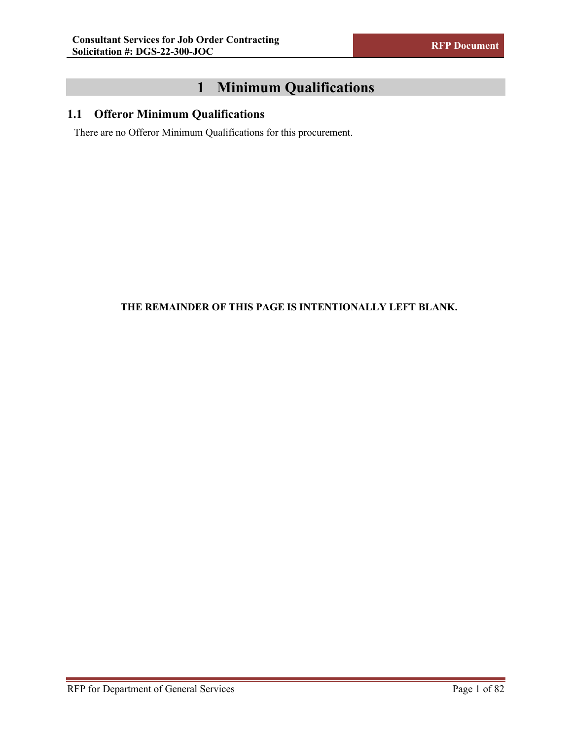# **1 Minimum Qualifications**

# <span id="page-7-1"></span><span id="page-7-0"></span>**1.1 Offeror Minimum Qualifications**

There are no Offeror Minimum Qualifications for this procurement.

# **THE REMAINDER OF THIS PAGE IS INTENTIONALLY LEFT BLANK.**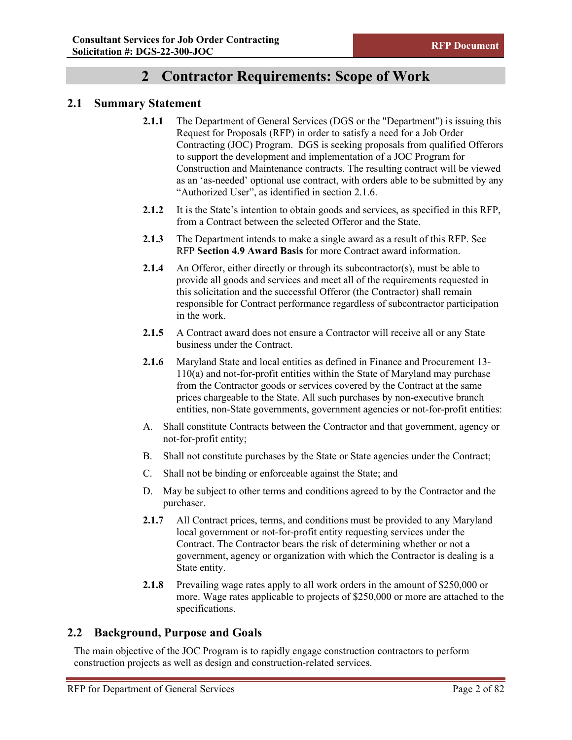# **2 Contractor Requirements: Scope of Work**

## <span id="page-8-1"></span><span id="page-8-0"></span>**2.1 Summary Statement**

- **2.1.1** The Department of General Services (DGS or the "Department") is issuing this Request for Proposals (RFP) in order to satisfy a need for a Job Order Contracting (JOC) Program. DGS is seeking proposals from qualified Offerors to support the development and implementation of a JOC Program for Construction and Maintenance contracts. The resulting contract will be viewed as an 'as-needed' optional use contract, with orders able to be submitted by any "Authorized User", as identified in section 2.1.6.
- **2.1.2** It is the State's intention to obtain goods and services, as specified in this RFP, from a Contract between the selected Offeror and the State.
- **2.1.3** The Department intends to make a single award as a result of this RFP. See RFP **Section [4.9](#page-25-0) [Award Basis](#page-25-0)** for more Contract award information.
- **2.1.4** An Offeror, either directly or through its subcontractor(s), must be able to provide all goods and services and meet all of the requirements requested in this solicitation and the successful Offeror (the Contractor) shall remain responsible for Contract performance regardless of subcontractor participation in the work.
- **2.1.5** A Contract award does not ensure a Contractor will receive all or any State business under the Contract.
- **2.1.6** Maryland State and local entities as defined in Finance and Procurement 13- 110(a) and not-for-profit entities within the State of Maryland may purchase from the Contractor goods or services covered by the Contract at the same prices chargeable to the State. All such purchases by non-executive branch entities, non-State governments, government agencies or not-for-profit entities:
- A. Shall constitute Contracts between the Contractor and that government, agency or not-for-profit entity;
- B. Shall not constitute purchases by the State or State agencies under the Contract;
- C. Shall not be binding or enforceable against the State; and
- D. May be subject to other terms and conditions agreed to by the Contractor and the purchaser.
- **2.1.7** All Contract prices, terms, and conditions must be provided to any Maryland local government or not-for-profit entity requesting services under the Contract. The Contractor bears the risk of determining whether or not a government, agency or organization with which the Contractor is dealing is a State entity.
- **2.1.8** Prevailing wage rates apply to all work orders in the amount of \$250,000 or more. Wage rates applicable to projects of \$250,000 or more are attached to the specifications.

## <span id="page-8-2"></span>**2.2 Background, Purpose and Goals**

The main objective of the JOC Program is to rapidly engage construction contractors to perform construction projects as well as design and construction-related services.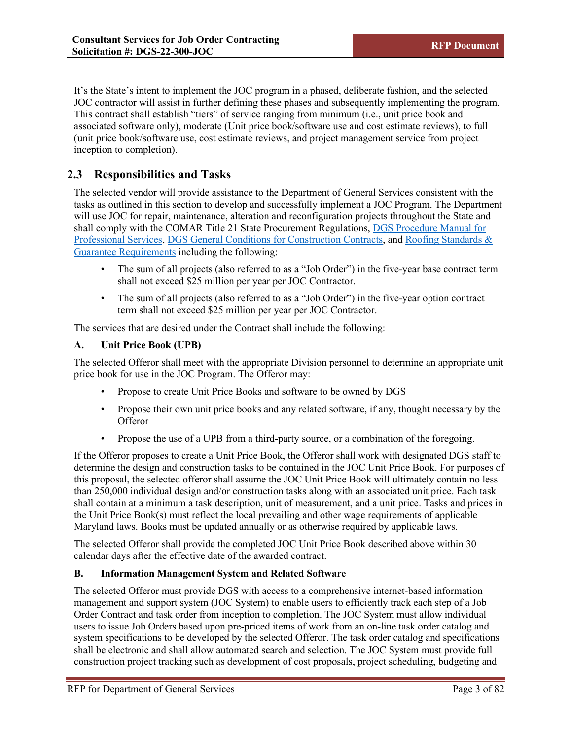It's the State's intent to implement the JOC program in a phased, deliberate fashion, and the selected JOC contractor will assist in further defining these phases and subsequently implementing the program. This contract shall establish "tiers" of service ranging from minimum (i.e., unit price book and associated software only), moderate (Unit price book/software use and cost estimate reviews), to full (unit price book/software use, cost estimate reviews, and project management service from project inception to completion).

# <span id="page-9-0"></span>**2.3 Responsibilities and Tasks**

The selected vendor will provide assistance to the Department of General Services consistent with the tasks as outlined in this section to develop and successfully implement a JOC Program. The Department will use JOC for repair, maintenance, alteration and reconfiguration projects throughout the State and shall comply with the COMAR Title 21 State Procurement Regulations, [DGS Procedure Manual for](https://procurement.maryland.gov/wp-content/uploads/sites/12/2019/07/MarylandProcurementManual.pdf)  [Professional Services,](https://procurement.maryland.gov/wp-content/uploads/sites/12/2019/07/MarylandProcurementManual.pdf) [DGS General Conditions for Construction Contracts,](https://dgs.maryland.gov/Documents/ofp/GeneralConditionsforConstruction2018.pdf) and [Roofing Standards &](https://dgs.maryland.gov/Documents/ofp/RoofingPolicy.pdf)  [Guarantee Requirements](https://dgs.maryland.gov/Documents/ofp/RoofingPolicy.pdf) including the following:

- The sum of all projects (also referred to as a "Job Order") in the five-year base contract term shall not exceed \$25 million per year per JOC Contractor.
- The sum of all projects (also referred to as a "Job Order") in the five-year option contract term shall not exceed \$25 million per year per JOC Contractor.

The services that are desired under the Contract shall include the following:

## **A. Unit Price Book (UPB)**

The selected Offeror shall meet with the appropriate Division personnel to determine an appropriate unit price book for use in the JOC Program. The Offeror may:

- Propose to create Unit Price Books and software to be owned by DGS
- Propose their own unit price books and any related software, if any, thought necessary by the **Offeror**
- Propose the use of a UPB from a third-party source, or a combination of the foregoing.

If the Offeror proposes to create a Unit Price Book, the Offeror shall work with designated DGS staff to determine the design and construction tasks to be contained in the JOC Unit Price Book. For purposes of this proposal, the selected offeror shall assume the JOC Unit Price Book will ultimately contain no less than 250,000 individual design and/or construction tasks along with an associated unit price. Each task shall contain at a minimum a task description, unit of measurement, and a unit price. Tasks and prices in the Unit Price Book(s) must reflect the local prevailing and other wage requirements of applicable Maryland laws. Books must be updated annually or as otherwise required by applicable laws.

The selected Offeror shall provide the completed JOC Unit Price Book described above within 30 calendar days after the effective date of the awarded contract.

## **B. Information Management System and Related Software**

The selected Offeror must provide DGS with access to a comprehensive internet-based information management and support system (JOC System) to enable users to efficiently track each step of a Job Order Contract and task order from inception to completion. The JOC System must allow individual users to issue Job Orders based upon pre-priced items of work from an on-line task order catalog and system specifications to be developed by the selected Offeror. The task order catalog and specifications shall be electronic and shall allow automated search and selection. The JOC System must provide full construction project tracking such as development of cost proposals, project scheduling, budgeting and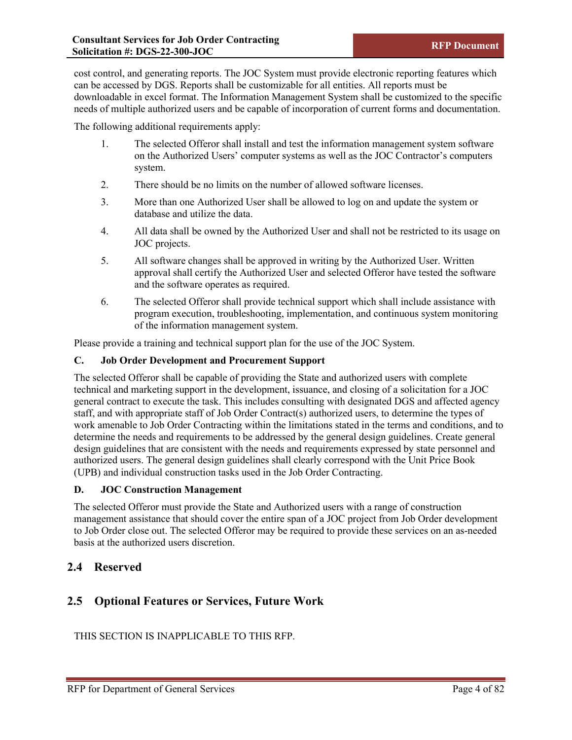cost control, and generating reports. The JOC System must provide electronic reporting features which can be accessed by DGS. Reports shall be customizable for all entities. All reports must be downloadable in excel format. The Information Management System shall be customized to the specific needs of multiple authorized users and be capable of incorporation of current forms and documentation.

The following additional requirements apply:

- 1. The selected Offeror shall install and test the information management system software on the Authorized Users' computer systems as well as the JOC Contractor's computers system.
- 2. There should be no limits on the number of allowed software licenses.
- 3. More than one Authorized User shall be allowed to log on and update the system or database and utilize the data.
- 4. All data shall be owned by the Authorized User and shall not be restricted to its usage on JOC projects.
- 5. All software changes shall be approved in writing by the Authorized User. Written approval shall certify the Authorized User and selected Offeror have tested the software and the software operates as required.
- 6. The selected Offeror shall provide technical support which shall include assistance with program execution, troubleshooting, implementation, and continuous system monitoring of the information management system.

Please provide a training and technical support plan for the use of the JOC System.

## **C. Job Order Development and Procurement Support**

The selected Offeror shall be capable of providing the State and authorized users with complete technical and marketing support in the development, issuance, and closing of a solicitation for a JOC general contract to execute the task. This includes consulting with designated DGS and affected agency staff, and with appropriate staff of Job Order Contract(s) authorized users, to determine the types of work amenable to Job Order Contracting within the limitations stated in the terms and conditions, and to determine the needs and requirements to be addressed by the general design guidelines. Create general design guidelines that are consistent with the needs and requirements expressed by state personnel and authorized users. The general design guidelines shall clearly correspond with the Unit Price Book (UPB) and individual construction tasks used in the Job Order Contracting.

## **D. JOC Construction Management**

The selected Offeror must provide the State and Authorized users with a range of construction management assistance that should cover the entire span of a JOC project from Job Order development to Job Order close out. The selected Offeror may be required to provide these services on an as-needed basis at the authorized users discretion.

# <span id="page-10-0"></span>**2.4 Reserved**

# **2.5 Optional Features or Services, Future Work**

THIS SECTION IS INAPPLICABLE TO THIS RFP.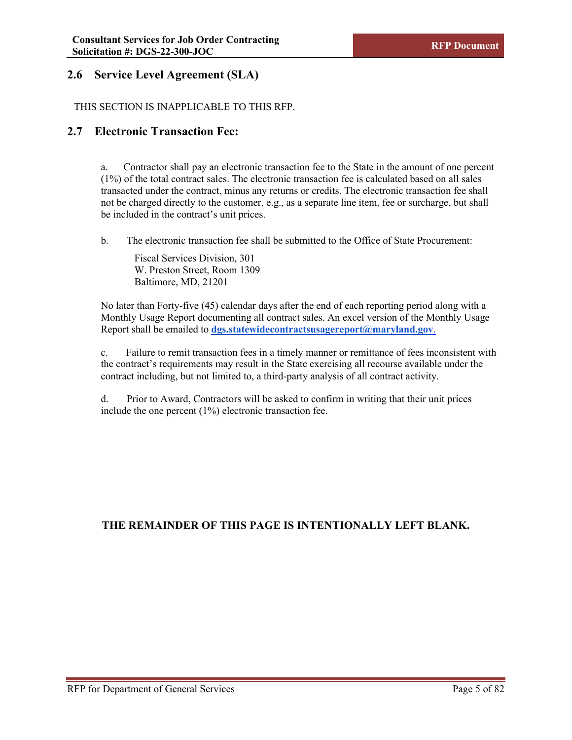# <span id="page-11-0"></span>**2.6 Service Level Agreement (SLA)**

## THIS SECTION IS INAPPLICABLE TO THIS RFP.

# **2.7 Electronic Transaction Fee:**

a. Contractor shall pay an electronic transaction fee to the State in the amount of one percent (1%) of the total contract sales. The electronic transaction fee is calculated based on all sales transacted under the contract, minus any returns or credits. The electronic transaction fee shall not be charged directly to the customer, e.g., as a separate line item, fee or surcharge, but shall be included in the contract's unit prices.

b. The electronic transaction fee shall be submitted to the Office of State Procurement:

Fiscal Services Division, 301 W. Preston Street, Room 1309 Baltimore, MD, 21201

No later than Forty-five (45) calendar days after the end of each reporting period along with a Monthly Usage Report documenting all contract sales. An excel version of the Monthly Usage Report shall be emailed to **[dgs.statewidecontractsusagereport@maryland.gov](mailto:dgs.statewidecontractsusagereport@maryland.gov)**.

c. Failure to remit transaction fees in a timely manner or remittance of fees inconsistent with the contract's requirements may result in the State exercising all recourse available under the contract including, but not limited to, a third-party analysis of all contract activity.

d. Prior to Award, Contractors will be asked to confirm in writing that their unit prices include the one percent (1%) electronic transaction fee.

## **THE REMAINDER OF THIS PAGE IS INTENTIONALLY LEFT BLANK.**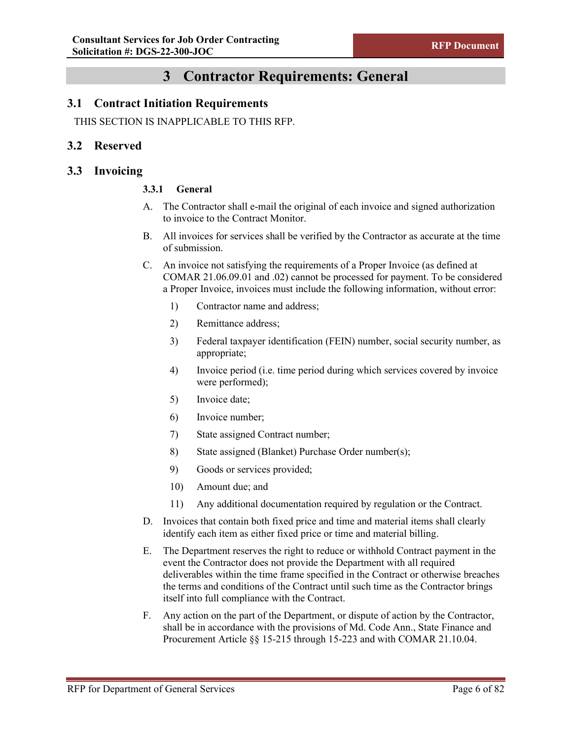# **3 Contractor Requirements: General**

## <span id="page-12-1"></span><span id="page-12-0"></span>**3.1 Contract Initiation Requirements**

THIS SECTION IS INAPPLICABLE TO THIS RFP.

## <span id="page-12-2"></span>**3.2 Reserved**

## <span id="page-12-3"></span>**3.3 Invoicing**

## **3.3.1 General**

- A. The Contractor shall e-mail the original of each invoice and signed authorization to invoice to the Contract Monitor.
- B. All invoices for services shall be verified by the Contractor as accurate at the time of submission.
- C. An invoice not satisfying the requirements of a Proper Invoice (as defined at COMAR 21.06.09.01 and .02) cannot be processed for payment. To be considered a Proper Invoice, invoices must include the following information, without error:
	- 1) Contractor name and address;
	- 2) Remittance address;
	- 3) Federal taxpayer identification (FEIN) number, social security number, as appropriate;
	- 4) Invoice period (i.e. time period during which services covered by invoice were performed);
	- 5) Invoice date;
	- 6) Invoice number;
	- 7) State assigned Contract number;
	- 8) State assigned (Blanket) Purchase Order number(s);
	- 9) Goods or services provided;
	- 10) Amount due; and
	- 11) Any additional documentation required by regulation or the Contract.
- D. Invoices that contain both fixed price and time and material items shall clearly identify each item as either fixed price or time and material billing.
- E. The Department reserves the right to reduce or withhold Contract payment in the event the Contractor does not provide the Department with all required deliverables within the time frame specified in the Contract or otherwise breaches the terms and conditions of the Contract until such time as the Contractor brings itself into full compliance with the Contract.
- F. Any action on the part of the Department, or dispute of action by the Contractor, shall be in accordance with the provisions of Md. Code Ann., State Finance and Procurement Article §§ 15-215 through 15-223 and with COMAR 21.10.04.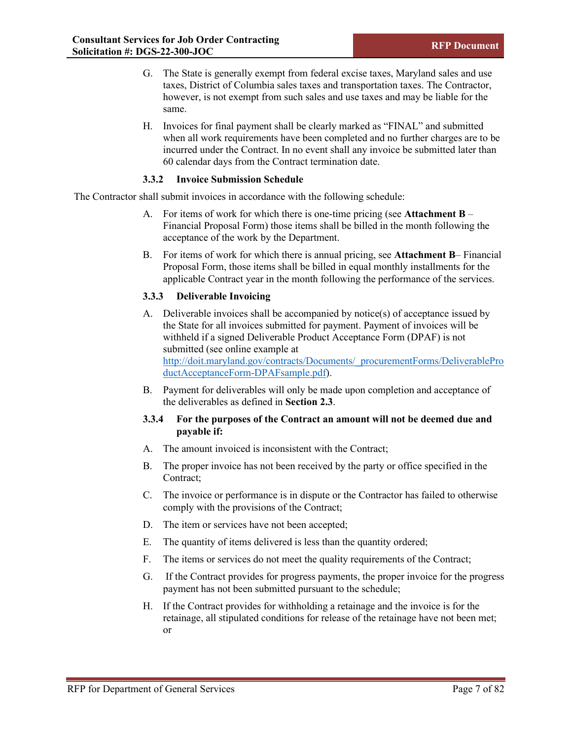- G. The State is generally exempt from federal excise taxes, Maryland sales and use taxes, District of Columbia sales taxes and transportation taxes. The Contractor, however, is not exempt from such sales and use taxes and may be liable for the same.
- H. Invoices for final payment shall be clearly marked as "FINAL" and submitted when all work requirements have been completed and no further charges are to be incurred under the Contract. In no event shall any invoice be submitted later than 60 calendar days from the Contract termination date.

#### **3.3.2 Invoice Submission Schedule**

The Contractor shall submit invoices in accordance with the following schedule:

- A. For items of work for which there is one-time pricing (see **Attachment B** Financial Proposal Form) those items shall be billed in the month following the acceptance of the work by the Department.
- B. For items of work for which there is annual pricing, see **Attachment B** Financial Proposal Form, those items shall be billed in equal monthly installments for the applicable Contract year in the month following the performance of the services.

## **3.3.3 Deliverable Invoicing**

- A. Deliverable invoices shall be accompanied by notice(s) of acceptance issued by the State for all invoices submitted for payment. Payment of invoices will be withheld if a signed Deliverable Product Acceptance Form (DPAF) is not submitted (see online example at http://doit.maryland.gov/contracts/Documents/\_procurementForms/DeliverablePro ductAcceptanceForm-DPAFsample.pdf).
- B. Payment for deliverables will only be made upon completion and acceptance of the deliverables as defined in **Section 2.3**.

## **3.3.4 For the purposes of the Contract an amount will not be deemed due and payable if:**

- A. The amount invoiced is inconsistent with the Contract;
- B. The proper invoice has not been received by the party or office specified in the Contract;
- C. The invoice or performance is in dispute or the Contractor has failed to otherwise comply with the provisions of the Contract;
- D. The item or services have not been accepted;
- E. The quantity of items delivered is less than the quantity ordered;
- F. The items or services do not meet the quality requirements of the Contract;
- G. If the Contract provides for progress payments, the proper invoice for the progress payment has not been submitted pursuant to the schedule;
- H. If the Contract provides for withholding a retainage and the invoice is for the retainage, all stipulated conditions for release of the retainage have not been met; or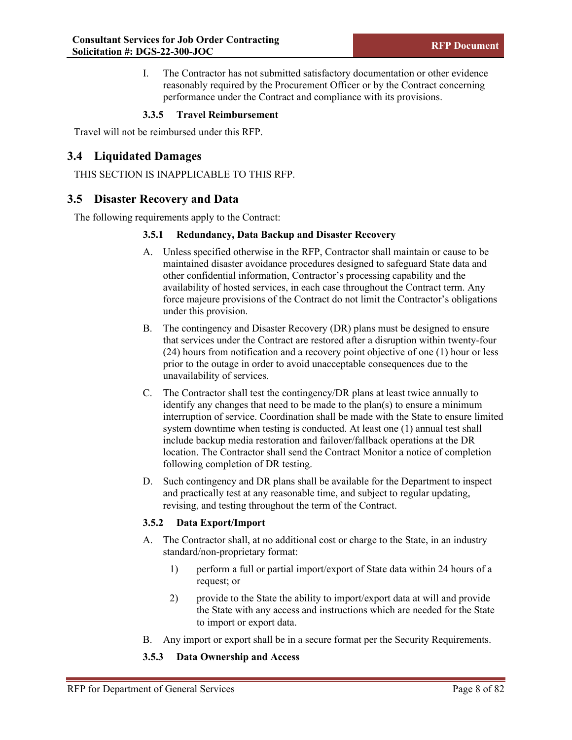I. The Contractor has not submitted satisfactory documentation or other evidence reasonably required by the Procurement Officer or by the Contract concerning performance under the Contract and compliance with its provisions.

## **3.3.5 Travel Reimbursement**

<span id="page-14-0"></span>Travel will not be reimbursed under this RFP.

# **3.4 Liquidated Damages**

THIS SECTION IS INAPPLICABLE TO THIS RFP.

## <span id="page-14-1"></span>**3.5 Disaster Recovery and Data**

The following requirements apply to the Contract:

## **3.5.1 Redundancy, Data Backup and Disaster Recovery**

- A. Unless specified otherwise in the RFP, Contractor shall maintain or cause to be maintained disaster avoidance procedures designed to safeguard State data and other confidential information, Contractor's processing capability and the availability of hosted services, in each case throughout the Contract term. Any force majeure provisions of the Contract do not limit the Contractor's obligations under this provision.
- B. The contingency and Disaster Recovery (DR) plans must be designed to ensure that services under the Contract are restored after a disruption within twenty-four (24) hours from notification and a recovery point objective of one (1) hour or less prior to the outage in order to avoid unacceptable consequences due to the unavailability of services.
- C. The Contractor shall test the contingency/DR plans at least twice annually to identify any changes that need to be made to the plan(s) to ensure a minimum interruption of service. Coordination shall be made with the State to ensure limited system downtime when testing is conducted. At least one (1) annual test shall include backup media restoration and failover/fallback operations at the DR location. The Contractor shall send the Contract Monitor a notice of completion following completion of DR testing.
- D. Such contingency and DR plans shall be available for the Department to inspect and practically test at any reasonable time, and subject to regular updating, revising, and testing throughout the term of the Contract.

## **3.5.2 Data Export/Import**

- A. The Contractor shall, at no additional cost or charge to the State, in an industry standard/non-proprietary format:
	- 1) perform a full or partial import/export of State data within 24 hours of a request; or
	- 2) provide to the State the ability to import/export data at will and provide the State with any access and instructions which are needed for the State to import or export data.
- B. Any import or export shall be in a secure format per the Security Requirements.

## **3.5.3 Data Ownership and Access**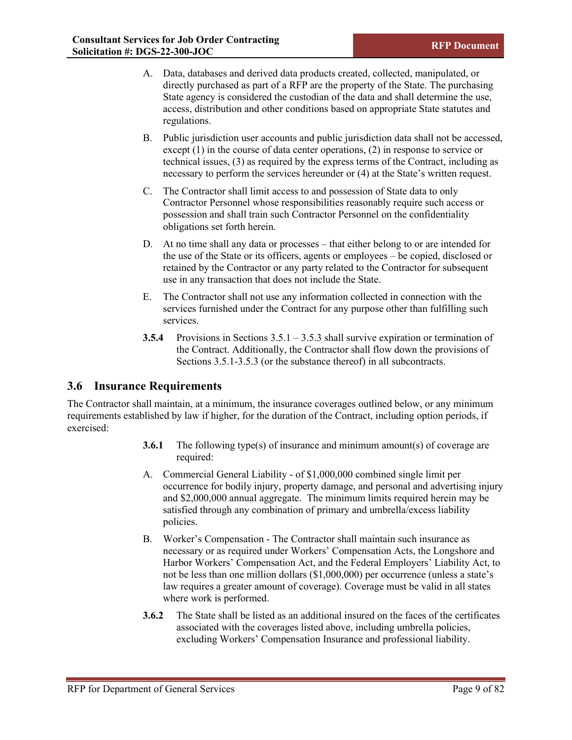- A. Data, databases and derived data products created, collected, manipulated, or directly purchased as part of a RFP are the property of the State. The purchasing State agency is considered the custodian of the data and shall determine the use, access, distribution and other conditions based on appropriate State statutes and regulations.
- B. Public jurisdiction user accounts and public jurisdiction data shall not be accessed, except (1) in the course of data center operations, (2) in response to service or technical issues, (3) as required by the express terms of the Contract, including as necessary to perform the services hereunder or (4) at the State's written request.
- C. The Contractor shall limit access to and possession of State data to only Contractor Personnel whose responsibilities reasonably require such access or possession and shall train such Contractor Personnel on the confidentiality obligations set forth herein.
- D. At no time shall any data or processes that either belong to or are intended for the use of the State or its officers, agents or employees – be copied, disclosed or retained by the Contractor or any party related to the Contractor for subsequent use in any transaction that does not include the State.
- E. The Contractor shall not use any information collected in connection with the services furnished under the Contract for any purpose other than fulfilling such services.
- **3.5.4** Provisions in Sections 3.5.1 3.5.3 shall survive expiration or termination of the Contract. Additionally, the Contractor shall flow down the provisions of Sections 3.5.1-3.5.3 (or the substance thereof) in all subcontracts.

# <span id="page-15-0"></span>**3.6 Insurance Requirements**

The Contractor shall maintain, at a minimum, the insurance coverages outlined below, or any minimum requirements established by law if higher, for the duration of the Contract, including option periods, if exercised:

- **3.6.1** The following type(s) of insurance and minimum amount(s) of coverage are required:
- A. Commercial General Liability of \$1,000,000 combined single limit per occurrence for bodily injury, property damage, and personal and advertising injury and \$2,000,000 annual aggregate. The minimum limits required herein may be satisfied through any combination of primary and umbrella/excess liability policies.
- B. Worker's Compensation The Contractor shall maintain such insurance as necessary or as required under Workers' Compensation Acts, the Longshore and Harbor Workers' Compensation Act, and the Federal Employers' Liability Act, to not be less than one million dollars (\$1,000,000) per occurrence (unless a state's law requires a greater amount of coverage). Coverage must be valid in all states where work is performed.
- **3.6.2** The State shall be listed as an additional insured on the faces of the certificates associated with the coverages listed above, including umbrella policies, excluding Workers' Compensation Insurance and professional liability.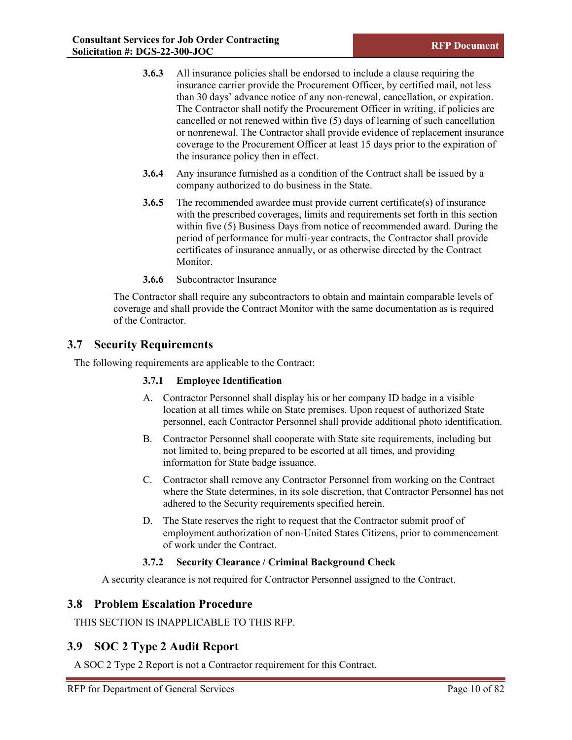- **3.6.3** All insurance policies shall be endorsed to include a clause requiring the insurance carrier provide the Procurement Officer, by certified mail, not less than 30 days' advance notice of any non-renewal, cancellation, or expiration. The Contractor shall notify the Procurement Officer in writing, if policies are cancelled or not renewed within five (5) days of learning of such cancellation or nonrenewal. The Contractor shall provide evidence of replacement insurance coverage to the Procurement Officer at least 15 days prior to the expiration of the insurance policy then in effect.
- **3.6.4** Any insurance furnished as a condition of the Contract shall be issued by a company authorized to do business in the State.
- **3.6.5** The recommended awardee must provide current certificate(s) of insurance with the prescribed coverages, limits and requirements set forth in this section within five (5) Business Days from notice of recommended award. During the period of performance for multi-year contracts, the Contractor shall provide certificates of insurance annually, or as otherwise directed by the Contract Monitor.
- **3.6.6** Subcontractor Insurance

The Contractor shall require any subcontractors to obtain and maintain comparable levels of coverage and shall provide the Contract Monitor with the same documentation as is required of the Contractor.

## <span id="page-16-0"></span>**3.7 Security Requirements**

The following requirements are applicable to the Contract:

## **3.7.1 Employee Identification**

- A. Contractor Personnel shall display his or her company ID badge in a visible location at all times while on State premises. Upon request of authorized State personnel, each Contractor Personnel shall provide additional photo identification.
- B. Contractor Personnel shall cooperate with State site requirements, including but not limited to, being prepared to be escorted at all times, and providing information for State badge issuance.
- C. Contractor shall remove any Contractor Personnel from working on the Contract where the State determines, in its sole discretion, that Contractor Personnel has not adhered to the Security requirements specified herein.
- D. The State reserves the right to request that the Contractor submit proof of employment authorization of non-United States Citizens, prior to commencement of work under the Contract.

## **3.7.2 Security Clearance / Criminal Background Check**

A security clearance is not required for Contractor Personnel assigned to the Contract.

## <span id="page-16-1"></span>**3.8 Problem Escalation Procedure**

THIS SECTION IS INAPPLICABLE TO THIS RFP.

# <span id="page-16-2"></span>**3.9 SOC 2 Type 2 Audit Report**

A SOC 2 Type 2 Report is not a Contractor requirement for this Contract.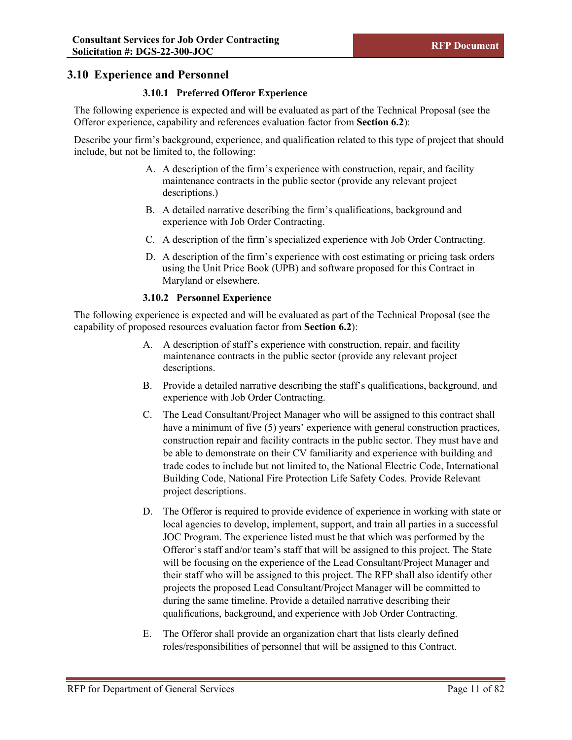# <span id="page-17-0"></span>**3.10 Experience and Personnel**

## **3.10.1 Preferred Offeror Experience**

The following experience is expected and will be evaluated as part of the Technical Proposal (see the Offeror experience, capability and references evaluation factor from **Section 6.2**):

Describe your firm's background, experience, and qualification related to this type of project that should include, but not be limited to, the following:

- A. A description of the firm's experience with construction, repair, and facility maintenance contracts in the public sector (provide any relevant project descriptions.)
- B. A detailed narrative describing the firm's qualifications, background and experience with Job Order Contracting.
- C. A description of the firm's specialized experience with Job Order Contracting.
- D. A description of the firm's experience with cost estimating or pricing task orders using the Unit Price Book (UPB) and software proposed for this Contract in Maryland or elsewhere.

## **3.10.2 Personnel Experience**

The following experience is expected and will be evaluated as part of the Technical Proposal (see the capability of proposed resources evaluation factor from **Section 6.2**):

- A. A description of staff's experience with construction, repair, and facility maintenance contracts in the public sector (provide any relevant project descriptions.
- B. Provide a detailed narrative describing the staff's qualifications, background, and experience with Job Order Contracting.
- C. The Lead Consultant/Project Manager who will be assigned to this contract shall have a minimum of five (5) years' experience with general construction practices, construction repair and facility contracts in the public sector. They must have and be able to demonstrate on their CV familiarity and experience with building and trade codes to include but not limited to, the National Electric Code, International Building Code, National Fire Protection Life Safety Codes. Provide Relevant project descriptions.
- D. The Offeror is required to provide evidence of experience in working with state or local agencies to develop, implement, support, and train all parties in a successful JOC Program. The experience listed must be that which was performed by the Offeror's staff and/or team's staff that will be assigned to this project. The State will be focusing on the experience of the Lead Consultant/Project Manager and their staff who will be assigned to this project. The RFP shall also identify other projects the proposed Lead Consultant/Project Manager will be committed to during the same timeline. Provide a detailed narrative describing their qualifications, background, and experience with Job Order Contracting.
- E. The Offeror shall provide an organization chart that lists clearly defined roles/responsibilities of personnel that will be assigned to this Contract.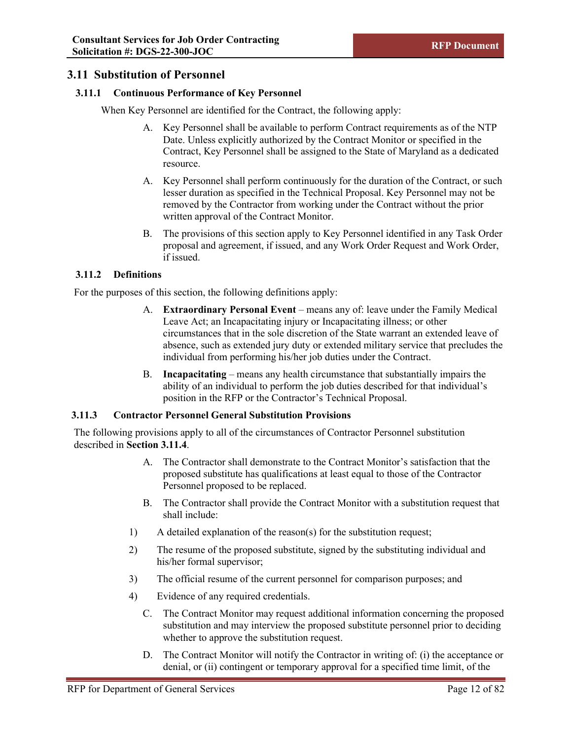# <span id="page-18-0"></span>**3.11 Substitution of Personnel**

## **3.11.1 Continuous Performance of Key Personnel**

When Key Personnel are identified for the Contract, the following apply:

- A. Key Personnel shall be available to perform Contract requirements as of the NTP Date. Unless explicitly authorized by the Contract Monitor or specified in the Contract, Key Personnel shall be assigned to the State of Maryland as a dedicated resource.
- A. Key Personnel shall perform continuously for the duration of the Contract, or such lesser duration as specified in the Technical Proposal. Key Personnel may not be removed by the Contractor from working under the Contract without the prior written approval of the Contract Monitor.
- B. The provisions of this section apply to Key Personnel identified in any Task Order proposal and agreement, if issued, and any Work Order Request and Work Order, if issued.

## **3.11.2 Definitions**

For the purposes of this section, the following definitions apply:

- A. **Extraordinary Personal Event** means any of: leave under the Family Medical Leave Act; an Incapacitating injury or Incapacitating illness; or other circumstances that in the sole discretion of the State warrant an extended leave of absence, such as extended jury duty or extended military service that precludes the individual from performing his/her job duties under the Contract.
- B. **Incapacitating** means any health circumstance that substantially impairs the ability of an individual to perform the job duties described for that individual's position in the RFP or the Contractor's Technical Proposal.

#### **3.11.3 Contractor Personnel General Substitution Provisions**

The following provisions apply to all of the circumstances of Contractor Personnel substitution described in **Section 3.11.4**.

- A. The Contractor shall demonstrate to the Contract Monitor's satisfaction that the proposed substitute has qualifications at least equal to those of the Contractor Personnel proposed to be replaced.
- B. The Contractor shall provide the Contract Monitor with a substitution request that shall include:
- 1) A detailed explanation of the reason(s) for the substitution request;
- 2) The resume of the proposed substitute, signed by the substituting individual and his/her formal supervisor;
- 3) The official resume of the current personnel for comparison purposes; and
- 4) Evidence of any required credentials.
	- C. The Contract Monitor may request additional information concerning the proposed substitution and may interview the proposed substitute personnel prior to deciding whether to approve the substitution request.
	- D. The Contract Monitor will notify the Contractor in writing of: (i) the acceptance or denial, or (ii) contingent or temporary approval for a specified time limit, of the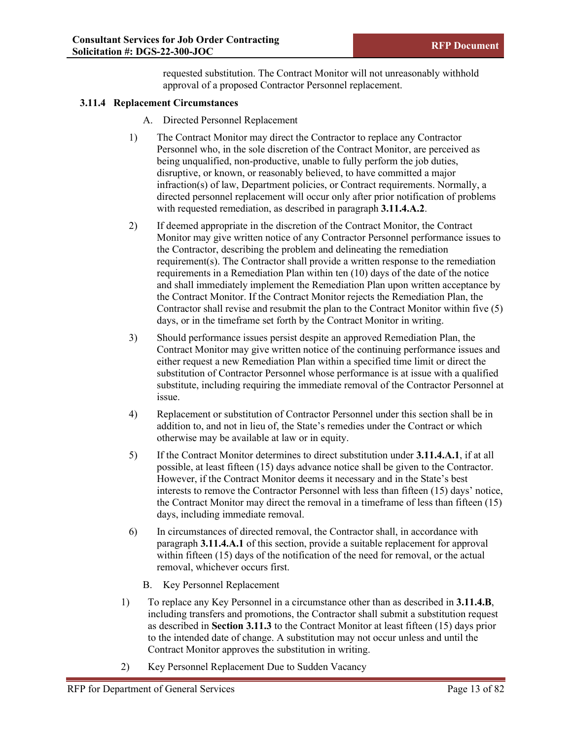requested substitution. The Contract Monitor will not unreasonably withhold approval of a proposed Contractor Personnel replacement.

## **3.11.4 Replacement Circumstances**

- A. Directed Personnel Replacement
- 1) The Contract Monitor may direct the Contractor to replace any Contractor Personnel who, in the sole discretion of the Contract Monitor, are perceived as being unqualified, non-productive, unable to fully perform the job duties, disruptive, or known, or reasonably believed, to have committed a major infraction(s) of law, Department policies, or Contract requirements. Normally, a directed personnel replacement will occur only after prior notification of problems with requested remediation, as described in paragraph **3.11.4.A.2**.
- 2) If deemed appropriate in the discretion of the Contract Monitor, the Contract Monitor may give written notice of any Contractor Personnel performance issues to the Contractor, describing the problem and delineating the remediation requirement(s). The Contractor shall provide a written response to the remediation requirements in a Remediation Plan within ten (10) days of the date of the notice and shall immediately implement the Remediation Plan upon written acceptance by the Contract Monitor. If the Contract Monitor rejects the Remediation Plan, the Contractor shall revise and resubmit the plan to the Contract Monitor within five (5) days, or in the timeframe set forth by the Contract Monitor in writing.
- 3) Should performance issues persist despite an approved Remediation Plan, the Contract Monitor may give written notice of the continuing performance issues and either request a new Remediation Plan within a specified time limit or direct the substitution of Contractor Personnel whose performance is at issue with a qualified substitute, including requiring the immediate removal of the Contractor Personnel at issue.
- 4) Replacement or substitution of Contractor Personnel under this section shall be in addition to, and not in lieu of, the State's remedies under the Contract or which otherwise may be available at law or in equity.
- 5) If the Contract Monitor determines to direct substitution under **3.11.4.A.1**, if at all possible, at least fifteen (15) days advance notice shall be given to the Contractor. However, if the Contract Monitor deems it necessary and in the State's best interests to remove the Contractor Personnel with less than fifteen (15) days' notice, the Contract Monitor may direct the removal in a timeframe of less than fifteen (15) days, including immediate removal.
- 6) In circumstances of directed removal, the Contractor shall, in accordance with paragraph **3.11.4.A.1** of this section, provide a suitable replacement for approval within fifteen (15) days of the notification of the need for removal, or the actual removal, whichever occurs first.
	- B. Key Personnel Replacement
- 1) To replace any Key Personnel in a circumstance other than as described in **3.11.4.B**, including transfers and promotions, the Contractor shall submit a substitution request as described in **Section 3.11.3** to the Contract Monitor at least fifteen (15) days prior to the intended date of change. A substitution may not occur unless and until the Contract Monitor approves the substitution in writing.
- 2) Key Personnel Replacement Due to Sudden Vacancy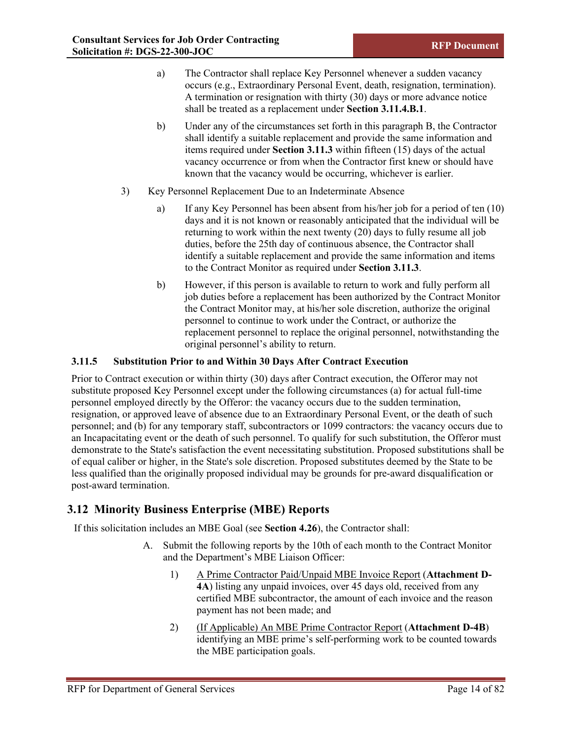- a) The Contractor shall replace Key Personnel whenever a sudden vacancy occurs (e.g., Extraordinary Personal Event, death, resignation, termination). A termination or resignation with thirty (30) days or more advance notice shall be treated as a replacement under **Section 3.11.4.B.1**.
- b) Under any of the circumstances set forth in this paragraph B, the Contractor shall identify a suitable replacement and provide the same information and items required under **Section 3.11.3** within fifteen (15) days of the actual vacancy occurrence or from when the Contractor first knew or should have known that the vacancy would be occurring, whichever is earlier.
- 3) Key Personnel Replacement Due to an Indeterminate Absence
	- a) If any Key Personnel has been absent from his/her job for a period of ten (10) days and it is not known or reasonably anticipated that the individual will be returning to work within the next twenty (20) days to fully resume all job duties, before the 25th day of continuous absence, the Contractor shall identify a suitable replacement and provide the same information and items to the Contract Monitor as required under **Section 3.11.3**.
	- b) However, if this person is available to return to work and fully perform all job duties before a replacement has been authorized by the Contract Monitor the Contract Monitor may, at his/her sole discretion, authorize the original personnel to continue to work under the Contract, or authorize the replacement personnel to replace the original personnel, notwithstanding the original personnel's ability to return.

## **3.11.5 Substitution Prior to and Within 30 Days After Contract Execution**

Prior to Contract execution or within thirty (30) days after Contract execution, the Offeror may not substitute proposed Key Personnel except under the following circumstances (a) for actual full-time personnel employed directly by the Offeror: the vacancy occurs due to the sudden termination, resignation, or approved leave of absence due to an Extraordinary Personal Event, or the death of such personnel; and (b) for any temporary staff, subcontractors or 1099 contractors: the vacancy occurs due to an Incapacitating event or the death of such personnel. To qualify for such substitution, the Offeror must demonstrate to the State's satisfaction the event necessitating substitution. Proposed substitutions shall be of equal caliber or higher, in the State's sole discretion. Proposed substitutes deemed by the State to be less qualified than the originally proposed individual may be grounds for pre-award disqualification or post-award termination.

# <span id="page-20-0"></span>**3.12 Minority Business Enterprise (MBE) Reports**

If this solicitation includes an MBE Goal (see **Section 4.26**), the Contractor shall:

- A. Submit the following reports by the 10th of each month to the Contract Monitor and the Department's MBE Liaison Officer:
	- 1) A Prime Contractor Paid/Unpaid MBE Invoice Report (**Attachment D-4A**) listing any unpaid invoices, over 45 days old, received from any certified MBE subcontractor, the amount of each invoice and the reason payment has not been made; and
	- 2) (If Applicable) An MBE Prime Contractor Report (**Attachment D-4B**) identifying an MBE prime's self-performing work to be counted towards the MBE participation goals.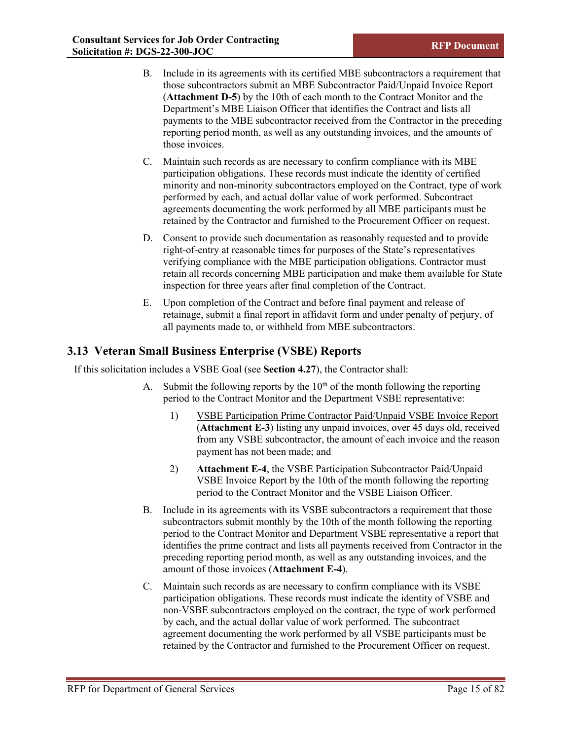- B. Include in its agreements with its certified MBE subcontractors a requirement that those subcontractors submit an MBE Subcontractor Paid/Unpaid Invoice Report (**Attachment D-5**) by the 10th of each month to the Contract Monitor and the Department's MBE Liaison Officer that identifies the Contract and lists all payments to the MBE subcontractor received from the Contractor in the preceding reporting period month, as well as any outstanding invoices, and the amounts of those invoices.
- C. Maintain such records as are necessary to confirm compliance with its MBE participation obligations. These records must indicate the identity of certified minority and non-minority subcontractors employed on the Contract, type of work performed by each, and actual dollar value of work performed. Subcontract agreements documenting the work performed by all MBE participants must be retained by the Contractor and furnished to the Procurement Officer on request.
- D. Consent to provide such documentation as reasonably requested and to provide right-of-entry at reasonable times for purposes of the State's representatives verifying compliance with the MBE participation obligations. Contractor must retain all records concerning MBE participation and make them available for State inspection for three years after final completion of the Contract.
- E. Upon completion of the Contract and before final payment and release of retainage, submit a final report in affidavit form and under penalty of perjury, of all payments made to, or withheld from MBE subcontractors.

# <span id="page-21-0"></span>**3.13 Veteran Small Business Enterprise (VSBE) Reports**

If this solicitation includes a VSBE Goal (see **Section 4.27**), the Contractor shall:

- A. Submit the following reports by the  $10<sup>th</sup>$  of the month following the reporting period to the Contract Monitor and the Department VSBE representative:
	- 1) VSBE Participation Prime Contractor Paid/Unpaid VSBE Invoice Report (**Attachment E-3**) listing any unpaid invoices, over 45 days old, received from any VSBE subcontractor, the amount of each invoice and the reason payment has not been made; and
	- 2) **Attachment E-4**, the VSBE Participation Subcontractor Paid/Unpaid VSBE Invoice Report by the 10th of the month following the reporting period to the Contract Monitor and the VSBE Liaison Officer.
- B. Include in its agreements with its VSBE subcontractors a requirement that those subcontractors submit monthly by the 10th of the month following the reporting period to the Contract Monitor and Department VSBE representative a report that identifies the prime contract and lists all payments received from Contractor in the preceding reporting period month, as well as any outstanding invoices, and the amount of those invoices (**Attachment E-4**).
- C. Maintain such records as are necessary to confirm compliance with its VSBE participation obligations. These records must indicate the identity of VSBE and non-VSBE subcontractors employed on the contract, the type of work performed by each, and the actual dollar value of work performed. The subcontract agreement documenting the work performed by all VSBE participants must be retained by the Contractor and furnished to the Procurement Officer on request.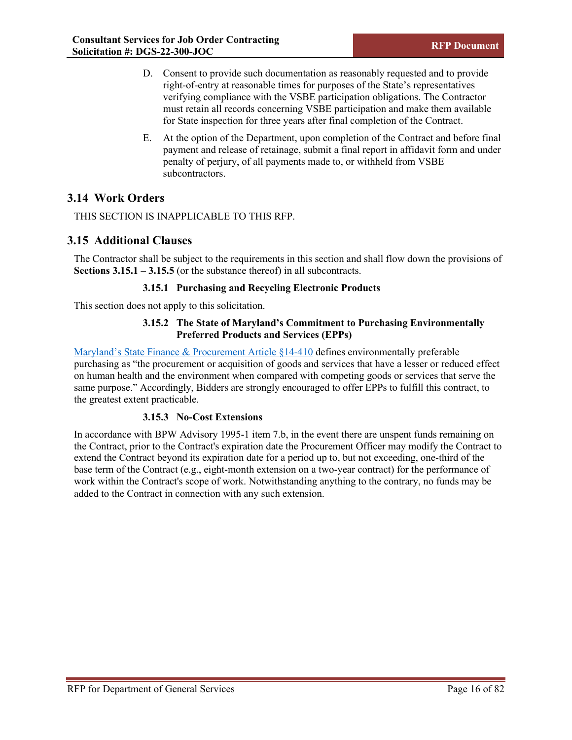- D. Consent to provide such documentation as reasonably requested and to provide right-of-entry at reasonable times for purposes of the State's representatives verifying compliance with the VSBE participation obligations. The Contractor must retain all records concerning VSBE participation and make them available for State inspection for three years after final completion of the Contract.
- E. At the option of the Department, upon completion of the Contract and before final payment and release of retainage, submit a final report in affidavit form and under penalty of perjury, of all payments made to, or withheld from VSBE subcontractors.

# <span id="page-22-0"></span>**3.14 Work Orders**

THIS SECTION IS INAPPLICABLE TO THIS RFP.

# <span id="page-22-1"></span>**3.15 Additional Clauses**

The Contractor shall be subject to the requirements in this section and shall flow down the provisions of **Sections 3.15.1 – 3.15.5** (or the substance thereof) in all subcontracts.

## **3.15.1 Purchasing and Recycling Electronic Products**

This section does not apply to this solicitation.

## **3.15.2 The State of Maryland's Commitment to Purchasing Environmentally Preferred Products and Services (EPPs)**

[Maryland's State Finance & Procurement Article §14-410](https://trackbill.com/bill/maryland-house-bill-629-environmentally-preferable-procurement-maryland-green-purchasing-committee/647077/) defines environmentally preferable purchasing as "the procurement or acquisition of goods and services that have a lesser or reduced effect on human health and the environment when compared with competing goods or services that serve the same purpose." Accordingly, Bidders are strongly encouraged to offer EPPs to fulfill this contract, to the greatest extent practicable.

## **3.15.3 No-Cost Extensions**

In accordance with BPW Advisory 1995-1 item 7.b, in the event there are unspent funds remaining on the Contract, prior to the Contract's expiration date the Procurement Officer may modify the Contract to extend the Contract beyond its expiration date for a period up to, but not exceeding, one-third of the base term of the Contract (e.g., eight-month extension on a two-year contract) for the performance of work within the Contract's scope of work. Notwithstanding anything to the contrary, no funds may be added to the Contract in connection with any such extension.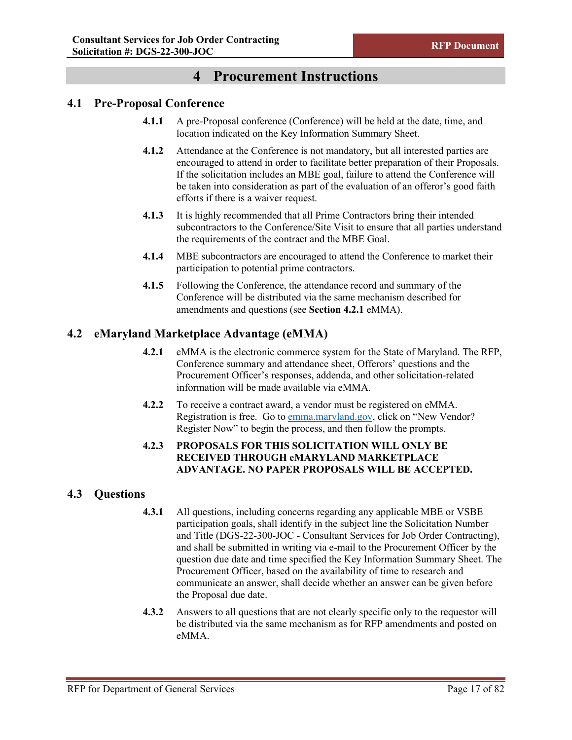# **4 Procurement Instructions**

## <span id="page-23-1"></span><span id="page-23-0"></span>**4.1 Pre-Proposal Conference**

- **4.1.1** A pre-Proposal conference (Conference) will be held at the date, time, and location indicated on the Key Information Summary Sheet.
- **4.1.2** Attendance at the Conference is not mandatory, but all interested parties are encouraged to attend in order to facilitate better preparation of their Proposals. If the solicitation includes an MBE goal, failure to attend the Conference will be taken into consideration as part of the evaluation of an offeror's good faith efforts if there is a waiver request.
- **4.1.3** It is highly recommended that all Prime Contractors bring their intended subcontractors to the Conference/Site Visit to ensure that all parties understand the requirements of the contract and the MBE Goal.
- **4.1.4** MBE subcontractors are encouraged to attend the Conference to market their participation to potential prime contractors.
- **4.1.5** Following the Conference, the attendance record and summary of the Conference will be distributed via the same mechanism described for amendments and questions (see **Section 4.2.1** eMMA).

# <span id="page-23-2"></span>**4.2 eMaryland Marketplace Advantage (eMMA)**

- **4.2.1** eMMA is the electronic commerce system for the State of Maryland. The RFP, Conference summary and attendance sheet, Offerors' questions and the Procurement Officer's responses, addenda, and other solicitation-related information will be made available via eMMA.
- **4.2.2** To receive a contract award, a vendor must be registered on eMMA. Registration is free. Go to [emma.maryland.gov,](https://emma.maryland.gov/page.aspx/en/usr/login?ReturnUrl=%2fpage.aspx%2fen%2fbuy%2fhomepage) click on "New Vendor? Register Now" to begin the process, and then follow the prompts.

## **4.2.3 PROPOSALS FOR THIS SOLICITATION WILL ONLY BE RECEIVED THROUGH eMARYLAND MARKETPLACE ADVANTAGE. NO PAPER PROPOSALS WILL BE ACCEPTED.**

# <span id="page-23-3"></span>**4.3 Questions**

- **4.3.1** All questions, including concerns regarding any applicable MBE or VSBE participation goals, shall identify in the subject line the Solicitation Number and Title (DGS-22-300-JOC - Consultant Services for Job Order Contracting), and shall be submitted in writing via e-mail to the Procurement Officer by the question due date and time specified the Key Information Summary Sheet. The Procurement Officer, based on the availability of time to research and communicate an answer, shall decide whether an answer can be given before the Proposal due date.
- **4.3.2** Answers to all questions that are not clearly specific only to the requestor will be distributed via the same mechanism as for RFP amendments and posted on eMMA.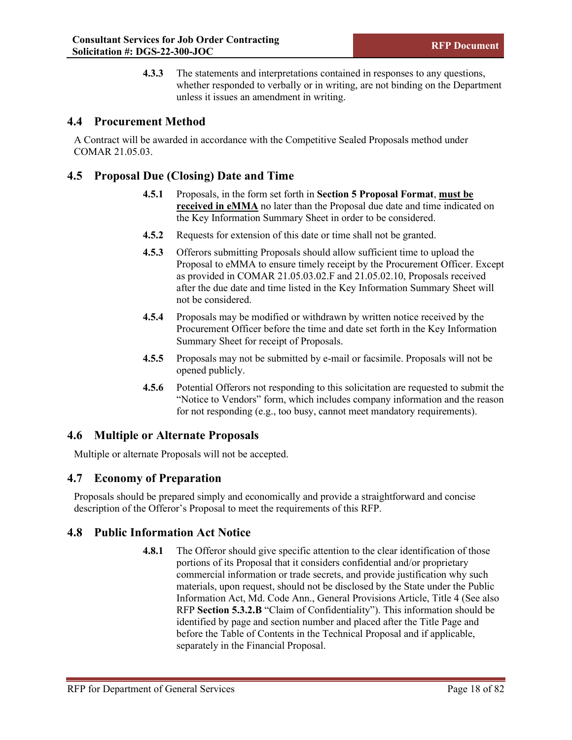**4.3.3** The statements and interpretations contained in responses to any questions, whether responded to verbally or in writing, are not binding on the Department unless it issues an amendment in writing.

# <span id="page-24-0"></span>**4.4 Procurement Method**

A Contract will be awarded in accordance with the Competitive Sealed Proposals method under COMAR 21.05.03.

# <span id="page-24-1"></span>**4.5 Proposal Due (Closing) Date and Time**

- **4.5.1** Proposals, in the form set forth in **Section 5 Proposal Format**, **must be received in eMMA** no later than the Proposal due date and time indicated on the Key Information Summary Sheet in order to be considered.
- **4.5.2** Requests for extension of this date or time shall not be granted.
- **4.5.3** Offerors submitting Proposals should allow sufficient time to upload the Proposal to eMMA to ensure timely receipt by the Procurement Officer. Except as provided in COMAR 21.05.03.02.F and 21.05.02.10, Proposals received after the due date and time listed in the Key Information Summary Sheet will not be considered.
- **4.5.4** Proposals may be modified or withdrawn by written notice received by the Procurement Officer before the time and date set forth in the Key Information Summary Sheet for receipt of Proposals.
- **4.5.5** Proposals may not be submitted by e-mail or facsimile. Proposals will not be opened publicly.
- **4.5.6** Potential Offerors not responding to this solicitation are requested to submit the "Notice to Vendors" form, which includes company information and the reason for not responding (e.g., too busy, cannot meet mandatory requirements).

# <span id="page-24-2"></span>**4.6 Multiple or Alternate Proposals**

Multiple or alternate Proposals will not be accepted.

# <span id="page-24-3"></span>**4.7 Economy of Preparation**

Proposals should be prepared simply and economically and provide a straightforward and concise description of the Offeror's Proposal to meet the requirements of this RFP.

# <span id="page-24-4"></span>**4.8 Public Information Act Notice**

**4.8.1** The Offeror should give specific attention to the clear identification of those portions of its Proposal that it considers confidential and/or proprietary commercial information or trade secrets, and provide justification why such materials, upon request, should not be disclosed by the State under the Public Information Act, Md. Code Ann., General Provisions Article, Title 4 (See also RFP **Section 5.3.2.B** "Claim of Confidentiality"). This information should be identified by page and section number and placed after the Title Page and before the Table of Contents in the Technical Proposal and if applicable, separately in the Financial Proposal.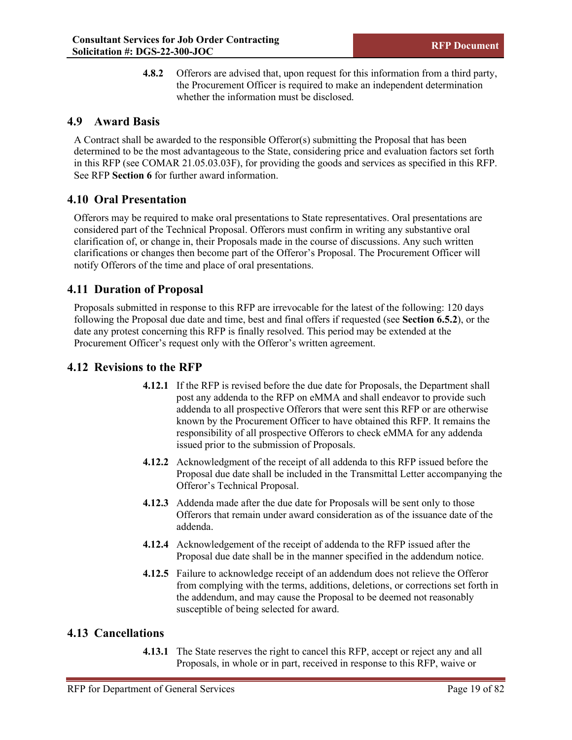**4.8.2** Offerors are advised that, upon request for this information from a third party, the Procurement Officer is required to make an independent determination whether the information must be disclosed.

# <span id="page-25-0"></span>**4.9 Award Basis**

A Contract shall be awarded to the responsible Offeror(s) submitting the Proposal that has been determined to be the most advantageous to the State, considering price and evaluation factors set forth in this RFP (see COMAR 21.05.03.03F), for providing the goods and services as specified in this RFP. See RFP **Section 6** for further award information.

# <span id="page-25-1"></span>**4.10 Oral Presentation**

Offerors may be required to make oral presentations to State representatives. Oral presentations are considered part of the Technical Proposal. Offerors must confirm in writing any substantive oral clarification of, or change in, their Proposals made in the course of discussions. Any such written clarifications or changes then become part of the Offeror's Proposal. The Procurement Officer will notify Offerors of the time and place of oral presentations.

# <span id="page-25-2"></span>**4.11 Duration of Proposal**

Proposals submitted in response to this RFP are irrevocable for the latest of the following: 120 days following the Proposal due date and time, best and final offers if requested (see **Section 6.5.2**), or the date any protest concerning this RFP is finally resolved. This period may be extended at the Procurement Officer's request only with the Offeror's written agreement.

## <span id="page-25-3"></span>**4.12 Revisions to the RFP**

- **4.12.1** If the RFP is revised before the due date for Proposals, the Department shall post any addenda to the RFP on eMMA and shall endeavor to provide such addenda to all prospective Offerors that were sent this RFP or are otherwise known by the Procurement Officer to have obtained this RFP. It remains the responsibility of all prospective Offerors to check eMMA for any addenda issued prior to the submission of Proposals.
- **4.12.2** Acknowledgment of the receipt of all addenda to this RFP issued before the Proposal due date shall be included in the Transmittal Letter accompanying the Offeror's Technical Proposal.
- **4.12.3** Addenda made after the due date for Proposals will be sent only to those Offerors that remain under award consideration as of the issuance date of the addenda.
- **4.12.4** Acknowledgement of the receipt of addenda to the RFP issued after the Proposal due date shall be in the manner specified in the addendum notice.
- **4.12.5** Failure to acknowledge receipt of an addendum does not relieve the Offeror from complying with the terms, additions, deletions, or corrections set forth in the addendum, and may cause the Proposal to be deemed not reasonably susceptible of being selected for award.

## <span id="page-25-4"></span>**4.13 Cancellations**

**4.13.1** The State reserves the right to cancel this RFP, accept or reject any and all Proposals, in whole or in part, received in response to this RFP, waive or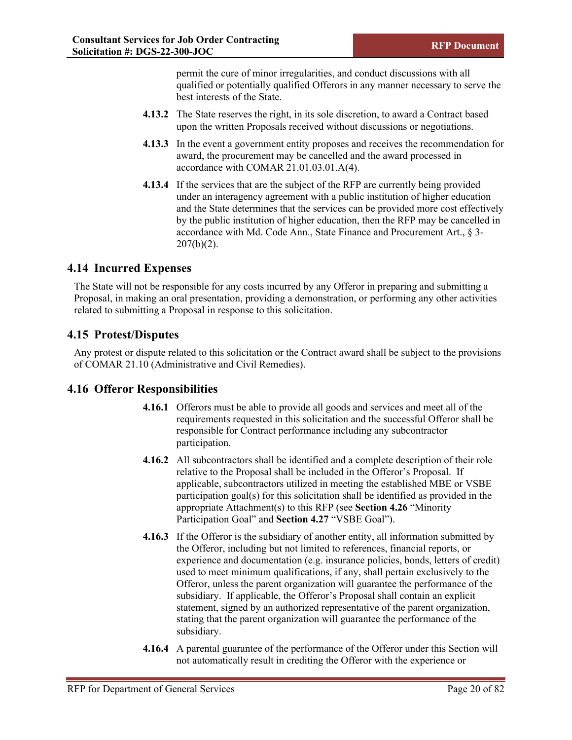permit the cure of minor irregularities, and conduct discussions with all qualified or potentially qualified Offerors in any manner necessary to serve the best interests of the State.

- **4.13.2** The State reserves the right, in its sole discretion, to award a Contract based upon the written Proposals received without discussions or negotiations.
- **4.13.3** In the event a government entity proposes and receives the recommendation for award, the procurement may be cancelled and the award processed in accordance with COMAR 21.01.03.01.A(4).
- **4.13.4** If the services that are the subject of the RFP are currently being provided under an interagency agreement with a public institution of higher education and the State determines that the services can be provided more cost effectively by the public institution of higher education, then the RFP may be cancelled in accordance with Md. Code Ann., State Finance and Procurement Art., § 3- 207(b)(2).

# <span id="page-26-0"></span>**4.14 Incurred Expenses**

The State will not be responsible for any costs incurred by any Offeror in preparing and submitting a Proposal, in making an oral presentation, providing a demonstration, or performing any other activities related to submitting a Proposal in response to this solicitation.

## <span id="page-26-1"></span>**4.15 Protest/Disputes**

Any protest or dispute related to this solicitation or the Contract award shall be subject to the provisions of COMAR 21.10 (Administrative and Civil Remedies).

# <span id="page-26-2"></span>**4.16 Offeror Responsibilities**

- **4.16.1** Offerors must be able to provide all goods and services and meet all of the requirements requested in this solicitation and the successful Offeror shall be responsible for Contract performance including any subcontractor participation.
- **4.16.2** All subcontractors shall be identified and a complete description of their role relative to the Proposal shall be included in the Offeror's Proposal. If applicable, subcontractors utilized in meeting the established MBE or VSBE participation goal(s) for this solicitation shall be identified as provided in the appropriate Attachment(s) to this RFP (see **Section 4.26** "Minority Participation Goal" and **Section 4.27** "VSBE Goal").
- **4.16.3** If the Offeror is the subsidiary of another entity, all information submitted by the Offeror, including but not limited to references, financial reports, or experience and documentation (e.g. insurance policies, bonds, letters of credit) used to meet minimum qualifications, if any, shall pertain exclusively to the Offeror, unless the parent organization will guarantee the performance of the subsidiary. If applicable, the Offeror's Proposal shall contain an explicit statement, signed by an authorized representative of the parent organization, stating that the parent organization will guarantee the performance of the subsidiary.
- **4.16.4** A parental guarantee of the performance of the Offeror under this Section will not automatically result in crediting the Offeror with the experience or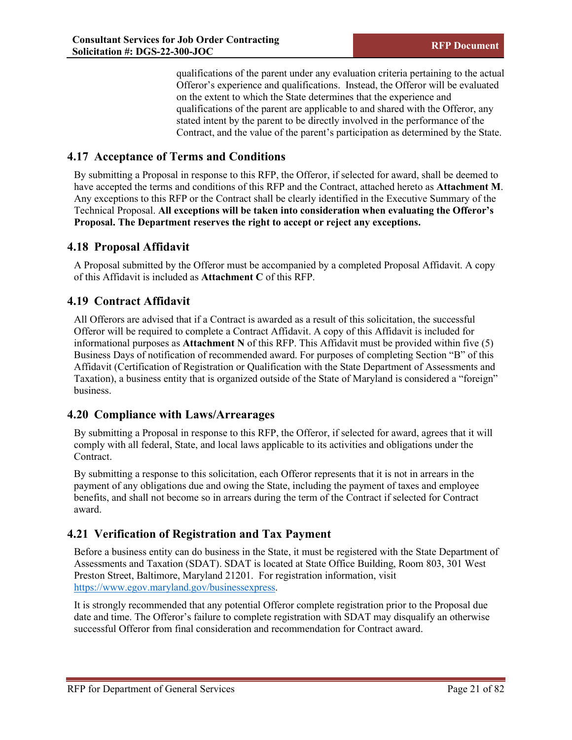qualifications of the parent under any evaluation criteria pertaining to the actual Offeror's experience and qualifications. Instead, the Offeror will be evaluated on the extent to which the State determines that the experience and qualifications of the parent are applicable to and shared with the Offeror, any stated intent by the parent to be directly involved in the performance of the Contract, and the value of the parent's participation as determined by the State.

# <span id="page-27-0"></span>**4.17 Acceptance of Terms and Conditions**

By submitting a Proposal in response to this RFP, the Offeror, if selected for award, shall be deemed to have accepted the terms and conditions of this RFP and the Contract, attached hereto as **Attachment M**. Any exceptions to this RFP or the Contract shall be clearly identified in the Executive Summary of the Technical Proposal. **All exceptions will be taken into consideration when evaluating the Offeror's Proposal. The Department reserves the right to accept or reject any exceptions.**

# <span id="page-27-1"></span>**4.18 Proposal Affidavit**

A Proposal submitted by the Offeror must be accompanied by a completed Proposal Affidavit. A copy of this Affidavit is included as **Attachment C** of this RFP.

# <span id="page-27-2"></span>**4.19 Contract Affidavit**

All Offerors are advised that if a Contract is awarded as a result of this solicitation, the successful Offeror will be required to complete a Contract Affidavit. A copy of this Affidavit is included for informational purposes as **Attachment N** of this RFP. This Affidavit must be provided within five (5) Business Days of notification of recommended award. For purposes of completing Section "B" of this Affidavit (Certification of Registration or Qualification with the State Department of Assessments and Taxation), a business entity that is organized outside of the State of Maryland is considered a "foreign" business.

# <span id="page-27-3"></span>**4.20 Compliance with Laws/Arrearages**

By submitting a Proposal in response to this RFP, the Offeror, if selected for award, agrees that it will comply with all federal, State, and local laws applicable to its activities and obligations under the Contract.

By submitting a response to this solicitation, each Offeror represents that it is not in arrears in the payment of any obligations due and owing the State, including the payment of taxes and employee benefits, and shall not become so in arrears during the term of the Contract if selected for Contract award.

# <span id="page-27-4"></span>**4.21 Verification of Registration and Tax Payment**

Before a business entity can do business in the State, it must be registered with the State Department of Assessments and Taxation (SDAT). SDAT is located at State Office Building, Room 803, 301 West Preston Street, Baltimore, Maryland 21201. For registration information, visit https://www.egov.maryland.gov/businessexpress.

It is strongly recommended that any potential Offeror complete registration prior to the Proposal due date and time. The Offeror's failure to complete registration with SDAT may disqualify an otherwise successful Offeror from final consideration and recommendation for Contract award.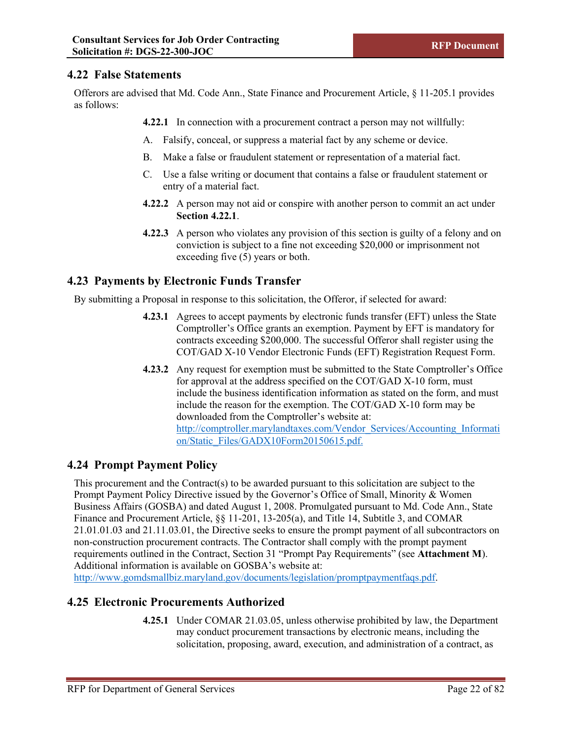# <span id="page-28-0"></span>**4.22 False Statements**

Offerors are advised that Md. Code Ann., State Finance and Procurement Article, § 11-205.1 provides as follows:

**4.22.1** In connection with a procurement contract a person may not willfully:

- A. Falsify, conceal, or suppress a material fact by any scheme or device.
- B. Make a false or fraudulent statement or representation of a material fact.
- C. Use a false writing or document that contains a false or fraudulent statement or entry of a material fact.
- **4.22.2** A person may not aid or conspire with another person to commit an act under **Section 4.22.1**.
- **4.22.3** A person who violates any provision of this section is guilty of a felony and on conviction is subject to a fine not exceeding \$20,000 or imprisonment not exceeding five (5) years or both.

# <span id="page-28-1"></span>**4.23 Payments by Electronic Funds Transfer**

By submitting a Proposal in response to this solicitation, the Offeror, if selected for award:

- **4.23.1** Agrees to accept payments by electronic funds transfer (EFT) unless the State Comptroller's Office grants an exemption. Payment by EFT is mandatory for contracts exceeding \$200,000. The successful Offeror shall register using the COT/GAD X-10 Vendor Electronic Funds (EFT) Registration Request Form.
- **4.23.2** Any request for exemption must be submitted to the State Comptroller's Office for approval at the address specified on the COT/GAD X-10 form, must include the business identification information as stated on the form, and must include the reason for the exemption. The COT/GAD X-10 form may be downloaded from the Comptroller's website at: http://comptroller.marylandtaxes.com/Vendor\_Services/Accounting\_Informati on/Static\_Files/GADX10Form20150615.pdf.

# <span id="page-28-2"></span>**4.24 Prompt Payment Policy**

This procurement and the Contract(s) to be awarded pursuant to this solicitation are subject to the Prompt Payment Policy Directive issued by the Governor's Office of Small, Minority & Women Business Affairs (GOSBA) and dated August 1, 2008. Promulgated pursuant to Md. Code Ann., State Finance and Procurement Article, §§ 11-201, 13-205(a), and Title 14, Subtitle 3, and COMAR 21.01.01.03 and 21.11.03.01, the Directive seeks to ensure the prompt payment of all subcontractors on non-construction procurement contracts. The Contractor shall comply with the prompt payment requirements outlined in the Contract, Section 31 "Prompt Pay Requirements" (see **Attachment M**). Additional information is available on GOSBA's website at:

http://www.gomdsmallbiz.maryland.gov/documents/legislation/promptpaymentfaqs.pdf.

## <span id="page-28-3"></span>**4.25 Electronic Procurements Authorized**

**4.25.1** Under COMAR 21.03.05, unless otherwise prohibited by law, the Department may conduct procurement transactions by electronic means, including the solicitation, proposing, award, execution, and administration of a contract, as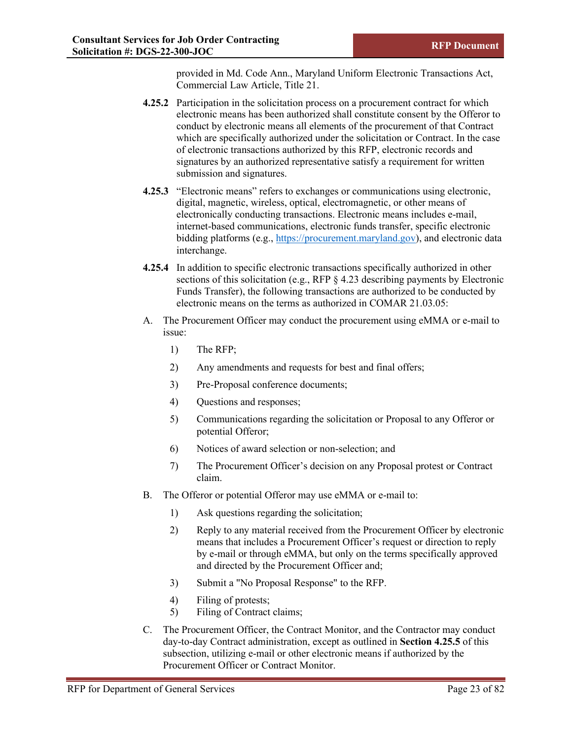provided in Md. Code Ann., Maryland Uniform Electronic Transactions Act, Commercial Law Article, Title 21.

- **4.25.2** Participation in the solicitation process on a procurement contract for which electronic means has been authorized shall constitute consent by the Offeror to conduct by electronic means all elements of the procurement of that Contract which are specifically authorized under the solicitation or Contract. In the case of electronic transactions authorized by this RFP, electronic records and signatures by an authorized representative satisfy a requirement for written submission and signatures.
- **4.25.3** "Electronic means" refers to exchanges or communications using electronic, digital, magnetic, wireless, optical, electromagnetic, or other means of electronically conducting transactions. Electronic means includes e-mail, internet-based communications, electronic funds transfer, specific electronic bidding platforms (e.g., [https://procurement.maryland.gov\)](https://procurement.maryland.gov/), and electronic data interchange.
- **4.25.4** In addition to specific electronic transactions specifically authorized in other sections of this solicitation (e.g., RFP § 4.23 describing payments by Electronic Funds Transfer), the following transactions are authorized to be conducted by electronic means on the terms as authorized in COMAR 21.03.05:
- A. The Procurement Officer may conduct the procurement using eMMA or e-mail to issue:
	- 1) The RFP;
	- 2) Any amendments and requests for best and final offers;
	- 3) Pre-Proposal conference documents;
	- 4) Questions and responses;
	- 5) Communications regarding the solicitation or Proposal to any Offeror or potential Offeror;
	- 6) Notices of award selection or non-selection; and
	- 7) The Procurement Officer's decision on any Proposal protest or Contract claim.
- B. The Offeror or potential Offeror may use eMMA or e-mail to:
	- 1) Ask questions regarding the solicitation;
	- 2) Reply to any material received from the Procurement Officer by electronic means that includes a Procurement Officer's request or direction to reply by e-mail or through eMMA, but only on the terms specifically approved and directed by the Procurement Officer and;
	- 3) Submit a "No Proposal Response" to the RFP.
	- 4) Filing of protests;
	- 5) Filing of Contract claims;
- C. The Procurement Officer, the Contract Monitor, and the Contractor may conduct day-to-day Contract administration, except as outlined in **Section 4.25.5** of this subsection, utilizing e-mail or other electronic means if authorized by the Procurement Officer or Contract Monitor.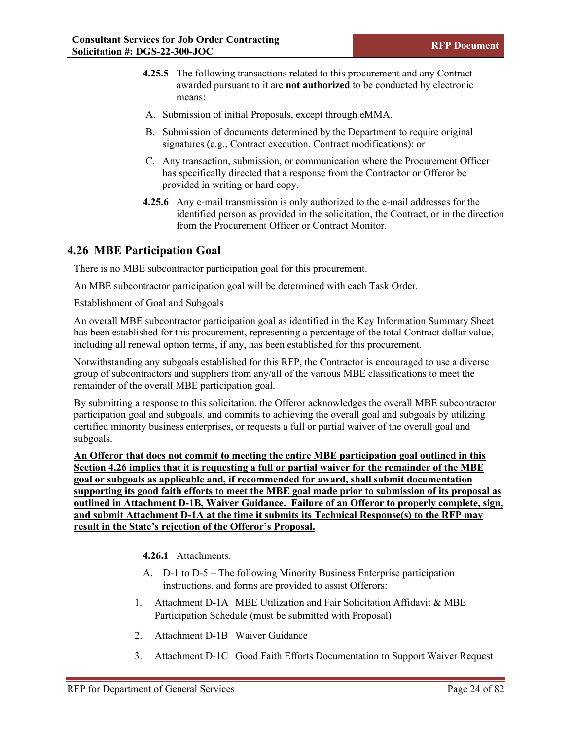- **4.25.5** The following transactions related to this procurement and any Contract awarded pursuant to it are **not authorized** to be conducted by electronic means:
- A. Submission of initial Proposals, except through eMMA.
- B. Submission of documents determined by the Department to require original signatures (e.g., Contract execution, Contract modifications); or
- C. Any transaction, submission, or communication where the Procurement Officer has specifically directed that a response from the Contractor or Offeror be provided in writing or hard copy.
- **4.25.6** Any e-mail transmission is only authorized to the e-mail addresses for the identified person as provided in the solicitation, the Contract, or in the direction from the Procurement Officer or Contract Monitor.

## <span id="page-30-0"></span>**4.26 MBE Participation Goal**

There is no MBE subcontractor participation goal for this procurement.

An MBE subcontractor participation goal will be determined with each Task Order.

Establishment of Goal and Subgoals

An overall MBE subcontractor participation goal as identified in the Key Information Summary Sheet has been established for this procurement, representing a percentage of the total Contract dollar value, including all renewal option terms, if any, has been established for this procurement.

Notwithstanding any subgoals established for this RFP, the Contractor is encouraged to use a diverse group of subcontractors and suppliers from any/all of the various MBE classifications to meet the remainder of the overall MBE participation goal.

By submitting a response to this solicitation, the Offeror acknowledges the overall MBE subcontractor participation goal and subgoals, and commits to achieving the overall goal and subgoals by utilizing certified minority business enterprises, or requests a full or partial waiver of the overall goal and subgoals.

**An Offeror that does not commit to meeting the entire MBE participation goal outlined in this Section 4.26 implies that it is requesting a full or partial waiver for the remainder of the MBE goal or subgoals as applicable and, if recommended for award, shall submit documentation supporting its good faith efforts to meet the MBE goal made prior to submission of its proposal as outlined in Attachment D-1B, Waiver Guidance. Failure of an Offeror to properly complete, sign, and submit Attachment D-1A at the time it submits its Technical Response(s) to the RFP may result in the State's rejection of the Offeror's Proposal.** 

**4.26.1** Attachments.

- A. D-1 to D-5 The following Minority Business Enterprise participation instructions, and forms are provided to assist Offerors:
- 1. Attachment D-1A MBE Utilization and Fair Solicitation Affidavit & MBE Participation Schedule (must be submitted with Proposal)
- 2. Attachment D-1B Waiver Guidance
- 3. Attachment D-1C Good Faith Efforts Documentation to Support Waiver Request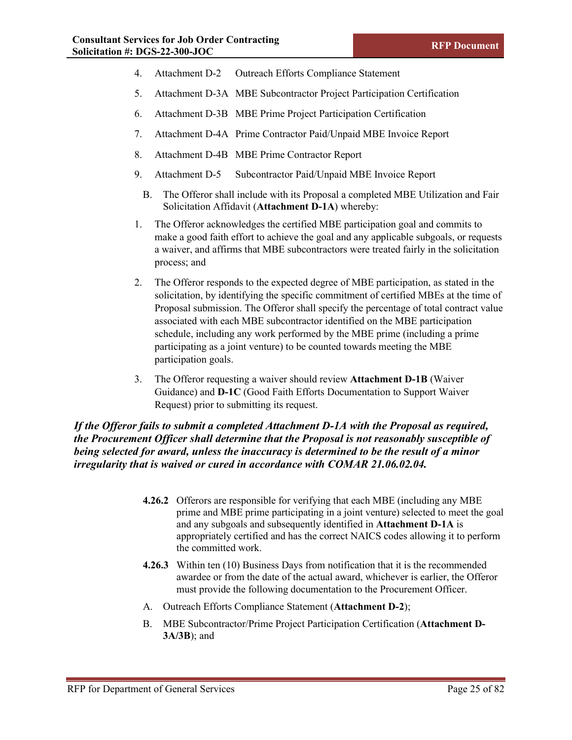- 4. Attachment D-2 Outreach Efforts Compliance Statement
- 5. Attachment D-3A MBE Subcontractor Project Participation Certification
- 6. Attachment D-3B MBE Prime Project Participation Certification
- 7. Attachment D-4A Prime Contractor Paid/Unpaid MBE Invoice Report
- 8. Attachment D-4B MBE Prime Contractor Report
- 9. Attachment D-5 Subcontractor Paid/Unpaid MBE Invoice Report
	- B. The Offeror shall include with its Proposal a completed MBE Utilization and Fair Solicitation Affidavit (**Attachment D-1A**) whereby:
- 1. The Offeror acknowledges the certified MBE participation goal and commits to make a good faith effort to achieve the goal and any applicable subgoals, or requests a waiver, and affirms that MBE subcontractors were treated fairly in the solicitation process; and
- 2. The Offeror responds to the expected degree of MBE participation, as stated in the solicitation, by identifying the specific commitment of certified MBEs at the time of Proposal submission. The Offeror shall specify the percentage of total contract value associated with each MBE subcontractor identified on the MBE participation schedule, including any work performed by the MBE prime (including a prime participating as a joint venture) to be counted towards meeting the MBE participation goals.
- 3. The Offeror requesting a waiver should review **Attachment D-1B** (Waiver Guidance) and **D-1C** (Good Faith Efforts Documentation to Support Waiver Request) prior to submitting its request.

## *If the Offeror fails to submit a completed Attachment D-1A with the Proposal as required, the Procurement Officer shall determine that the Proposal is not reasonably susceptible of being selected for award, unless the inaccuracy is determined to be the result of a minor irregularity that is waived or cured in accordance with COMAR 21.06.02.04.*

- **4.26.2** Offerors are responsible for verifying that each MBE (including any MBE prime and MBE prime participating in a joint venture) selected to meet the goal and any subgoals and subsequently identified in **Attachment D-1A** is appropriately certified and has the correct NAICS codes allowing it to perform the committed work.
- **4.26.3** Within ten (10) Business Days from notification that it is the recommended awardee or from the date of the actual award, whichever is earlier, the Offeror must provide the following documentation to the Procurement Officer.
- A. Outreach Efforts Compliance Statement (**Attachment D-2**);
- B. MBE Subcontractor/Prime Project Participation Certification (**Attachment D-3A/3B**); and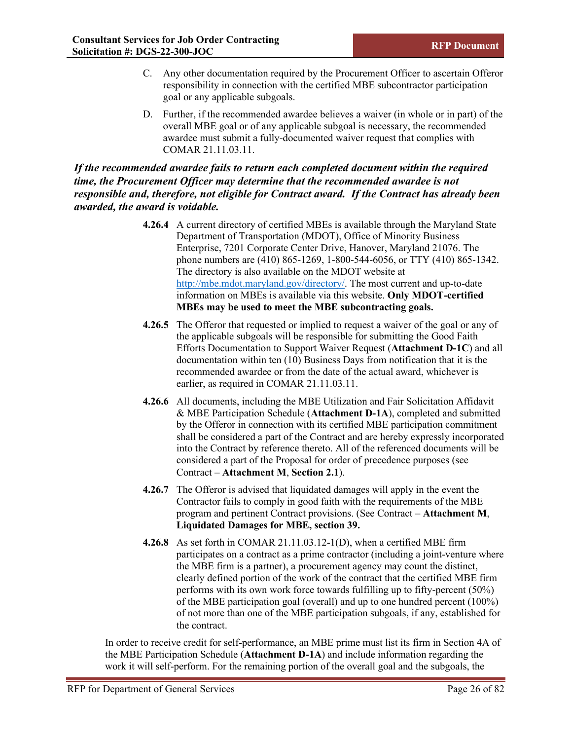- C. Any other documentation required by the Procurement Officer to ascertain Offeror responsibility in connection with the certified MBE subcontractor participation goal or any applicable subgoals.
- D. Further, if the recommended awardee believes a waiver (in whole or in part) of the overall MBE goal or of any applicable subgoal is necessary, the recommended awardee must submit a fully-documented waiver request that complies with COMAR 21.11.03.11.

## *If the recommended awardee fails to return each completed document within the required time, the Procurement Officer may determine that the recommended awardee is not responsible and, therefore, not eligible for Contract award. If the Contract has already been awarded, the award is voidable.*

- **4.26.4** A current directory of certified MBEs is available through the Maryland State Department of Transportation (MDOT), Office of Minority Business Enterprise, 7201 Corporate Center Drive, Hanover, Maryland 21076. The phone numbers are (410) 865-1269, 1-800-544-6056, or TTY (410) 865-1342. The directory is also available on the MDOT website at [http://mbe.mdot.maryland.gov/directory/.](http://mbe.mdot.maryland.gov/directory/) The most current and up-to-date information on MBEs is available via this website. **Only MDOT-certified MBEs may be used to meet the MBE subcontracting goals.**
- **4.26.5** The Offeror that requested or implied to request a waiver of the goal or any of the applicable subgoals will be responsible for submitting the Good Faith Efforts Documentation to Support Waiver Request (**Attachment D-1C**) and all documentation within ten (10) Business Days from notification that it is the recommended awardee or from the date of the actual award, whichever is earlier, as required in COMAR 21.11.03.11.
- **4.26.6** All documents, including the MBE Utilization and Fair Solicitation Affidavit & MBE Participation Schedule (**Attachment D-1A**), completed and submitted by the Offeror in connection with its certified MBE participation commitment shall be considered a part of the Contract and are hereby expressly incorporated into the Contract by reference thereto. All of the referenced documents will be considered a part of the Proposal for order of precedence purposes (see Contract – **Attachment M**, **Section 2.1**).
- **4.26.7** The Offeror is advised that liquidated damages will apply in the event the Contractor fails to comply in good faith with the requirements of the MBE program and pertinent Contract provisions. (See Contract – **Attachment M**, **Liquidated Damages for MBE, section 39.**
- **4.26.8** As set forth in COMAR 21.11.03.12-1(D), when a certified MBE firm participates on a contract as a prime contractor (including a joint-venture where the MBE firm is a partner), a procurement agency may count the distinct, clearly defined portion of the work of the contract that the certified MBE firm performs with its own work force towards fulfilling up to fifty-percent (50%) of the MBE participation goal (overall) and up to one hundred percent (100%) of not more than one of the MBE participation subgoals, if any, established for the contract.

In order to receive credit for self-performance, an MBE prime must list its firm in Section 4A of the MBE Participation Schedule (**Attachment D-1A**) and include information regarding the work it will self-perform. For the remaining portion of the overall goal and the subgoals, the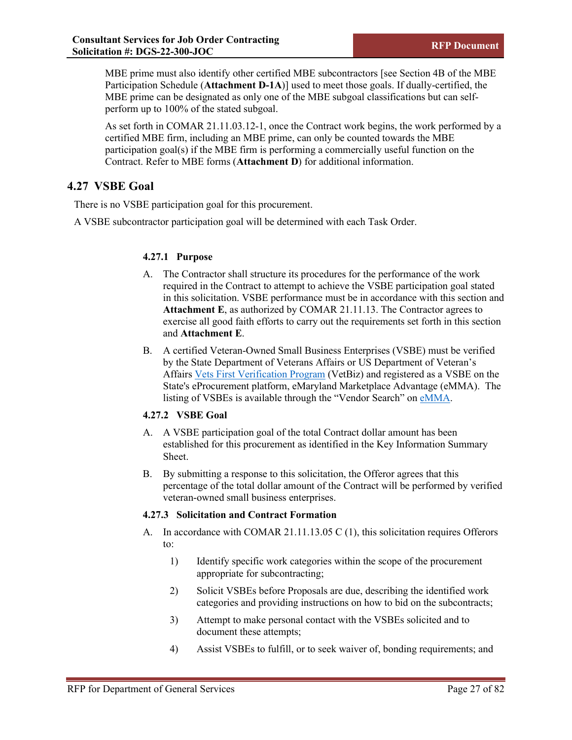MBE prime must also identify other certified MBE subcontractors [see Section 4B of the MBE Participation Schedule (**Attachment D-1A**)] used to meet those goals. If dually-certified, the MBE prime can be designated as only one of the MBE subgoal classifications but can selfperform up to 100% of the stated subgoal.

As set forth in COMAR 21.11.03.12-1, once the Contract work begins, the work performed by a certified MBE firm, including an MBE prime, can only be counted towards the MBE participation goal(s) if the MBE firm is performing a commercially useful function on the Contract. Refer to MBE forms (**Attachment D**) for additional information.

# <span id="page-33-0"></span>**4.27 VSBE Goal**

There is no VSBE participation goal for this procurement.

A VSBE subcontractor participation goal will be determined with each Task Order.

## **4.27.1 Purpose**

- A. The Contractor shall structure its procedures for the performance of the work required in the Contract to attempt to achieve the VSBE participation goal stated in this solicitation. VSBE performance must be in accordance with this section and **Attachment E**, as authorized by COMAR 21.11.13. The Contractor agrees to exercise all good faith efforts to carry out the requirements set forth in this section and **Attachment E**.
- B. A certified Veteran-Owned Small Business Enterprises (VSBE) must be verified by the State Department of Veterans Affairs or US Department of Veteran's Affairs [Vets First Verification Program](https://www.va.gov/osdbu/verification/) (VetBiz) and registered as a VSBE on the State's eProcurement platform, eMaryland Marketplace Advantage (eMMA). The listing of VSBEs is available through the "Vendor Search" o[n eMMA.](https://emma.maryland.gov/page.aspx/en/usr/login?ReturnUrl=%2fpage.aspx%2fen%2fbuy%2fhomepage)

## **4.27.2 VSBE Goal**

- A. A VSBE participation goal of the total Contract dollar amount has been established for this procurement as identified in the Key Information Summary Sheet.
- B. By submitting a response to this solicitation, the Offeror agrees that this percentage of the total dollar amount of the Contract will be performed by verified veteran-owned small business enterprises.

## **4.27.3 Solicitation and Contract Formation**

- A. In accordance with COMAR 21.11.13.05 C (1), this solicitation requires Offerors to:
	- 1) Identify specific work categories within the scope of the procurement appropriate for subcontracting;
	- 2) Solicit VSBEs before Proposals are due, describing the identified work categories and providing instructions on how to bid on the subcontracts;
	- 3) Attempt to make personal contact with the VSBEs solicited and to document these attempts;
	- 4) Assist VSBEs to fulfill, or to seek waiver of, bonding requirements; and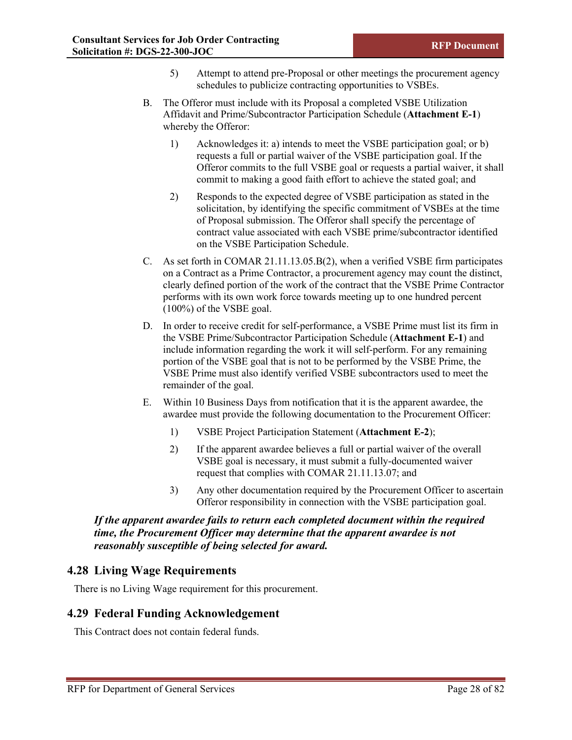- 5) Attempt to attend pre-Proposal or other meetings the procurement agency schedules to publicize contracting opportunities to VSBEs.
- B. The Offeror must include with its Proposal a completed VSBE Utilization Affidavit and Prime/Subcontractor Participation Schedule (**Attachment E-1**) whereby the Offeror:
	- 1) Acknowledges it: a) intends to meet the VSBE participation goal; or b) requests a full or partial waiver of the VSBE participation goal. If the Offeror commits to the full VSBE goal or requests a partial waiver, it shall commit to making a good faith effort to achieve the stated goal; and
	- 2) Responds to the expected degree of VSBE participation as stated in the solicitation, by identifying the specific commitment of VSBEs at the time of Proposal submission. The Offeror shall specify the percentage of contract value associated with each VSBE prime/subcontractor identified on the VSBE Participation Schedule.
- C. As set forth in COMAR 21.11.13.05.B(2), when a verified VSBE firm participates on a Contract as a Prime Contractor, a procurement agency may count the distinct, clearly defined portion of the work of the contract that the VSBE Prime Contractor performs with its own work force towards meeting up to one hundred percent  $(100\%)$  of the VSBE goal.
- D. In order to receive credit for self-performance, a VSBE Prime must list its firm in the VSBE Prime/Subcontractor Participation Schedule (**Attachment E-1**) and include information regarding the work it will self-perform. For any remaining portion of the VSBE goal that is not to be performed by the VSBE Prime, the VSBE Prime must also identify verified VSBE subcontractors used to meet the remainder of the goal.
- E. Within 10 Business Days from notification that it is the apparent awardee, the awardee must provide the following documentation to the Procurement Officer:
	- 1) VSBE Project Participation Statement (**Attachment E-2**);
	- 2) If the apparent awardee believes a full or partial waiver of the overall VSBE goal is necessary, it must submit a fully-documented waiver request that complies with COMAR 21.11.13.07; and
	- 3) Any other documentation required by the Procurement Officer to ascertain Offeror responsibility in connection with the VSBE participation goal.

*If the apparent awardee fails to return each completed document within the required time, the Procurement Officer may determine that the apparent awardee is not reasonably susceptible of being selected for award.*

## <span id="page-34-0"></span>**4.28 Living Wage Requirements**

There is no Living Wage requirement for this procurement.

## <span id="page-34-1"></span>**4.29 Federal Funding Acknowledgement**

This Contract does not contain federal funds.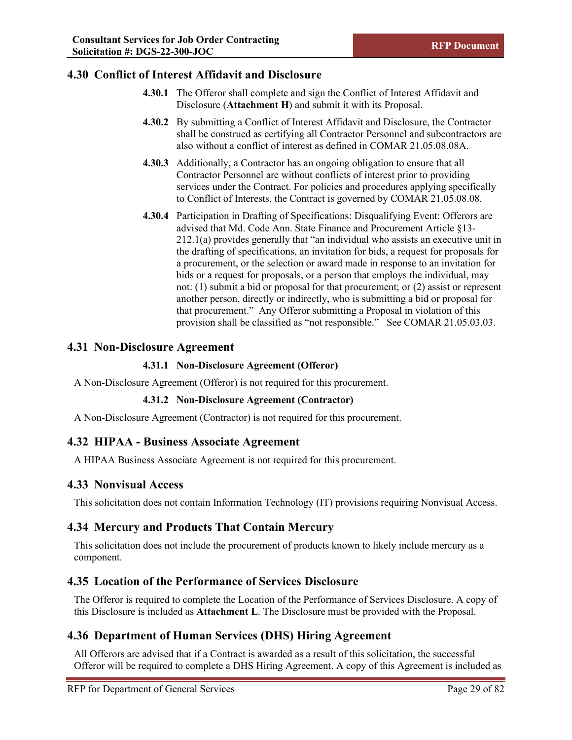# <span id="page-35-0"></span>**4.30 Conflict of Interest Affidavit and Disclosure**

- **4.30.1** The Offeror shall complete and sign the Conflict of Interest Affidavit and Disclosure (**Attachment H**) and submit it with its Proposal.
- **4.30.2** By submitting a Conflict of Interest Affidavit and Disclosure, the Contractor shall be construed as certifying all Contractor Personnel and subcontractors are also without a conflict of interest as defined in COMAR 21.05.08.08A.
- **4.30.3** Additionally, a Contractor has an ongoing obligation to ensure that all Contractor Personnel are without conflicts of interest prior to providing services under the Contract. For policies and procedures applying specifically to Conflict of Interests, the Contract is governed by COMAR 21.05.08.08.
- **4.30.4** Participation in Drafting of Specifications: Disqualifying Event: Offerors are advised that Md. Code Ann. State Finance and Procurement Article §13- 212.1(a) provides generally that "an individual who assists an executive unit in the drafting of specifications, an invitation for bids, a request for proposals for a procurement, or the selection or award made in response to an invitation for bids or a request for proposals, or a person that employs the individual, may not: (1) submit a bid or proposal for that procurement; or (2) assist or represent another person, directly or indirectly, who is submitting a bid or proposal for that procurement." Any Offeror submitting a Proposal in violation of this provision shall be classified as "not responsible." See COMAR 21.05.03.03.

## <span id="page-35-1"></span>**4.31 Non-Disclosure Agreement**

## **4.31.1 Non-Disclosure Agreement (Offeror)**

A Non-Disclosure Agreement (Offeror) is not required for this procurement.

## **4.31.2 Non-Disclosure Agreement (Contractor)**

A Non-Disclosure Agreement (Contractor) is not required for this procurement.

# <span id="page-35-2"></span>**4.32 HIPAA - Business Associate Agreement**

A HIPAA Business Associate Agreement is not required for this procurement.

## <span id="page-35-3"></span>**4.33 Nonvisual Access**

This solicitation does not contain Information Technology (IT) provisions requiring Nonvisual Access.

# <span id="page-35-4"></span>**4.34 Mercury and Products That Contain Mercury**

This solicitation does not include the procurement of products known to likely include mercury as a component.

# <span id="page-35-5"></span>**4.35 Location of the Performance of Services Disclosure**

The Offeror is required to complete the Location of the Performance of Services Disclosure. A copy of this Disclosure is included as **Attachment L**. The Disclosure must be provided with the Proposal.

# <span id="page-35-6"></span>**4.36 Department of Human Services (DHS) Hiring Agreement**

All Offerors are advised that if a Contract is awarded as a result of this solicitation, the successful Offeror will be required to complete a DHS Hiring Agreement. A copy of this Agreement is included as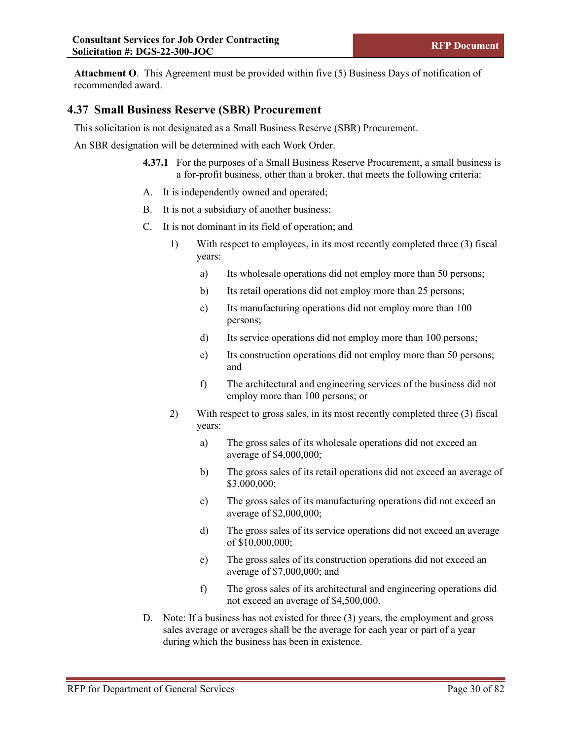**Attachment O**. This Agreement must be provided within five (5) Business Days of notification of recommended award.

## **4.37 Small Business Reserve (SBR) Procurement**

This solicitation is not designated as a Small Business Reserve (SBR) Procurement.

An SBR designation will be determined with each Work Order.

- **4.37.1** For the purposes of a Small Business Reserve Procurement, a small business is a for-profit business, other than a broker, that meets the following criteria:
- A. It is independently owned and operated;
- B. It is not a subsidiary of another business;
- C. It is not dominant in its field of operation; and
	- 1) With respect to employees, in its most recently completed three (3) fiscal years:
		- a) Its wholesale operations did not employ more than 50 persons;
		- b) Its retail operations did not employ more than 25 persons;
		- c) Its manufacturing operations did not employ more than 100 persons;
		- d) Its service operations did not employ more than 100 persons;
		- e) Its construction operations did not employ more than 50 persons; and
		- f) The architectural and engineering services of the business did not employ more than 100 persons; or
	- 2) With respect to gross sales, in its most recently completed three (3) fiscal years:
		- a) The gross sales of its wholesale operations did not exceed an average of \$4,000,000;
		- b) The gross sales of its retail operations did not exceed an average of \$3,000,000;
		- c) The gross sales of its manufacturing operations did not exceed an average of \$2,000,000;
		- d) The gross sales of its service operations did not exceed an average of \$10,000,000;
		- e) The gross sales of its construction operations did not exceed an average of \$7,000,000; and
		- f) The gross sales of its architectural and engineering operations did not exceed an average of \$4,500,000.
- D. Note: If a business has not existed for three (3) years, the employment and gross sales average or averages shall be the average for each year or part of a year during which the business has been in existence.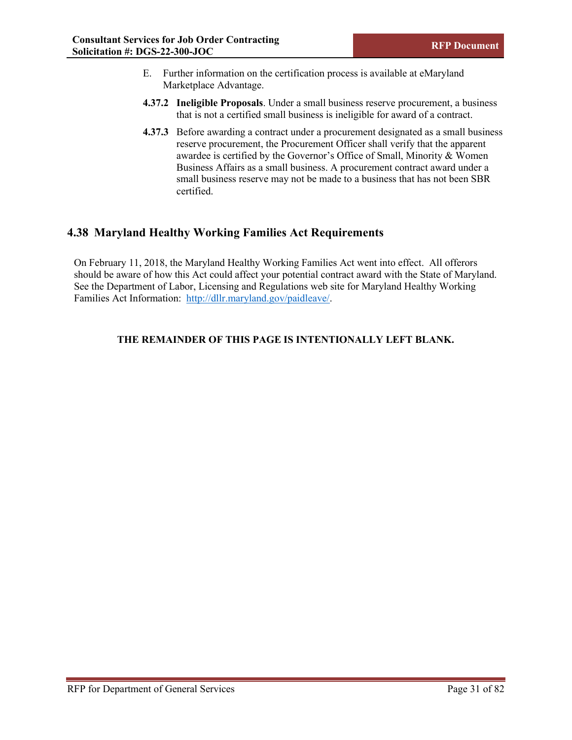- E. Further information on the certification process is available at eMaryland Marketplace Advantage.
- **4.37.2 Ineligible Proposals**. Under a small business reserve procurement, a business that is not a certified small business is ineligible for award of a contract.
- **4.37.3** Before awarding a contract under a procurement designated as a small business reserve procurement, the Procurement Officer shall verify that the apparent awardee is certified by the Governor's Office of Small, Minority & Women Business Affairs as a small business. A procurement contract award under a small business reserve may not be made to a business that has not been SBR certified.

## **4.38 Maryland Healthy Working Families Act Requirements**

On February 11, 2018, the Maryland Healthy Working Families Act went into effect. All offerors should be aware of how this Act could affect your potential contract award with the State of Maryland. See the Department of Labor, Licensing and Regulations web site for Maryland Healthy Working Families Act Information: [http://dllr.maryland.gov/paidleave/.](http://dllr.maryland.gov/paidleave/)

## **THE REMAINDER OF THIS PAGE IS INTENTIONALLY LEFT BLANK.**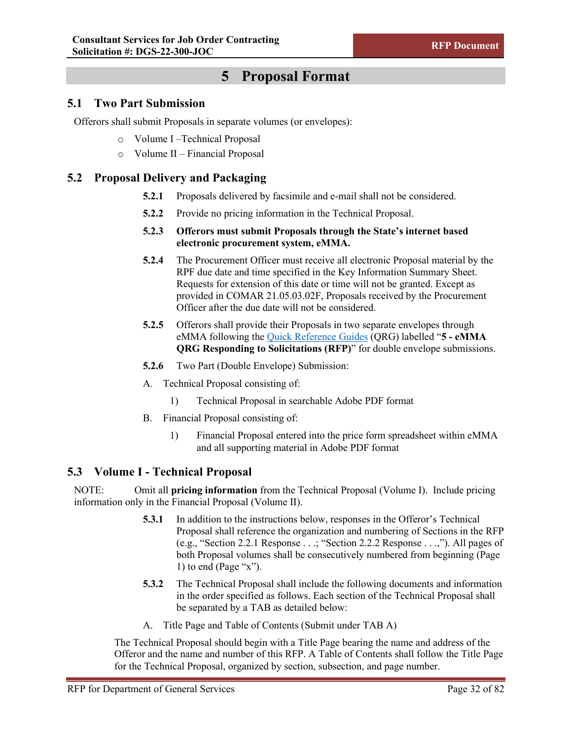# **5 Proposal Format**

## **5.1 Two Part Submission**

Offerors shall submit Proposals in separate volumes (or envelopes):

- o Volume I –Technical Proposal
- o Volume II Financial Proposal

## **5.2 Proposal Delivery and Packaging**

- **5.2.1** Proposals delivered by facsimile and e-mail shall not be considered.
- **5.2.2** Provide no pricing information in the Technical Proposal.
- **5.2.3 Offerors must submit Proposals through the State's internet based electronic procurement system, eMMA.**
- **5.2.4** The Procurement Officer must receive all electronic Proposal material by the RPF due date and time specified in the Key Information Summary Sheet. Requests for extension of this date or time will not be granted. Except as provided in COMAR 21.05.03.02F, Proposals received by the Procurement Officer after the due date will not be considered.
- **5.2.5** Offerors shall provide their Proposals in two separate envelopes through eMMA following the [Quick Reference Guides](https://procurement.maryland.gov/emma-qrgs/) (QRG) labelled "**5 - eMMA QRG Responding to Solicitations (RFP)**" for double envelope submissions.
- **5.2.6** Two Part (Double Envelope) Submission:
- A. Technical Proposal consisting of:
	- 1) Technical Proposal in searchable Adobe PDF format
- B. Financial Proposal consisting of:
	- 1) Financial Proposal entered into the price form spreadsheet within eMMA and all supporting material in Adobe PDF format

## **5.3 Volume I - Technical Proposal**

NOTE: Omit all **pricing information** from the Technical Proposal (Volume I). Include pricing information only in the Financial Proposal (Volume II).

- **5.3.1** In addition to the instructions below, responses in the Offeror's Technical Proposal shall reference the organization and numbering of Sections in the RFP (e.g., "Section 2.2.1 Response . . .; "Section 2.2.2 Response . . .,"). All pages of both Proposal volumes shall be consecutively numbered from beginning (Page 1) to end (Page " $x$ ").
- **5.3.2** The Technical Proposal shall include the following documents and information in the order specified as follows. Each section of the Technical Proposal shall be separated by a TAB as detailed below:
- A. Title Page and Table of Contents (Submit under TAB A)

The Technical Proposal should begin with a Title Page bearing the name and address of the Offeror and the name and number of this RFP. A Table of Contents shall follow the Title Page for the Technical Proposal, organized by section, subsection, and page number.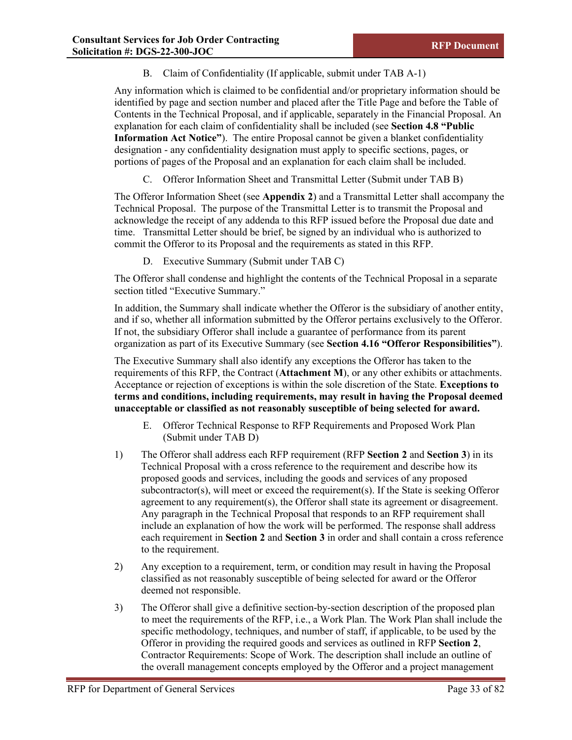B. Claim of Confidentiality (If applicable, submit under TAB A-1)

Any information which is claimed to be confidential and/or proprietary information should be identified by page and section number and placed after the Title Page and before the Table of Contents in the Technical Proposal, and if applicable, separately in the Financial Proposal. An explanation for each claim of confidentiality shall be included (see **Section 4.8 "Public Information Act Notice"**). The entire Proposal cannot be given a blanket confidentiality designation - any confidentiality designation must apply to specific sections, pages, or portions of pages of the Proposal and an explanation for each claim shall be included.

C. Offeror Information Sheet and Transmittal Letter (Submit under TAB B)

The Offeror Information Sheet (see **Appendix 2**) and a Transmittal Letter shall accompany the Technical Proposal. The purpose of the Transmittal Letter is to transmit the Proposal and acknowledge the receipt of any addenda to this RFP issued before the Proposal due date and time. Transmittal Letter should be brief, be signed by an individual who is authorized to commit the Offeror to its Proposal and the requirements as stated in this RFP.

D. Executive Summary (Submit under TAB C)

The Offeror shall condense and highlight the contents of the Technical Proposal in a separate section titled "Executive Summary."

In addition, the Summary shall indicate whether the Offeror is the subsidiary of another entity, and if so, whether all information submitted by the Offeror pertains exclusively to the Offeror. If not, the subsidiary Offeror shall include a guarantee of performance from its parent organization as part of its Executive Summary (see **Section 4.16 "Offeror Responsibilities"**).

The Executive Summary shall also identify any exceptions the Offeror has taken to the requirements of this RFP, the Contract (**Attachment M**), or any other exhibits or attachments. Acceptance or rejection of exceptions is within the sole discretion of the State. **Exceptions to terms and conditions, including requirements, may result in having the Proposal deemed unacceptable or classified as not reasonably susceptible of being selected for award.**

- E. Offeror Technical Response to RFP Requirements and Proposed Work Plan (Submit under TAB D)
- 1) The Offeror shall address each RFP requirement (RFP **Section 2** and **Section 3**) in its Technical Proposal with a cross reference to the requirement and describe how its proposed goods and services, including the goods and services of any proposed subcontractor(s), will meet or exceed the requirement(s). If the State is seeking Offeror agreement to any requirement(s), the Offeror shall state its agreement or disagreement. Any paragraph in the Technical Proposal that responds to an RFP requirement shall include an explanation of how the work will be performed. The response shall address each requirement in **Section 2** and **Section 3** in order and shall contain a cross reference to the requirement.
- 2) Any exception to a requirement, term, or condition may result in having the Proposal classified as not reasonably susceptible of being selected for award or the Offeror deemed not responsible.
- 3) The Offeror shall give a definitive section-by-section description of the proposed plan to meet the requirements of the RFP, i.e., a Work Plan. The Work Plan shall include the specific methodology, techniques, and number of staff, if applicable, to be used by the Offeror in providing the required goods and services as outlined in RFP **Section 2**, Contractor Requirements: Scope of Work. The description shall include an outline of the overall management concepts employed by the Offeror and a project management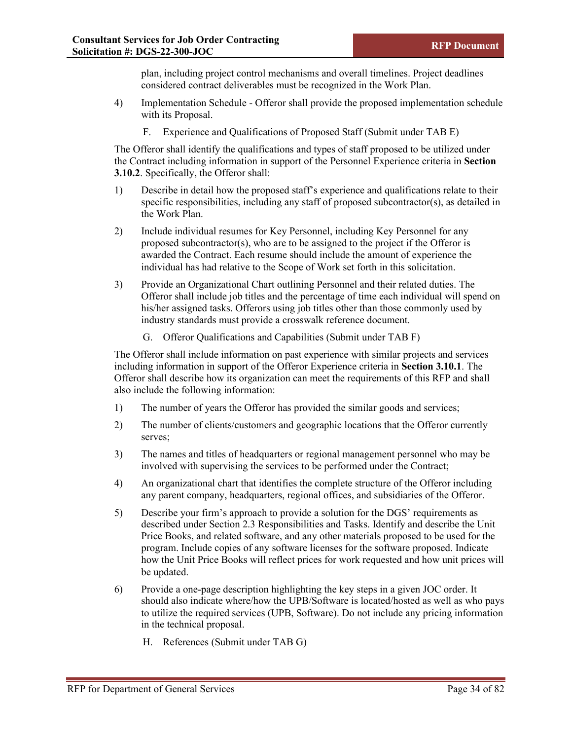plan, including project control mechanisms and overall timelines. Project deadlines considered contract deliverables must be recognized in the Work Plan.

- 4) Implementation Schedule Offeror shall provide the proposed implementation schedule with its Proposal.
	- F. Experience and Qualifications of Proposed Staff (Submit under TAB E)

The Offeror shall identify the qualifications and types of staff proposed to be utilized under the Contract including information in support of the Personnel Experience criteria in **Section 3.10.2**. Specifically, the Offeror shall:

- 1) Describe in detail how the proposed staff's experience and qualifications relate to their specific responsibilities, including any staff of proposed subcontractor(s), as detailed in the Work Plan.
- 2) Include individual resumes for Key Personnel, including Key Personnel for any proposed subcontractor(s), who are to be assigned to the project if the Offeror is awarded the Contract. Each resume should include the amount of experience the individual has had relative to the Scope of Work set forth in this solicitation.
- 3) Provide an Organizational Chart outlining Personnel and their related duties. The Offeror shall include job titles and the percentage of time each individual will spend on his/her assigned tasks. Offerors using job titles other than those commonly used by industry standards must provide a crosswalk reference document.
	- G. Offeror Qualifications and Capabilities (Submit under TAB F)

The Offeror shall include information on past experience with similar projects and services including information in support of the Offeror Experience criteria in **Section 3.10.1**. The Offeror shall describe how its organization can meet the requirements of this RFP and shall also include the following information:

- 1) The number of years the Offeror has provided the similar goods and services;
- 2) The number of clients/customers and geographic locations that the Offeror currently serves;
- 3) The names and titles of headquarters or regional management personnel who may be involved with supervising the services to be performed under the Contract;
- 4) An organizational chart that identifies the complete structure of the Offeror including any parent company, headquarters, regional offices, and subsidiaries of the Offeror.
- 5) Describe your firm's approach to provide a solution for the DGS' requirements as described under Section 2.3 Responsibilities and Tasks. Identify and describe the Unit Price Books, and related software, and any other materials proposed to be used for the program. Include copies of any software licenses for the software proposed. Indicate how the Unit Price Books will reflect prices for work requested and how unit prices will be updated.
- 6) Provide a one-page description highlighting the key steps in a given JOC order. It should also indicate where/how the UPB/Software is located/hosted as well as who pays to utilize the required services (UPB, Software). Do not include any pricing information in the technical proposal.
	- H. References (Submit under TAB G)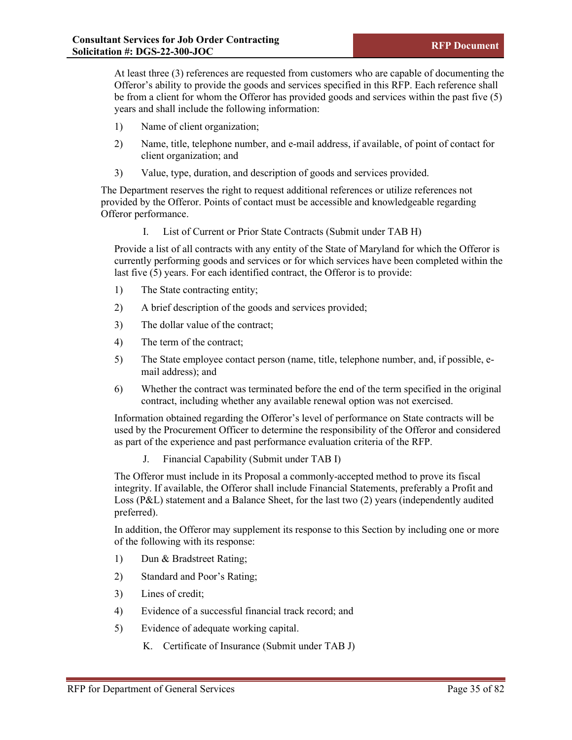At least three (3) references are requested from customers who are capable of documenting the Offeror's ability to provide the goods and services specified in this RFP. Each reference shall be from a client for whom the Offeror has provided goods and services within the past five (5) years and shall include the following information:

- 1) Name of client organization;
- 2) Name, title, telephone number, and e-mail address, if available, of point of contact for client organization; and
- 3) Value, type, duration, and description of goods and services provided.

The Department reserves the right to request additional references or utilize references not provided by the Offeror. Points of contact must be accessible and knowledgeable regarding Offeror performance.

I. List of Current or Prior State Contracts (Submit under TAB H)

Provide a list of all contracts with any entity of the State of Maryland for which the Offeror is currently performing goods and services or for which services have been completed within the last five  $(5)$  years. For each identified contract, the Offeror is to provide:

- 1) The State contracting entity;
- 2) A brief description of the goods and services provided;
- 3) The dollar value of the contract;
- 4) The term of the contract;
- 5) The State employee contact person (name, title, telephone number, and, if possible, email address); and
- 6) Whether the contract was terminated before the end of the term specified in the original contract, including whether any available renewal option was not exercised.

Information obtained regarding the Offeror's level of performance on State contracts will be used by the Procurement Officer to determine the responsibility of the Offeror and considered as part of the experience and past performance evaluation criteria of the RFP.

J. Financial Capability (Submit under TAB I)

The Offeror must include in its Proposal a commonly-accepted method to prove its fiscal integrity. If available, the Offeror shall include Financial Statements, preferably a Profit and Loss (P&L) statement and a Balance Sheet, for the last two (2) years (independently audited preferred).

In addition, the Offeror may supplement its response to this Section by including one or more of the following with its response:

- 1) Dun & Bradstreet Rating;
- 2) Standard and Poor's Rating;
- 3) Lines of credit;
- 4) Evidence of a successful financial track record; and
- 5) Evidence of adequate working capital.
	- K. Certificate of Insurance (Submit under TAB J)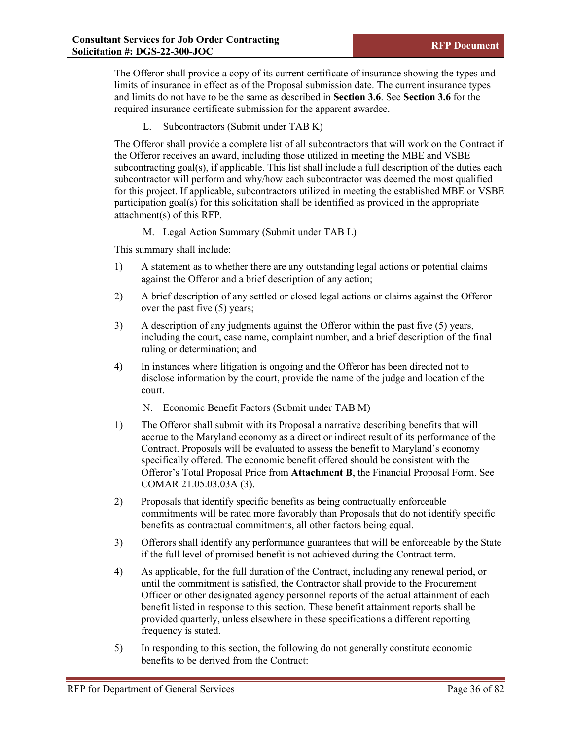The Offeror shall provide a copy of its current certificate of insurance showing the types and limits of insurance in effect as of the Proposal submission date. The current insurance types and limits do not have to be the same as described in **Section 3.6**. See **Section 3.6** for the required insurance certificate submission for the apparent awardee.

L. Subcontractors (Submit under TAB K)

The Offeror shall provide a complete list of all subcontractors that will work on the Contract if the Offeror receives an award, including those utilized in meeting the MBE and VSBE subcontracting goal(s), if applicable. This list shall include a full description of the duties each subcontractor will perform and why/how each subcontractor was deemed the most qualified for this project. If applicable, subcontractors utilized in meeting the established MBE or VSBE participation goal(s) for this solicitation shall be identified as provided in the appropriate attachment(s) of this RFP.

M. Legal Action Summary (Submit under TAB L)

This summary shall include:

- 1) A statement as to whether there are any outstanding legal actions or potential claims against the Offeror and a brief description of any action;
- 2) A brief description of any settled or closed legal actions or claims against the Offeror over the past five (5) years;
- 3) A description of any judgments against the Offeror within the past five (5) years, including the court, case name, complaint number, and a brief description of the final ruling or determination; and
- 4) In instances where litigation is ongoing and the Offeror has been directed not to disclose information by the court, provide the name of the judge and location of the court.

N. Economic Benefit Factors (Submit under TAB M)

- 1) The Offeror shall submit with its Proposal a narrative describing benefits that will accrue to the Maryland economy as a direct or indirect result of its performance of the Contract. Proposals will be evaluated to assess the benefit to Maryland's economy specifically offered. The economic benefit offered should be consistent with the Offeror's Total Proposal Price from **Attachment B**, the Financial Proposal Form. See COMAR 21.05.03.03A (3).
- 2) Proposals that identify specific benefits as being contractually enforceable commitments will be rated more favorably than Proposals that do not identify specific benefits as contractual commitments, all other factors being equal.
- 3) Offerors shall identify any performance guarantees that will be enforceable by the State if the full level of promised benefit is not achieved during the Contract term.
- 4) As applicable, for the full duration of the Contract, including any renewal period, or until the commitment is satisfied, the Contractor shall provide to the Procurement Officer or other designated agency personnel reports of the actual attainment of each benefit listed in response to this section. These benefit attainment reports shall be provided quarterly, unless elsewhere in these specifications a different reporting frequency is stated.
- 5) In responding to this section, the following do not generally constitute economic benefits to be derived from the Contract: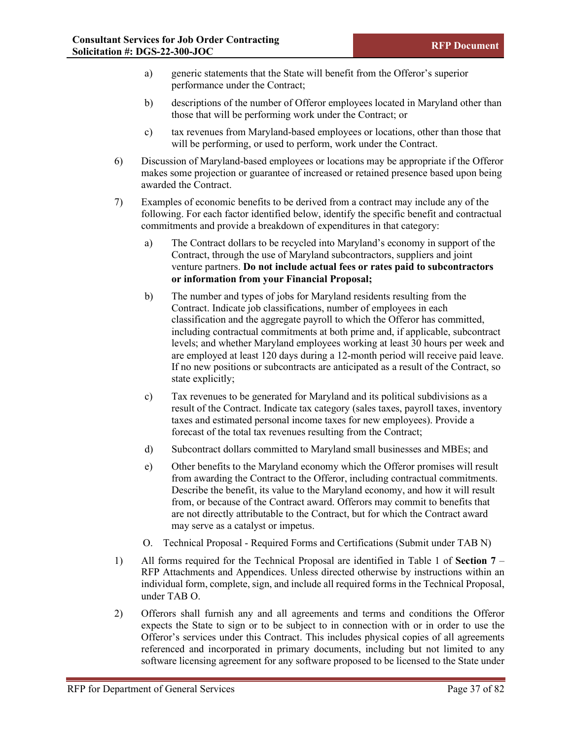- a) generic statements that the State will benefit from the Offeror's superior performance under the Contract;
- b) descriptions of the number of Offeror employees located in Maryland other than those that will be performing work under the Contract; or
- c) tax revenues from Maryland-based employees or locations, other than those that will be performing, or used to perform, work under the Contract.
- 6) Discussion of Maryland-based employees or locations may be appropriate if the Offeror makes some projection or guarantee of increased or retained presence based upon being awarded the Contract.
- 7) Examples of economic benefits to be derived from a contract may include any of the following. For each factor identified below, identify the specific benefit and contractual commitments and provide a breakdown of expenditures in that category:
	- a) The Contract dollars to be recycled into Maryland's economy in support of the Contract, through the use of Maryland subcontractors, suppliers and joint venture partners. **Do not include actual fees or rates paid to subcontractors or information from your Financial Proposal;**
	- b) The number and types of jobs for Maryland residents resulting from the Contract. Indicate job classifications, number of employees in each classification and the aggregate payroll to which the Offeror has committed, including contractual commitments at both prime and, if applicable, subcontract levels; and whether Maryland employees working at least 30 hours per week and are employed at least 120 days during a 12-month period will receive paid leave. If no new positions or subcontracts are anticipated as a result of the Contract, so state explicitly;
	- c) Tax revenues to be generated for Maryland and its political subdivisions as a result of the Contract. Indicate tax category (sales taxes, payroll taxes, inventory taxes and estimated personal income taxes for new employees). Provide a forecast of the total tax revenues resulting from the Contract;
	- d) Subcontract dollars committed to Maryland small businesses and MBEs; and
	- e) Other benefits to the Maryland economy which the Offeror promises will result from awarding the Contract to the Offeror, including contractual commitments. Describe the benefit, its value to the Maryland economy, and how it will result from, or because of the Contract award. Offerors may commit to benefits that are not directly attributable to the Contract, but for which the Contract award may serve as a catalyst or impetus.
	- O. Technical Proposal Required Forms and Certifications (Submit under TAB N)
- 1) All forms required for the Technical Proposal are identified in Table 1 of **Section 7** RFP Attachments and Appendices. Unless directed otherwise by instructions within an individual form, complete, sign, and include all required forms in the Technical Proposal, under TAB O.
- 2) Offerors shall furnish any and all agreements and terms and conditions the Offeror expects the State to sign or to be subject to in connection with or in order to use the Offeror's services under this Contract. This includes physical copies of all agreements referenced and incorporated in primary documents, including but not limited to any software licensing agreement for any software proposed to be licensed to the State under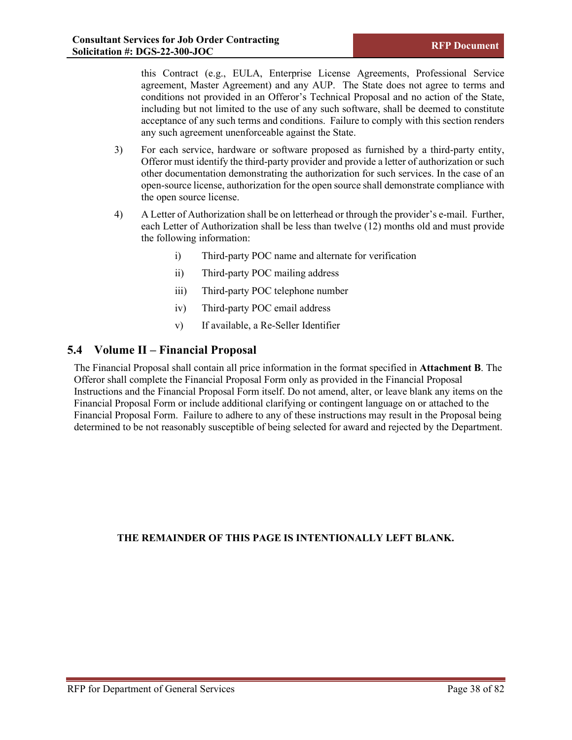this Contract (e.g., EULA, Enterprise License Agreements, Professional Service agreement, Master Agreement) and any AUP. The State does not agree to terms and conditions not provided in an Offeror's Technical Proposal and no action of the State, including but not limited to the use of any such software, shall be deemed to constitute acceptance of any such terms and conditions. Failure to comply with this section renders any such agreement unenforceable against the State.

- 3) For each service, hardware or software proposed as furnished by a third-party entity, Offeror must identify the third-party provider and provide a letter of authorization or such other documentation demonstrating the authorization for such services. In the case of an open-source license, authorization for the open source shall demonstrate compliance with the open source license.
- 4) A Letter of Authorization shall be on letterhead or through the provider's e-mail. Further, each Letter of Authorization shall be less than twelve (12) months old and must provide the following information:
	- i) Third-party POC name and alternate for verification
	- ii) Third-party POC mailing address
	- iii) Third-party POC telephone number
	- iv) Third-party POC email address
	- v) If available, a Re-Seller Identifier

## **5.4 Volume II – Financial Proposal**

The Financial Proposal shall contain all price information in the format specified in **Attachment B**. The Offeror shall complete the Financial Proposal Form only as provided in the Financial Proposal Instructions and the Financial Proposal Form itself. Do not amend, alter, or leave blank any items on the Financial Proposal Form or include additional clarifying or contingent language on or attached to the Financial Proposal Form. Failure to adhere to any of these instructions may result in the Proposal being determined to be not reasonably susceptible of being selected for award and rejected by the Department.

## **THE REMAINDER OF THIS PAGE IS INTENTIONALLY LEFT BLANK.**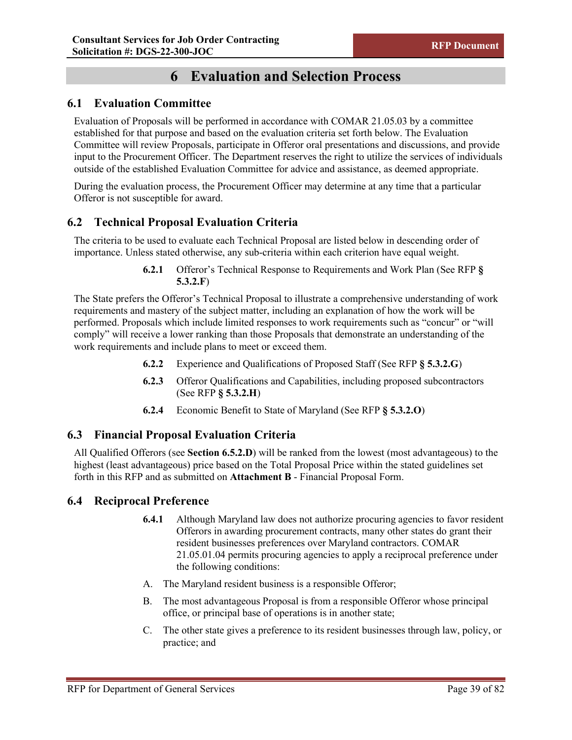# **6 Evaluation and Selection Process**

## **6.1 Evaluation Committee**

Evaluation of Proposals will be performed in accordance with COMAR 21.05.03 by a committee established for that purpose and based on the evaluation criteria set forth below. The Evaluation Committee will review Proposals, participate in Offeror oral presentations and discussions, and provide input to the Procurement Officer. The Department reserves the right to utilize the services of individuals outside of the established Evaluation Committee for advice and assistance, as deemed appropriate.

During the evaluation process, the Procurement Officer may determine at any time that a particular Offeror is not susceptible for award.

## **6.2 Technical Proposal Evaluation Criteria**

The criteria to be used to evaluate each Technical Proposal are listed below in descending order of importance. Unless stated otherwise, any sub-criteria within each criterion have equal weight.

> **6.2.1** Offeror's Technical Response to Requirements and Work Plan (See RFP **§ 5.3.2.F**)

The State prefers the Offeror's Technical Proposal to illustrate a comprehensive understanding of work requirements and mastery of the subject matter, including an explanation of how the work will be performed. Proposals which include limited responses to work requirements such as "concur" or "will comply" will receive a lower ranking than those Proposals that demonstrate an understanding of the work requirements and include plans to meet or exceed them.

- **6.2.2** Experience and Qualifications of Proposed Staff (See RFP **§ 5.3.2.G**)
- **6.2.3** Offeror Qualifications and Capabilities, including proposed subcontractors (See RFP **§ 5.3.2.H**)
- **6.2.4** Economic Benefit to State of Maryland (See RFP **§ 5.3.2.O**)

## **6.3 Financial Proposal Evaluation Criteria**

All Qualified Offerors (see **Section 6.5.2.D**) will be ranked from the lowest (most advantageous) to the highest (least advantageous) price based on the Total Proposal Price within the stated guidelines set forth in this RFP and as submitted on **Attachment B** - Financial Proposal Form.

## **6.4 Reciprocal Preference**

- **6.4.1** Although Maryland law does not authorize procuring agencies to favor resident Offerors in awarding procurement contracts, many other states do grant their resident businesses preferences over Maryland contractors. COMAR 21.05.01.04 permits procuring agencies to apply a reciprocal preference under the following conditions:
- A. The Maryland resident business is a responsible Offeror;
- B. The most advantageous Proposal is from a responsible Offeror whose principal office, or principal base of operations is in another state;
- C. The other state gives a preference to its resident businesses through law, policy, or practice; and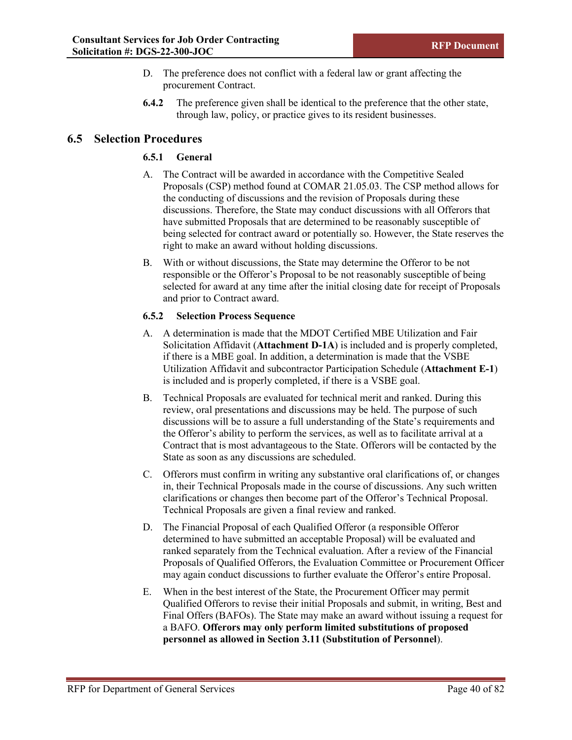- D. The preference does not conflict with a federal law or grant affecting the procurement Contract.
- **6.4.2** The preference given shall be identical to the preference that the other state, through law, policy, or practice gives to its resident businesses.

## **6.5 Selection Procedures**

### **6.5.1 General**

- A. The Contract will be awarded in accordance with the Competitive Sealed Proposals (CSP) method found at COMAR 21.05.03. The CSP method allows for the conducting of discussions and the revision of Proposals during these discussions. Therefore, the State may conduct discussions with all Offerors that have submitted Proposals that are determined to be reasonably susceptible of being selected for contract award or potentially so. However, the State reserves the right to make an award without holding discussions.
- B. With or without discussions, the State may determine the Offeror to be not responsible or the Offeror's Proposal to be not reasonably susceptible of being selected for award at any time after the initial closing date for receipt of Proposals and prior to Contract award.

#### **6.5.2 Selection Process Sequence**

- A. A determination is made that the MDOT Certified MBE Utilization and Fair Solicitation Affidavit (**Attachment D-1A**) is included and is properly completed, if there is a MBE goal. In addition, a determination is made that the VSBE Utilization Affidavit and subcontractor Participation Schedule (**Attachment E-1**) is included and is properly completed, if there is a VSBE goal.
- B. Technical Proposals are evaluated for technical merit and ranked. During this review, oral presentations and discussions may be held. The purpose of such discussions will be to assure a full understanding of the State's requirements and the Offeror's ability to perform the services, as well as to facilitate arrival at a Contract that is most advantageous to the State. Offerors will be contacted by the State as soon as any discussions are scheduled.
- C. Offerors must confirm in writing any substantive oral clarifications of, or changes in, their Technical Proposals made in the course of discussions. Any such written clarifications or changes then become part of the Offeror's Technical Proposal. Technical Proposals are given a final review and ranked.
- D. The Financial Proposal of each Qualified Offeror (a responsible Offeror determined to have submitted an acceptable Proposal) will be evaluated and ranked separately from the Technical evaluation. After a review of the Financial Proposals of Qualified Offerors, the Evaluation Committee or Procurement Officer may again conduct discussions to further evaluate the Offeror's entire Proposal.
- E. When in the best interest of the State, the Procurement Officer may permit Qualified Offerors to revise their initial Proposals and submit, in writing, Best and Final Offers (BAFOs). The State may make an award without issuing a request for a BAFO. **Offerors may only perform limited substitutions of proposed personnel as allowed in Section 3.11 (Substitution of Personnel**).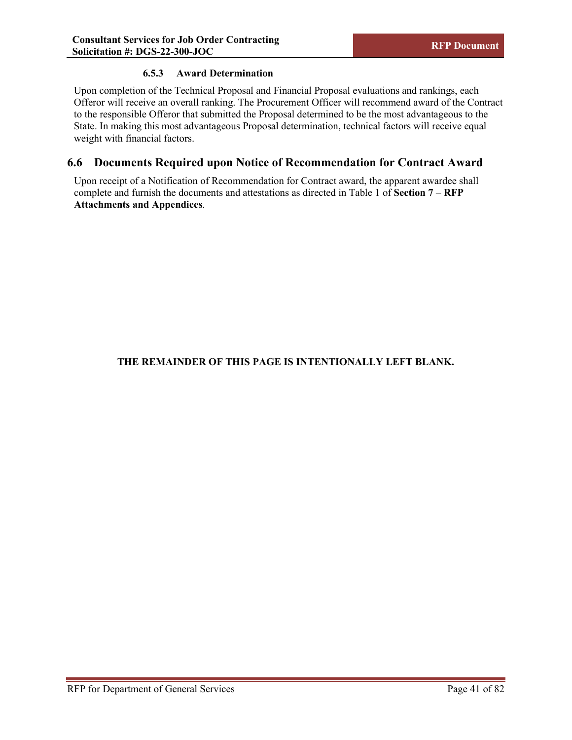### **6.5.3 Award Determination**

Upon completion of the Technical Proposal and Financial Proposal evaluations and rankings, each Offeror will receive an overall ranking. The Procurement Officer will recommend award of the Contract to the responsible Offeror that submitted the Proposal determined to be the most advantageous to the State. In making this most advantageous Proposal determination, technical factors will receive equal weight with financial factors.

## **6.6 Documents Required upon Notice of Recommendation for Contract Award**

Upon receipt of a Notification of Recommendation for Contract award, the apparent awardee shall complete and furnish the documents and attestations as directed in Table 1 of **Section 7** – **RFP Attachments and Appendices**.

## **THE REMAINDER OF THIS PAGE IS INTENTIONALLY LEFT BLANK.**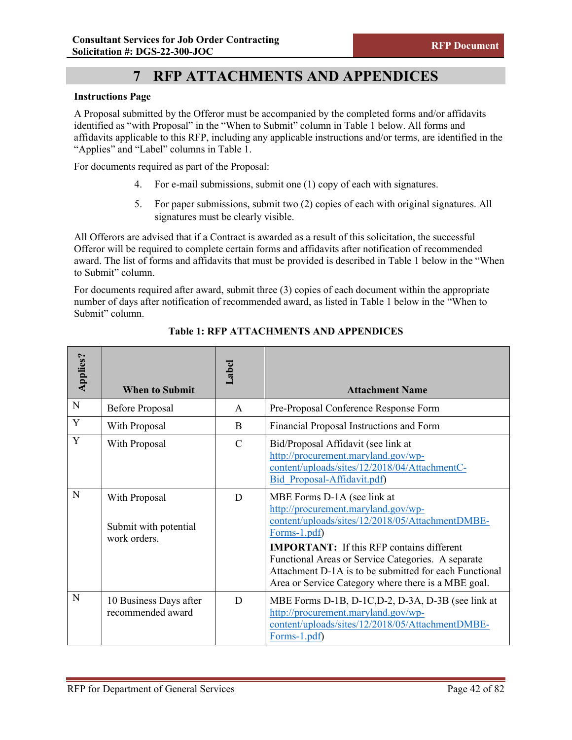# **7 RFP ATTACHMENTS AND APPENDICES**

#### **Instructions Page**

A Proposal submitted by the Offeror must be accompanied by the completed forms and/or affidavits identified as "with Proposal" in the "When to Submit" column in Table 1 below. All forms and affidavits applicable to this RFP, including any applicable instructions and/or terms, are identified in the "Applies" and "Label" columns in Table 1.

For documents required as part of the Proposal:

- 4. For e-mail submissions, submit one (1) copy of each with signatures.
- 5. For paper submissions, submit two (2) copies of each with original signatures. All signatures must be clearly visible.

All Offerors are advised that if a Contract is awarded as a result of this solicitation, the successful Offeror will be required to complete certain forms and affidavits after notification of recommended award. The list of forms and affidavits that must be provided is described in Table 1 below in the "When to Submit" column.

For documents required after award, submit three (3) copies of each document within the appropriate number of days after notification of recommended award, as listed in Table 1 below in the "When to Submit" column.

| <b>Applies?</b> | <b>When to Submit</b>                                  | Label         | <b>Attachment Name</b>                                                                                                                                                                                                                                                                                                                                            |
|-----------------|--------------------------------------------------------|---------------|-------------------------------------------------------------------------------------------------------------------------------------------------------------------------------------------------------------------------------------------------------------------------------------------------------------------------------------------------------------------|
| $\mathbf N$     | <b>Before Proposal</b>                                 | $\mathsf{A}$  | Pre-Proposal Conference Response Form                                                                                                                                                                                                                                                                                                                             |
| Y               | With Proposal                                          | B             | Financial Proposal Instructions and Form                                                                                                                                                                                                                                                                                                                          |
| Y               | With Proposal                                          | $\mathcal{C}$ | Bid/Proposal Affidavit (see link at<br>http://procurement.maryland.gov/wp-<br>content/uploads/sites/12/2018/04/AttachmentC-<br>Bid Proposal-Affidavit.pdf)                                                                                                                                                                                                        |
| N               | With Proposal<br>Submit with potential<br>work orders. | D             | MBE Forms D-1A (see link at<br>http://procurement.maryland.gov/wp-<br>content/uploads/sites/12/2018/05/AttachmentDMBE-<br>Forms-1.pdf)<br><b>IMPORTANT:</b> If this RFP contains different<br>Functional Areas or Service Categories. A separate<br>Attachment D-1A is to be submitted for each Functional<br>Area or Service Category where there is a MBE goal. |
| N               | 10 Business Days after<br>recommended award            | D             | MBE Forms D-1B, D-1C, D-2, D-3A, D-3B (see link at<br>http://procurement.maryland.gov/wp-<br>content/uploads/sites/12/2018/05/AttachmentDMBE-<br>$\text{Forms-1.pdf}$                                                                                                                                                                                             |

**Table 1: RFP ATTACHMENTS AND APPENDICES**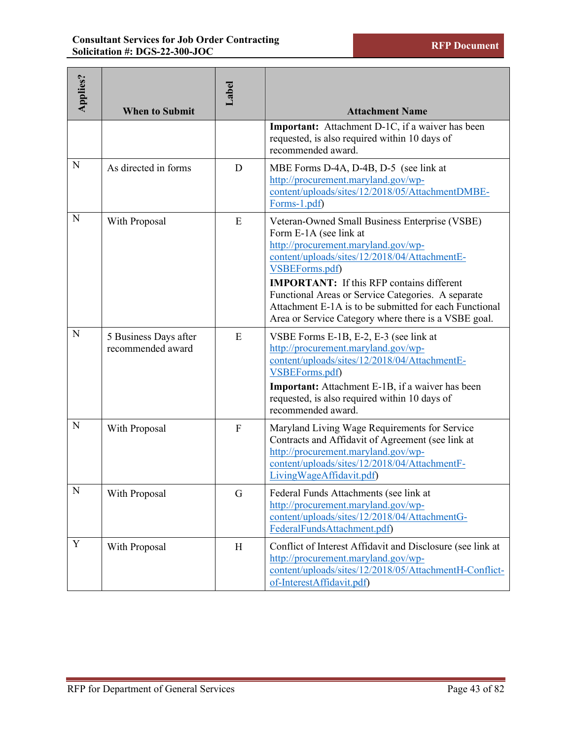| <b>Applies?</b> | <b>When to Submit</b>                      | Label | <b>Attachment Name</b>                                                                                                                                                                                                                                                                                                                                                                                         |
|-----------------|--------------------------------------------|-------|----------------------------------------------------------------------------------------------------------------------------------------------------------------------------------------------------------------------------------------------------------------------------------------------------------------------------------------------------------------------------------------------------------------|
|                 |                                            |       | Important: Attachment D-1C, if a waiver has been<br>requested, is also required within 10 days of<br>recommended award.                                                                                                                                                                                                                                                                                        |
| $\mathbf N$     | As directed in forms                       | D     | MBE Forms D-4A, D-4B, D-5 (see link at<br>http://procurement.maryland.gov/wp-<br>content/uploads/sites/12/2018/05/AttachmentDMBE-<br>Forms-1.pdf)                                                                                                                                                                                                                                                              |
| N               | With Proposal                              | E     | Veteran-Owned Small Business Enterprise (VSBE)<br>Form E-1A (see link at<br>http://procurement.maryland.gov/wp-<br>content/uploads/sites/12/2018/04/AttachmentE-<br>VSBEForms.pdf)<br><b>IMPORTANT:</b> If this RFP contains different<br>Functional Areas or Service Categories. A separate<br>Attachment E-1A is to be submitted for each Functional<br>Area or Service Category where there is a VSBE goal. |
| $\mathbf N$     | 5 Business Days after<br>recommended award | E     | VSBE Forms E-1B, E-2, E-3 (see link at<br>http://procurement.maryland.gov/wp-<br>content/uploads/sites/12/2018/04/AttachmentE-<br>VSBEForms.pdf)<br><b>Important:</b> Attachment E-1B, if a waiver has been<br>requested, is also required within 10 days of<br>recommended award.                                                                                                                             |
| N               | With Proposal                              | F     | Maryland Living Wage Requirements for Service<br>Contracts and Affidavit of Agreement (see link at<br>http://procurement.maryland.gov/wp-<br>content/uploads/sites/12/2018/04/AttachmentF-<br>LivingWageAffidavit.pdf)                                                                                                                                                                                         |
| N               | With Proposal                              | G     | Federal Funds Attachments (see link at<br>http://procurement.maryland.gov/wp-<br>content/uploads/sites/12/2018/04/AttachmentG-<br>FederalFundsAttachment.pdf)                                                                                                                                                                                                                                                  |
| Y               | With Proposal                              | H     | Conflict of Interest Affidavit and Disclosure (see link at<br>http://procurement.maryland.gov/wp-<br>content/uploads/sites/12/2018/05/AttachmentH-Conflict-<br>of-InterestAffidavit.pdf)                                                                                                                                                                                                                       |
|                 | RFP for Department of General Services     |       | Page 43 of 82                                                                                                                                                                                                                                                                                                                                                                                                  |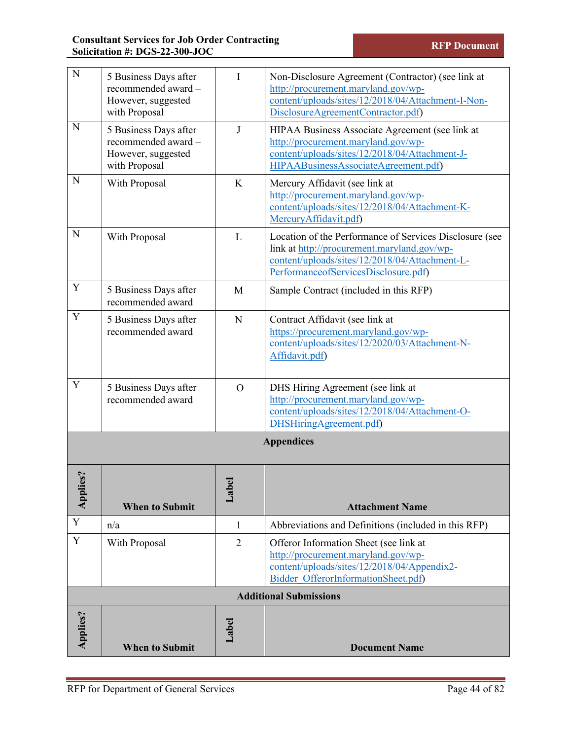| N                                  | 5 Business Days after<br>recommended award -<br>However, suggested<br>with Proposal | I                              | Non-Disclosure Agreement (Contractor) (see link at<br>http://procurement.maryland.gov/wp-<br>content/uploads/sites/12/2018/04/Attachment-I-Non-<br>DisclosureAgreementContractor.pdf)            |  |
|------------------------------------|-------------------------------------------------------------------------------------|--------------------------------|--------------------------------------------------------------------------------------------------------------------------------------------------------------------------------------------------|--|
| N                                  | 5 Business Days after<br>recommended award -<br>However, suggested<br>with Proposal | J                              | HIPAA Business Associate Agreement (see link at<br>http://procurement.maryland.gov/wp-<br>content/uploads/sites/12/2018/04/Attachment-J-<br>HIPAABusinessAssociateAgreement.pdf)                 |  |
| N                                  | With Proposal                                                                       | K                              | Mercury Affidavit (see link at<br>http://procurement.maryland.gov/wp-<br>content/uploads/sites/12/2018/04/Attachment-K-<br>MercuryAffidavit.pdf)                                                 |  |
| N                                  | With Proposal                                                                       | L                              | Location of the Performance of Services Disclosure (see<br>link at http://procurement.maryland.gov/wp-<br>content/uploads/sites/12/2018/04/Attachment-L-<br>PerformanceofServicesDisclosure.pdf) |  |
| Y                                  | 5 Business Days after<br>recommended award                                          | M                              | Sample Contract (included in this RFP)                                                                                                                                                           |  |
| Y                                  | 5 Business Days after<br>recommended award                                          | N                              | Contract Affidavit (see link at<br>https://procurement.maryland.gov/wp-<br>content/uploads/sites/12/2020/03/Attachment-N-<br>Affidavit.pdf)                                                      |  |
| Y                                  | 5 Business Days after<br>recommended award                                          | $\overline{O}$                 | DHS Hiring Agreement (see link at<br>http://procurement.maryland.gov/wp-<br>content/uploads/sites/12/2018/04/Attachment-O-<br>DHSHiringAgreement.pdf)                                            |  |
| <b>Appendices</b>                  |                                                                                     |                                |                                                                                                                                                                                                  |  |
| $\mathbf{e}\mathbf{s}$ ?<br>Applie | <b>When to Submit</b>                                                               | $\overline{\mathbf{c}}$<br>Lab | <b>Attachment Name</b>                                                                                                                                                                           |  |
| $\mathbf Y$                        | n/a                                                                                 | $\mathbf{1}$                   | Abbreviations and Definitions (included in this RFP)                                                                                                                                             |  |
| $\mathbf Y$                        | With Proposal                                                                       | $\overline{2}$                 | Offeror Information Sheet (see link at<br>http://procurement.maryland.gov/wp-<br>content/uploads/sites/12/2018/04/Appendix2-<br>Bidder OfferorInformationSheet.pdf)                              |  |
| <b>Additional Submissions</b>      |                                                                                     |                                |                                                                                                                                                                                                  |  |
| <b>Applies?</b>                    | <b>When to Submit</b>                                                               | Label                          | <b>Document Name</b>                                                                                                                                                                             |  |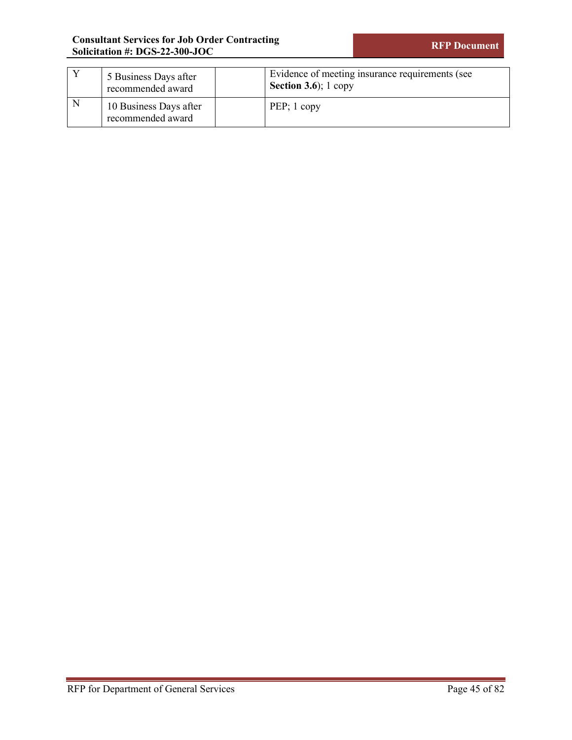|   | 5 Business Days after<br>recommended award  | Evidence of meeting insurance requirements (see<br><b>Section 3.6</b> ); $1$ copy |
|---|---------------------------------------------|-----------------------------------------------------------------------------------|
| N | 10 Business Days after<br>recommended award | $PEP$ ; 1 copy                                                                    |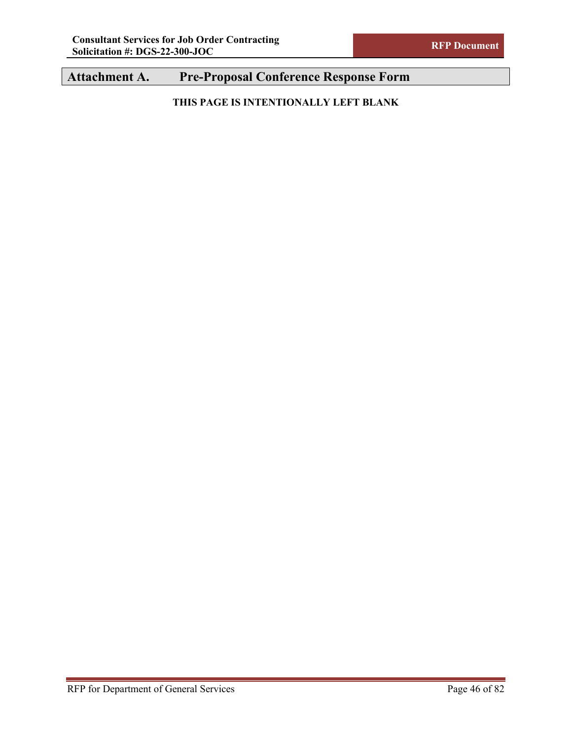# **Attachment A. Pre-Proposal Conference Response Form**

**THIS PAGE IS INTENTIONALLY LEFT BLANK**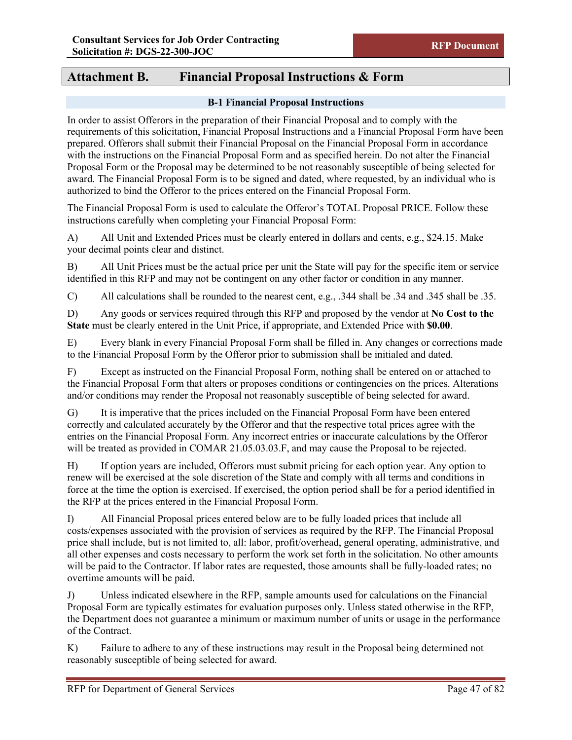## **Attachment B. Financial Proposal Instructions & Form**

#### **B-1 Financial Proposal Instructions**

In order to assist Offerors in the preparation of their Financial Proposal and to comply with the requirements of this solicitation, Financial Proposal Instructions and a Financial Proposal Form have been prepared. Offerors shall submit their Financial Proposal on the Financial Proposal Form in accordance with the instructions on the Financial Proposal Form and as specified herein. Do not alter the Financial Proposal Form or the Proposal may be determined to be not reasonably susceptible of being selected for award. The Financial Proposal Form is to be signed and dated, where requested, by an individual who is authorized to bind the Offeror to the prices entered on the Financial Proposal Form.

The Financial Proposal Form is used to calculate the Offeror's TOTAL Proposal PRICE. Follow these instructions carefully when completing your Financial Proposal Form:

A) All Unit and Extended Prices must be clearly entered in dollars and cents, e.g., \$24.15. Make your decimal points clear and distinct.

B) All Unit Prices must be the actual price per unit the State will pay for the specific item or service identified in this RFP and may not be contingent on any other factor or condition in any manner.

C) All calculations shall be rounded to the nearest cent, e.g., .344 shall be .34 and .345 shall be .35.

D) Any goods or services required through this RFP and proposed by the vendor at **No Cost to the State** must be clearly entered in the Unit Price, if appropriate, and Extended Price with **\$0.00**.

E) Every blank in every Financial Proposal Form shall be filled in. Any changes or corrections made to the Financial Proposal Form by the Offeror prior to submission shall be initialed and dated.

F) Except as instructed on the Financial Proposal Form, nothing shall be entered on or attached to the Financial Proposal Form that alters or proposes conditions or contingencies on the prices. Alterations and/or conditions may render the Proposal not reasonably susceptible of being selected for award.

G) It is imperative that the prices included on the Financial Proposal Form have been entered correctly and calculated accurately by the Offeror and that the respective total prices agree with the entries on the Financial Proposal Form. Any incorrect entries or inaccurate calculations by the Offeror will be treated as provided in COMAR 21.05.03.03.F, and may cause the Proposal to be rejected.

H) If option years are included, Offerors must submit pricing for each option year. Any option to renew will be exercised at the sole discretion of the State and comply with all terms and conditions in force at the time the option is exercised. If exercised, the option period shall be for a period identified in the RFP at the prices entered in the Financial Proposal Form.

I) All Financial Proposal prices entered below are to be fully loaded prices that include all costs/expenses associated with the provision of services as required by the RFP. The Financial Proposal price shall include, but is not limited to, all: labor, profit/overhead, general operating, administrative, and all other expenses and costs necessary to perform the work set forth in the solicitation. No other amounts will be paid to the Contractor. If labor rates are requested, those amounts shall be fully-loaded rates; no overtime amounts will be paid.

J) Unless indicated elsewhere in the RFP, sample amounts used for calculations on the Financial Proposal Form are typically estimates for evaluation purposes only. Unless stated otherwise in the RFP, the Department does not guarantee a minimum or maximum number of units or usage in the performance of the Contract.

K) Failure to adhere to any of these instructions may result in the Proposal being determined not reasonably susceptible of being selected for award.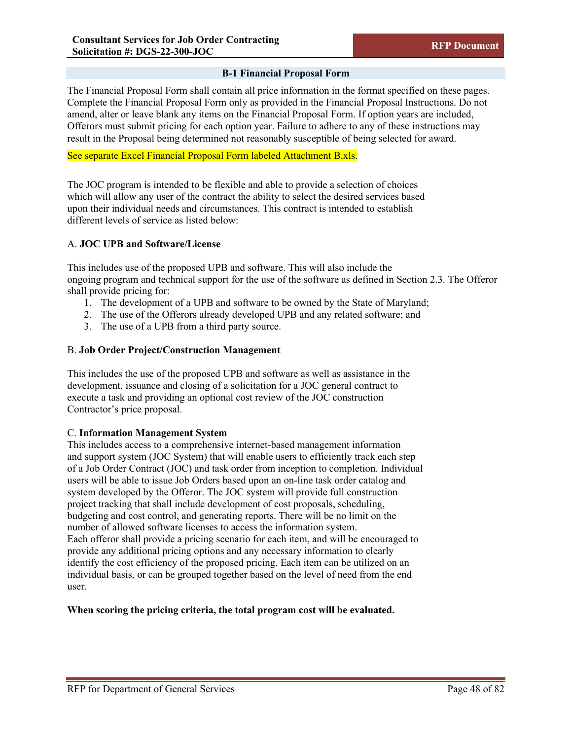### **B-1 Financial Proposal Form**

The Financial Proposal Form shall contain all price information in the format specified on these pages. Complete the Financial Proposal Form only as provided in the Financial Proposal Instructions. Do not amend, alter or leave blank any items on the Financial Proposal Form. If option years are included, Offerors must submit pricing for each option year. Failure to adhere to any of these instructions may result in the Proposal being determined not reasonably susceptible of being selected for award.

#### See separate Excel Financial Proposal Form labeled Attachment B.xls.

The JOC program is intended to be flexible and able to provide a selection of choices which will allow any user of the contract the ability to select the desired services based upon their individual needs and circumstances. This contract is intended to establish different levels of service as listed below:

#### A. **JOC UPB and Software/License**

This includes use of the proposed UPB and software. This will also include the ongoing program and technical support for the use of the software as defined in Section 2.3. The Offeror shall provide pricing for:

- 1. The development of a UPB and software to be owned by the State of Maryland;
- 2. The use of the Offerors already developed UPB and any related software; and
- 3. The use of a UPB from a third party source.

#### B. **Job Order Project/Construction Management**

This includes the use of the proposed UPB and software as well as assistance in the development, issuance and closing of a solicitation for a JOC general contract to execute a task and providing an optional cost review of the JOC construction Contractor's price proposal.

#### C. **Information Management System**

This includes access to a comprehensive internet-based management information and support system (JOC System) that will enable users to efficiently track each step of a Job Order Contract (JOC) and task order from inception to completion. Individual users will be able to issue Job Orders based upon an on-line task order catalog and system developed by the Offeror. The JOC system will provide full construction project tracking that shall include development of cost proposals, scheduling, budgeting and cost control, and generating reports. There will be no limit on the number of allowed software licenses to access the information system. Each offeror shall provide a pricing scenario for each item, and will be encouraged to provide any additional pricing options and any necessary information to clearly identify the cost efficiency of the proposed pricing. Each item can be utilized on an individual basis, or can be grouped together based on the level of need from the end user.

#### **When scoring the pricing criteria, the total program cost will be evaluated.**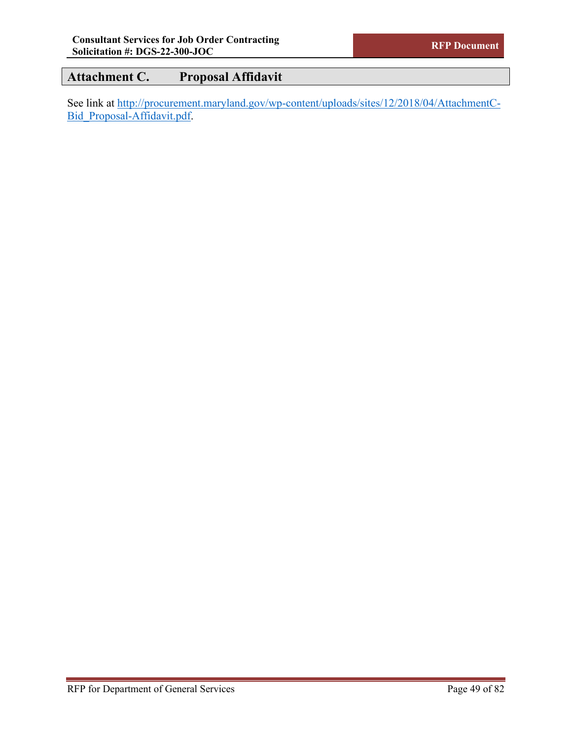## **Attachment C. Proposal Affidavit**

See link at [http://procurement.maryland.gov/wp-content/uploads/sites/12/2018/04/AttachmentC-](http://procurement.maryland.gov/wp-content/uploads/sites/12/2018/04/AttachmentC-Bid_Proposal-Affidavit.pdf)[Bid\\_Proposal-Affidavit.pdf.](http://procurement.maryland.gov/wp-content/uploads/sites/12/2018/04/AttachmentC-Bid_Proposal-Affidavit.pdf)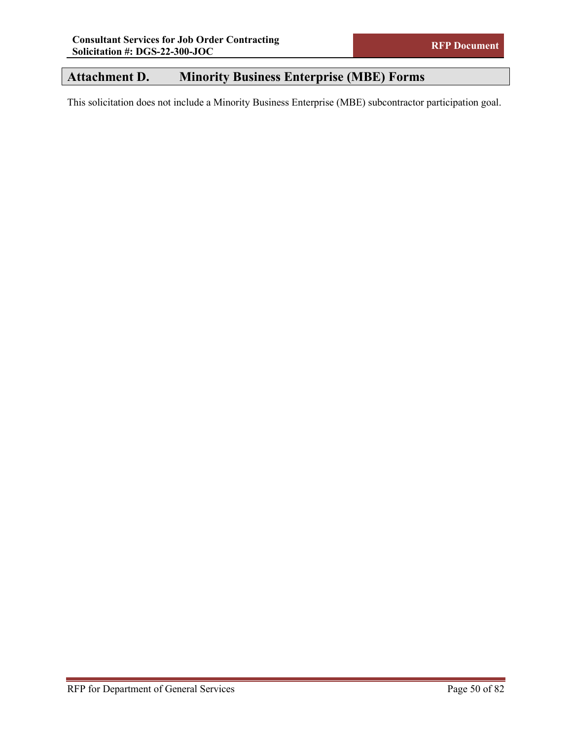## **Attachment D. Minority Business Enterprise (MBE) Forms**

This solicitation does not include a Minority Business Enterprise (MBE) subcontractor participation goal.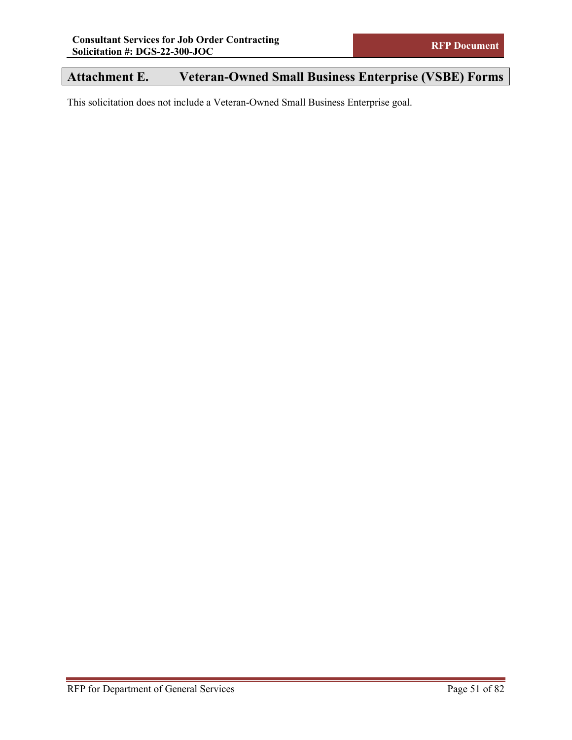# **Attachment E. Veteran-Owned Small Business Enterprise (VSBE) Forms**

This solicitation does not include a Veteran-Owned Small Business Enterprise goal.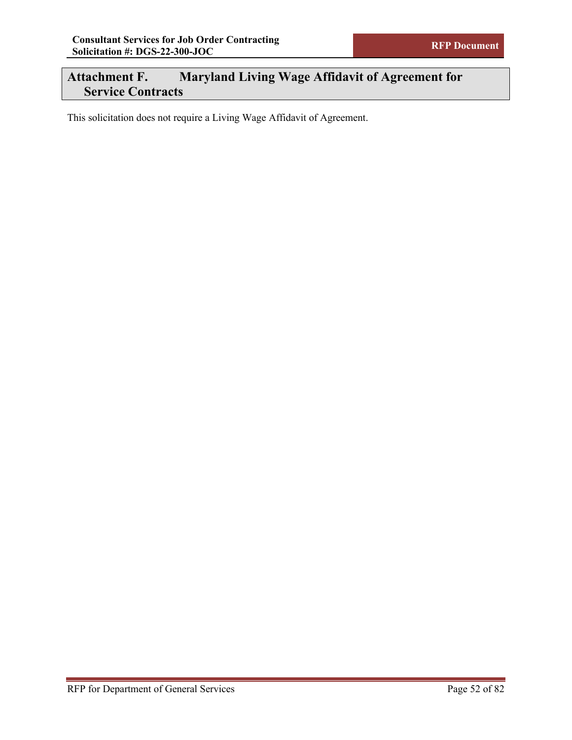## **Attachment F. Maryland Living Wage Affidavit of Agreement for Service Contracts**

This solicitation does not require a Living Wage Affidavit of Agreement.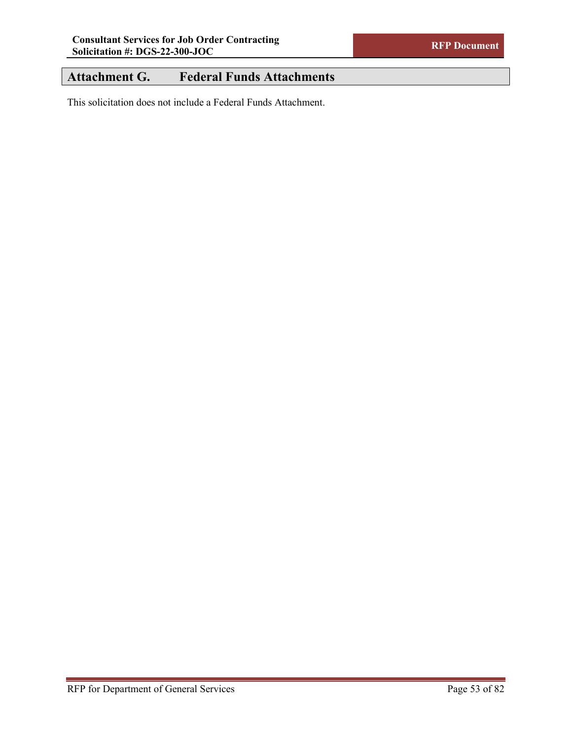# **Attachment G. Federal Funds Attachments**

This solicitation does not include a Federal Funds Attachment.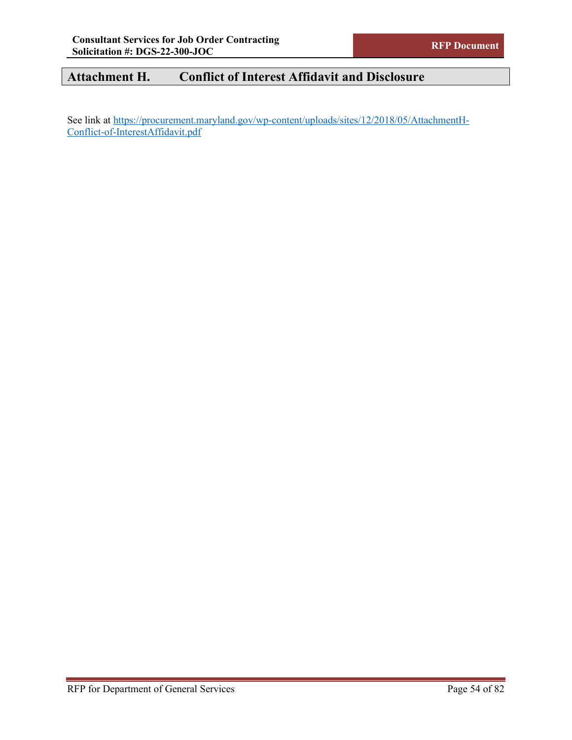# **Attachment H. Conflict of Interest Affidavit and Disclosure**

See link at [https://procurement.maryland.gov/wp-content/uploads/sites/12/2018/05/AttachmentH-](https://procurement.maryland.gov/wp-content/uploads/sites/12/2018/05/AttachmentH-Conflict-of-InterestAffidavit.pdf)[Conflict-of-InterestAffidavit.pdf](https://procurement.maryland.gov/wp-content/uploads/sites/12/2018/05/AttachmentH-Conflict-of-InterestAffidavit.pdf)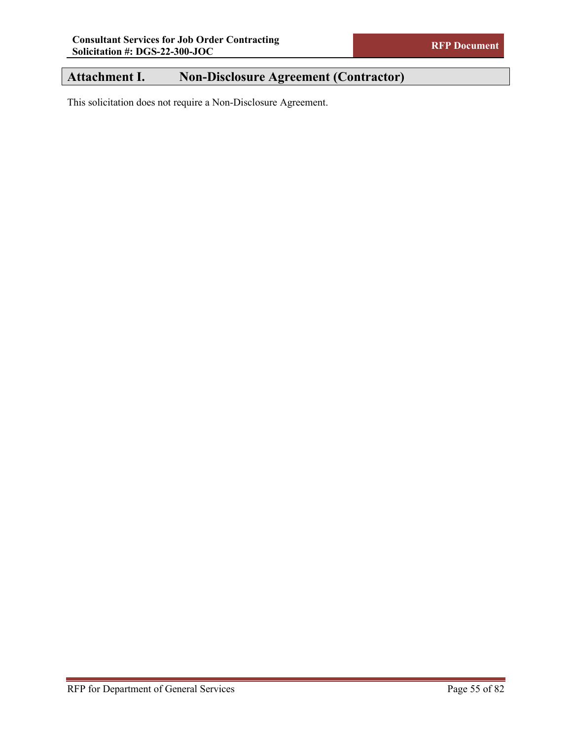## **Attachment I. Non-Disclosure Agreement (Contractor)**

This solicitation does not require a Non-Disclosure Agreement.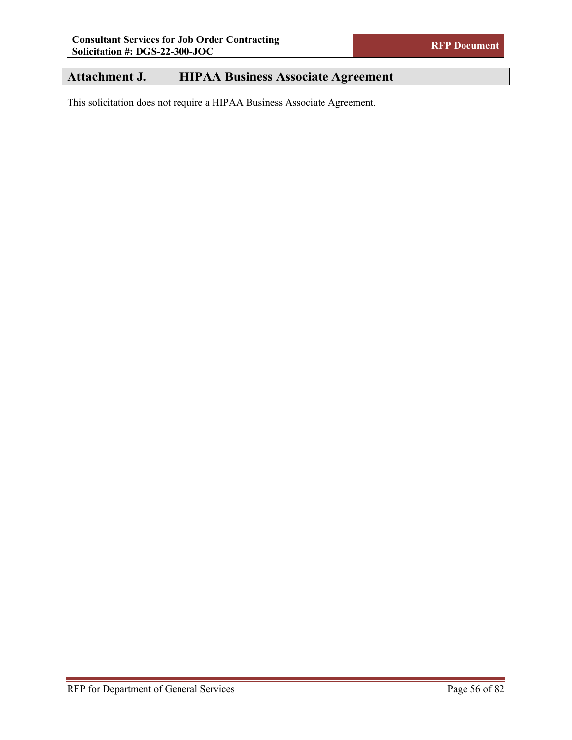## **Attachment J. HIPAA Business Associate Agreement**

This solicitation does not require a HIPAA Business Associate Agreement.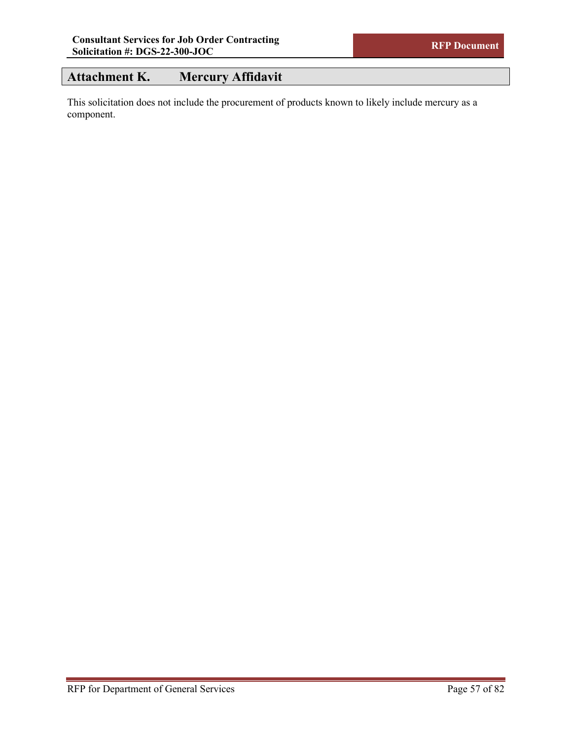## **Attachment K. Mercury Affidavit**

This solicitation does not include the procurement of products known to likely include mercury as a component.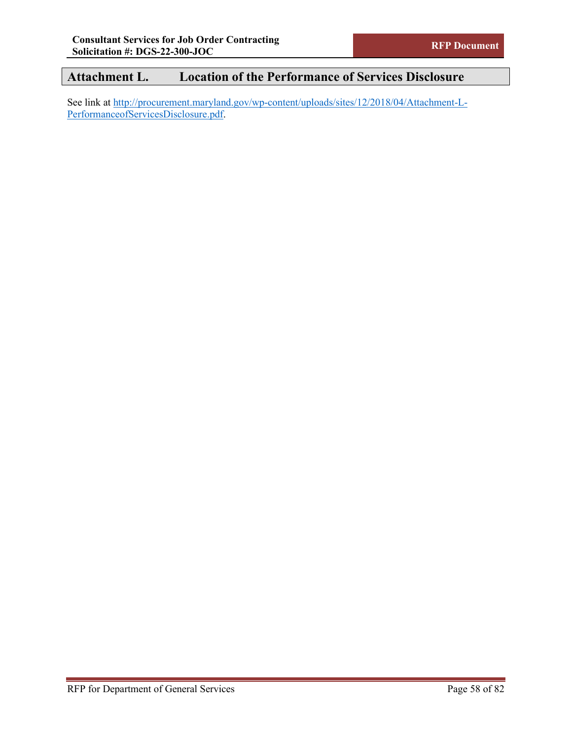# **Attachment L. Location of the Performance of Services Disclosure**

See link at [http://procurement.maryland.gov/wp-content/uploads/sites/12/2018/04/Attachment-L-](http://procurement.maryland.gov/wp-content/uploads/sites/12/2018/04/Attachment-L-PerformanceofServicesDisclosure.pdf)[PerformanceofServicesDisclosure.pdf.](http://procurement.maryland.gov/wp-content/uploads/sites/12/2018/04/Attachment-L-PerformanceofServicesDisclosure.pdf)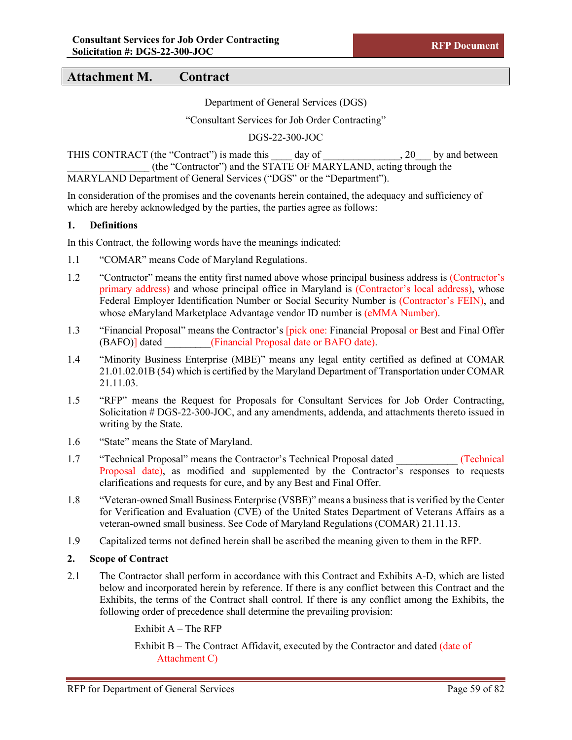Department of General Services (DGS)

"Consultant Services for Job Order Contracting"

DGS-22-300-JOC

THIS CONTRACT (the "Contract") is made this day of the set of the set of the set of the set of the set of the set of the set of the set of the set of the set of the set of the set of the set of the set of the set of the se \_\_\_\_\_\_\_\_\_\_\_\_\_\_\_\_ (the "Contractor") and the STATE OF MARYLAND, acting through the MARYLAND Department of General Services ("DGS" or the "Department").

In consideration of the promises and the covenants herein contained, the adequacy and sufficiency of which are hereby acknowledged by the parties, the parties agree as follows:

#### **1. Definitions**

In this Contract, the following words have the meanings indicated:

- 1.1 "COMAR" means Code of Maryland Regulations.
- 1.2 "Contractor" means the entity first named above whose principal business address is (Contractor's primary address) and whose principal office in Maryland is (Contractor's local address), whose Federal Employer Identification Number or Social Security Number is (Contractor's FEIN), and whose eMaryland Marketplace Advantage vendor ID number is (eMMA Number).
- 1.3 "Financial Proposal" means the Contractor's [pick one: Financial Proposal or Best and Final Offer (BAFO)] dated (Financial Proposal date or BAFO date).
- 1.4 "Minority Business Enterprise (MBE)" means any legal entity certified as defined at COMAR 21.01.02.01B (54) which is certified by the Maryland Department of Transportation under COMAR 21.11.03.
- 1.5 "RFP" means the Request for Proposals for Consultant Services for Job Order Contracting, Solicitation # DGS-22-300-JOC, and any amendments, addenda, and attachments thereto issued in writing by the State.
- 1.6 "State" means the State of Maryland.
- 1.7 "Technical Proposal" means the Contractor's Technical Proposal dated \_\_\_\_\_\_\_\_\_\_\_\_ (Technical Proposal date), as modified and supplemented by the Contractor's responses to requests clarifications and requests for cure, and by any Best and Final Offer.
- 1.8 "Veteran-owned Small Business Enterprise (VSBE)" means a business that is verified by the Center for Verification and Evaluation (CVE) of the United States Department of Veterans Affairs as a veteran-owned small business. See Code of Maryland Regulations (COMAR) 21.11.13.
- 1.9 Capitalized terms not defined herein shall be ascribed the meaning given to them in the RFP.

#### **2. Scope of Contract**

2.1 The Contractor shall perform in accordance with this Contract and Exhibits A-D, which are listed below and incorporated herein by reference. If there is any conflict between this Contract and the Exhibits, the terms of the Contract shall control. If there is any conflict among the Exhibits, the following order of precedence shall determine the prevailing provision:

Exhibit  $A$  – The RFP

Exhibit B – The Contract Affidavit, executed by the Contractor and dated (date of Attachment C)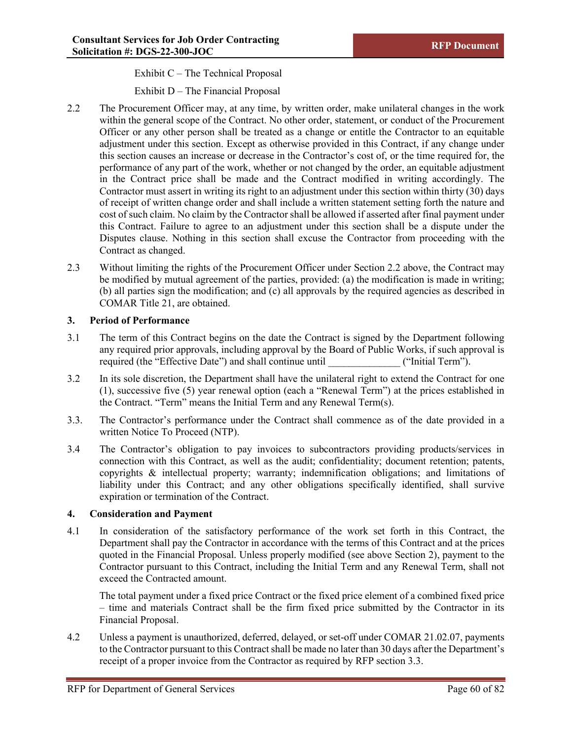Exhibit C – The Technical Proposal

Exhibit D – The Financial Proposal

- 2.2 The Procurement Officer may, at any time, by written order, make unilateral changes in the work within the general scope of the Contract. No other order, statement, or conduct of the Procurement Officer or any other person shall be treated as a change or entitle the Contractor to an equitable adjustment under this section. Except as otherwise provided in this Contract, if any change under this section causes an increase or decrease in the Contractor's cost of, or the time required for, the performance of any part of the work, whether or not changed by the order, an equitable adjustment in the Contract price shall be made and the Contract modified in writing accordingly. The Contractor must assert in writing its right to an adjustment under this section within thirty (30) days of receipt of written change order and shall include a written statement setting forth the nature and cost of such claim. No claim by the Contractor shall be allowed if asserted after final payment under this Contract. Failure to agree to an adjustment under this section shall be a dispute under the Disputes clause. Nothing in this section shall excuse the Contractor from proceeding with the Contract as changed.
- 2.3 Without limiting the rights of the Procurement Officer under Section 2.2 above, the Contract may be modified by mutual agreement of the parties, provided: (a) the modification is made in writing; (b) all parties sign the modification; and (c) all approvals by the required agencies as described in COMAR Title 21, are obtained.

### **3. Period of Performance**

- 3.1 The term of this Contract begins on the date the Contract is signed by the Department following any required prior approvals, including approval by the Board of Public Works, if such approval is required (the "Effective Date") and shall continue until ("Initial Term").
- 3.2 In its sole discretion, the Department shall have the unilateral right to extend the Contract for one (1), successive five (5) year renewal option (each a "Renewal Term") at the prices established in the Contract. "Term" means the Initial Term and any Renewal Term(s).
- 3.3. The Contractor's performance under the Contract shall commence as of the date provided in a written Notice To Proceed (NTP).
- 3.4 The Contractor's obligation to pay invoices to subcontractors providing products/services in connection with this Contract, as well as the audit; confidentiality; document retention; patents, copyrights & intellectual property; warranty; indemnification obligations; and limitations of liability under this Contract; and any other obligations specifically identified, shall survive expiration or termination of the Contract.

## **4. Consideration and Payment**

4.1 In consideration of the satisfactory performance of the work set forth in this Contract, the Department shall pay the Contractor in accordance with the terms of this Contract and at the prices quoted in the Financial Proposal. Unless properly modified (see above Section 2), payment to the Contractor pursuant to this Contract, including the Initial Term and any Renewal Term, shall not exceed the Contracted amount.

The total payment under a fixed price Contract or the fixed price element of a combined fixed price – time and materials Contract shall be the firm fixed price submitted by the Contractor in its Financial Proposal.

4.2 Unless a payment is unauthorized, deferred, delayed, or set-off under COMAR 21.02.07, payments to the Contractor pursuant to this Contract shall be made no later than 30 days after the Department's receipt of a proper invoice from the Contractor as required by RFP section 3.3.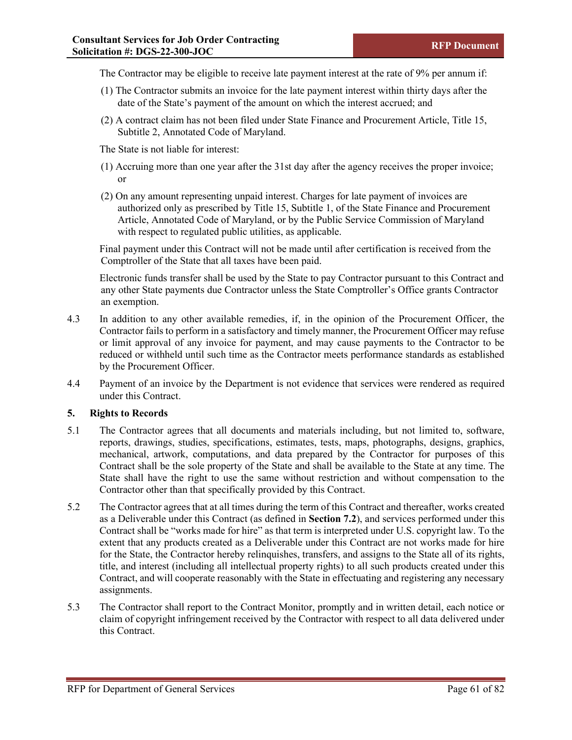The Contractor may be eligible to receive late payment interest at the rate of 9% per annum if:

- (1) The Contractor submits an invoice for the late payment interest within thirty days after the date of the State's payment of the amount on which the interest accrued; and
- (2) A contract claim has not been filed under State Finance and Procurement Article, Title 15, Subtitle 2, Annotated Code of Maryland.

The State is not liable for interest:

- (1) Accruing more than one year after the 31st day after the agency receives the proper invoice; or
- (2) On any amount representing unpaid interest. Charges for late payment of invoices are authorized only as prescribed by Title 15, Subtitle 1, of the State Finance and Procurement Article, Annotated Code of Maryland, or by the Public Service Commission of Maryland with respect to regulated public utilities, as applicable.

Final payment under this Contract will not be made until after certification is received from the Comptroller of the State that all taxes have been paid.

Electronic funds transfer shall be used by the State to pay Contractor pursuant to this Contract and any other State payments due Contractor unless the State Comptroller's Office grants Contractor an exemption.

- 4.3 In addition to any other available remedies, if, in the opinion of the Procurement Officer, the Contractor fails to perform in a satisfactory and timely manner, the Procurement Officer may refuse or limit approval of any invoice for payment, and may cause payments to the Contractor to be reduced or withheld until such time as the Contractor meets performance standards as established by the Procurement Officer.
- 4.4 Payment of an invoice by the Department is not evidence that services were rendered as required under this Contract.

#### **5. Rights to Records**

- 5.1 The Contractor agrees that all documents and materials including, but not limited to, software, reports, drawings, studies, specifications, estimates, tests, maps, photographs, designs, graphics, mechanical, artwork, computations, and data prepared by the Contractor for purposes of this Contract shall be the sole property of the State and shall be available to the State at any time. The State shall have the right to use the same without restriction and without compensation to the Contractor other than that specifically provided by this Contract.
- 5.2 The Contractor agrees that at all times during the term of this Contract and thereafter, works created as a Deliverable under this Contract (as defined in **Section 7.2**), and services performed under this Contract shall be "works made for hire" as that term is interpreted under U.S. copyright law. To the extent that any products created as a Deliverable under this Contract are not works made for hire for the State, the Contractor hereby relinquishes, transfers, and assigns to the State all of its rights, title, and interest (including all intellectual property rights) to all such products created under this Contract, and will cooperate reasonably with the State in effectuating and registering any necessary assignments.
- 5.3 The Contractor shall report to the Contract Monitor, promptly and in written detail, each notice or claim of copyright infringement received by the Contractor with respect to all data delivered under this Contract.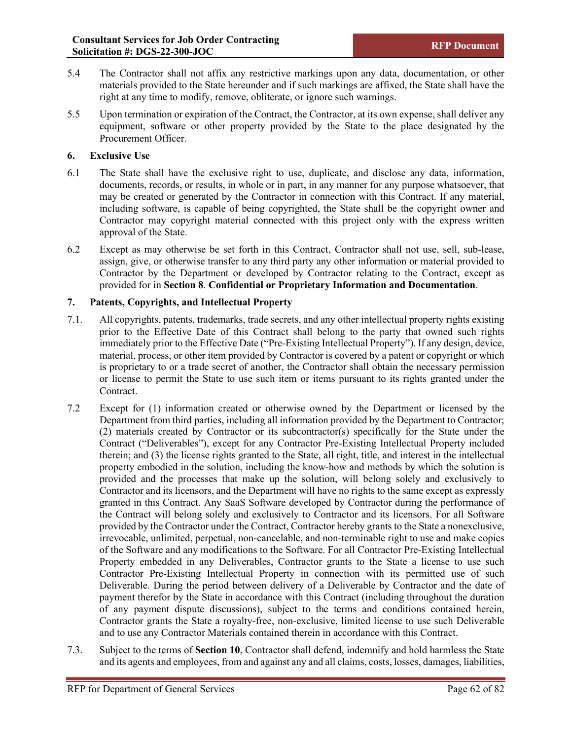- 5.4 The Contractor shall not affix any restrictive markings upon any data, documentation, or other materials provided to the State hereunder and if such markings are affixed, the State shall have the right at any time to modify, remove, obliterate, or ignore such warnings.
- 5.5 Upon termination or expiration of the Contract, the Contractor, at its own expense, shall deliver any equipment, software or other property provided by the State to the place designated by the Procurement Officer.

#### **6. Exclusive Use**

- 6.1 The State shall have the exclusive right to use, duplicate, and disclose any data, information, documents, records, or results, in whole or in part, in any manner for any purpose whatsoever, that may be created or generated by the Contractor in connection with this Contract. If any material, including software, is capable of being copyrighted, the State shall be the copyright owner and Contractor may copyright material connected with this project only with the express written approval of the State.
- 6.2 Except as may otherwise be set forth in this Contract, Contractor shall not use, sell, sub-lease, assign, give, or otherwise transfer to any third party any other information or material provided to Contractor by the Department or developed by Contractor relating to the Contract, except as provided for in **Section 8**. **Confidential or Proprietary Information and Documentation**.

#### **7. Patents, Copyrights, and Intellectual Property**

- 7.1. All copyrights, patents, trademarks, trade secrets, and any other intellectual property rights existing prior to the Effective Date of this Contract shall belong to the party that owned such rights immediately prior to the Effective Date ("Pre-Existing Intellectual Property"). If any design, device, material, process, or other item provided by Contractor is covered by a patent or copyright or which is proprietary to or a trade secret of another, the Contractor shall obtain the necessary permission or license to permit the State to use such item or items pursuant to its rights granted under the Contract.
- 7.2 Except for (1) information created or otherwise owned by the Department or licensed by the Department from third parties, including all information provided by the Department to Contractor; (2) materials created by Contractor or its subcontractor(s) specifically for the State under the Contract ("Deliverables"), except for any Contractor Pre-Existing Intellectual Property included therein; and (3) the license rights granted to the State, all right, title, and interest in the intellectual property embodied in the solution, including the know-how and methods by which the solution is provided and the processes that make up the solution, will belong solely and exclusively to Contractor and its licensors, and the Department will have no rights to the same except as expressly granted in this Contract. Any SaaS Software developed by Contractor during the performance of the Contract will belong solely and exclusively to Contractor and its licensors. For all Software provided by the Contractor under the Contract, Contractor hereby grants to the State a nonexclusive, irrevocable, unlimited, perpetual, non-cancelable, and non-terminable right to use and make copies of the Software and any modifications to the Software. For all Contractor Pre-Existing Intellectual Property embedded in any Deliverables, Contractor grants to the State a license to use such Contractor Pre-Existing Intellectual Property in connection with its permitted use of such Deliverable. During the period between delivery of a Deliverable by Contractor and the date of payment therefor by the State in accordance with this Contract (including throughout the duration of any payment dispute discussions), subject to the terms and conditions contained herein, Contractor grants the State a royalty-free, non-exclusive, limited license to use such Deliverable and to use any Contractor Materials contained therein in accordance with this Contract.
- 7.3. Subject to the terms of **Section 10**, Contractor shall defend, indemnify and hold harmless the State and its agents and employees, from and against any and all claims, costs, losses, damages, liabilities,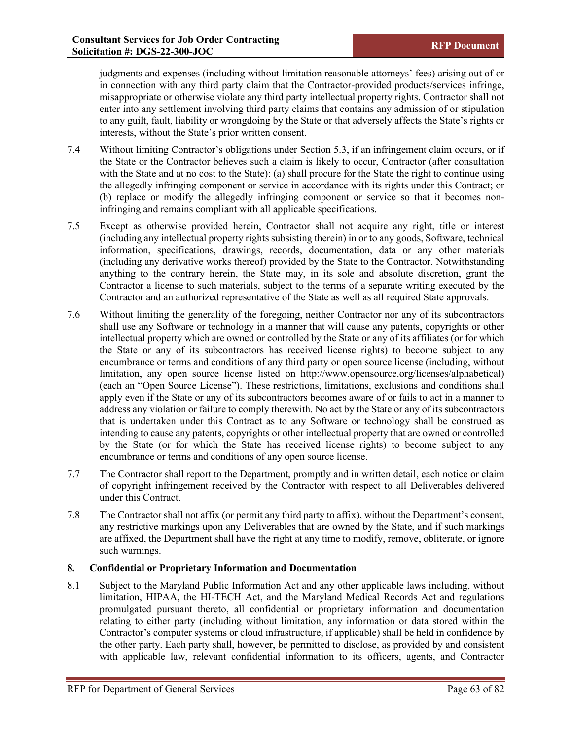judgments and expenses (including without limitation reasonable attorneys' fees) arising out of or in connection with any third party claim that the Contractor-provided products/services infringe, misappropriate or otherwise violate any third party intellectual property rights. Contractor shall not enter into any settlement involving third party claims that contains any admission of or stipulation to any guilt, fault, liability or wrongdoing by the State or that adversely affects the State's rights or interests, without the State's prior written consent.

- 7.4 Without limiting Contractor's obligations under Section 5.3, if an infringement claim occurs, or if the State or the Contractor believes such a claim is likely to occur, Contractor (after consultation with the State and at no cost to the State): (a) shall procure for the State the right to continue using the allegedly infringing component or service in accordance with its rights under this Contract; or (b) replace or modify the allegedly infringing component or service so that it becomes noninfringing and remains compliant with all applicable specifications.
- 7.5 Except as otherwise provided herein, Contractor shall not acquire any right, title or interest (including any intellectual property rights subsisting therein) in or to any goods, Software, technical information, specifications, drawings, records, documentation, data or any other materials (including any derivative works thereof) provided by the State to the Contractor. Notwithstanding anything to the contrary herein, the State may, in its sole and absolute discretion, grant the Contractor a license to such materials, subject to the terms of a separate writing executed by the Contractor and an authorized representative of the State as well as all required State approvals.
- 7.6 Without limiting the generality of the foregoing, neither Contractor nor any of its subcontractors shall use any Software or technology in a manner that will cause any patents, copyrights or other intellectual property which are owned or controlled by the State or any of its affiliates (or for which the State or any of its subcontractors has received license rights) to become subject to any encumbrance or terms and conditions of any third party or open source license (including, without limitation, any open source license listed on http://www.opensource.org/licenses/alphabetical) (each an "Open Source License"). These restrictions, limitations, exclusions and conditions shall apply even if the State or any of its subcontractors becomes aware of or fails to act in a manner to address any violation or failure to comply therewith. No act by the State or any of its subcontractors that is undertaken under this Contract as to any Software or technology shall be construed as intending to cause any patents, copyrights or other intellectual property that are owned or controlled by the State (or for which the State has received license rights) to become subject to any encumbrance or terms and conditions of any open source license.
- 7.7 The Contractor shall report to the Department, promptly and in written detail, each notice or claim of copyright infringement received by the Contractor with respect to all Deliverables delivered under this Contract.
- 7.8 The Contractor shall not affix (or permit any third party to affix), without the Department's consent, any restrictive markings upon any Deliverables that are owned by the State, and if such markings are affixed, the Department shall have the right at any time to modify, remove, obliterate, or ignore such warnings.

## **8. Confidential or Proprietary Information and Documentation**

8.1 Subject to the Maryland Public Information Act and any other applicable laws including, without limitation, HIPAA, the HI-TECH Act, and the Maryland Medical Records Act and regulations promulgated pursuant thereto, all confidential or proprietary information and documentation relating to either party (including without limitation, any information or data stored within the Contractor's computer systems or cloud infrastructure, if applicable) shall be held in confidence by the other party. Each party shall, however, be permitted to disclose, as provided by and consistent with applicable law, relevant confidential information to its officers, agents, and Contractor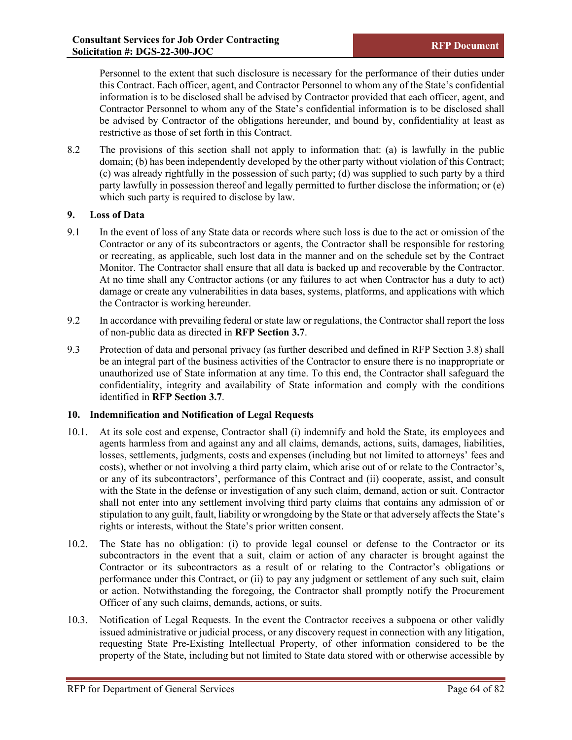Personnel to the extent that such disclosure is necessary for the performance of their duties under this Contract. Each officer, agent, and Contractor Personnel to whom any of the State's confidential information is to be disclosed shall be advised by Contractor provided that each officer, agent, and Contractor Personnel to whom any of the State's confidential information is to be disclosed shall be advised by Contractor of the obligations hereunder, and bound by, confidentiality at least as restrictive as those of set forth in this Contract.

8.2 The provisions of this section shall not apply to information that: (a) is lawfully in the public domain; (b) has been independently developed by the other party without violation of this Contract; (c) was already rightfully in the possession of such party; (d) was supplied to such party by a third party lawfully in possession thereof and legally permitted to further disclose the information; or (e) which such party is required to disclose by law.

### **9. Loss of Data**

- 9.1 In the event of loss of any State data or records where such loss is due to the act or omission of the Contractor or any of its subcontractors or agents, the Contractor shall be responsible for restoring or recreating, as applicable, such lost data in the manner and on the schedule set by the Contract Monitor. The Contractor shall ensure that all data is backed up and recoverable by the Contractor. At no time shall any Contractor actions (or any failures to act when Contractor has a duty to act) damage or create any vulnerabilities in data bases, systems, platforms, and applications with which the Contractor is working hereunder.
- 9.2 In accordance with prevailing federal or state law or regulations, the Contractor shall report the loss of non-public data as directed in **RFP Section 3.7**.
- 9.3 Protection of data and personal privacy (as further described and defined in RFP Section 3.8) shall be an integral part of the business activities of the Contractor to ensure there is no inappropriate or unauthorized use of State information at any time. To this end, the Contractor shall safeguard the confidentiality, integrity and availability of State information and comply with the conditions identified in **RFP Section 3.7**.

## **10. Indemnification and Notification of Legal Requests**

- 10.1. At its sole cost and expense, Contractor shall (i) indemnify and hold the State, its employees and agents harmless from and against any and all claims, demands, actions, suits, damages, liabilities, losses, settlements, judgments, costs and expenses (including but not limited to attorneys' fees and costs), whether or not involving a third party claim, which arise out of or relate to the Contractor's, or any of its subcontractors', performance of this Contract and (ii) cooperate, assist, and consult with the State in the defense or investigation of any such claim, demand, action or suit. Contractor shall not enter into any settlement involving third party claims that contains any admission of or stipulation to any guilt, fault, liability or wrongdoing by the State or that adversely affects the State's rights or interests, without the State's prior written consent.
- 10.2. The State has no obligation: (i) to provide legal counsel or defense to the Contractor or its subcontractors in the event that a suit, claim or action of any character is brought against the Contractor or its subcontractors as a result of or relating to the Contractor's obligations or performance under this Contract, or (ii) to pay any judgment or settlement of any such suit, claim or action. Notwithstanding the foregoing, the Contractor shall promptly notify the Procurement Officer of any such claims, demands, actions, or suits.
- 10.3. Notification of Legal Requests. In the event the Contractor receives a subpoena or other validly issued administrative or judicial process, or any discovery request in connection with any litigation, requesting State Pre-Existing Intellectual Property, of other information considered to be the property of the State, including but not limited to State data stored with or otherwise accessible by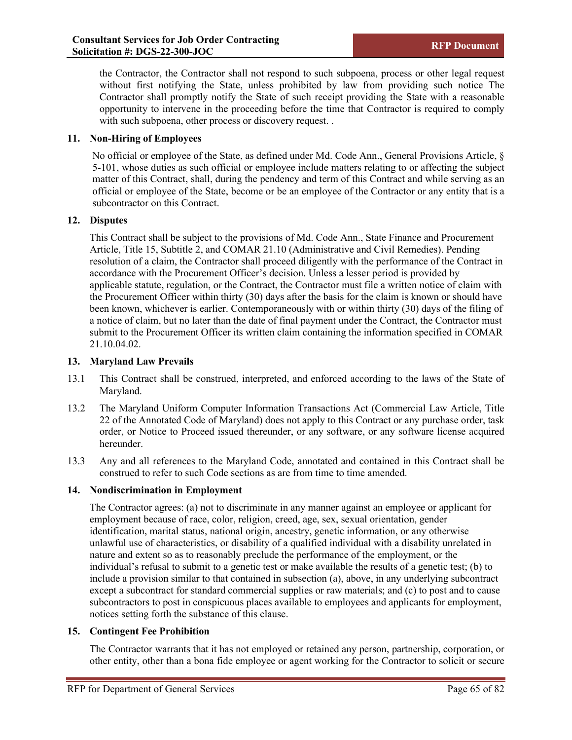the Contractor, the Contractor shall not respond to such subpoena, process or other legal request without first notifying the State, unless prohibited by law from providing such notice The Contractor shall promptly notify the State of such receipt providing the State with a reasonable opportunity to intervene in the proceeding before the time that Contractor is required to comply with such subpoena, other process or discovery request...

### **11. Non-Hiring of Employees**

No official or employee of the State, as defined under Md. Code Ann., General Provisions Article, § 5-101, whose duties as such official or employee include matters relating to or affecting the subject matter of this Contract, shall, during the pendency and term of this Contract and while serving as an official or employee of the State, become or be an employee of the Contractor or any entity that is a subcontractor on this Contract.

#### **12. Disputes**

This Contract shall be subject to the provisions of Md. Code Ann., State Finance and Procurement Article, Title 15, Subtitle 2, and COMAR 21.10 (Administrative and Civil Remedies). Pending resolution of a claim, the Contractor shall proceed diligently with the performance of the Contract in accordance with the Procurement Officer's decision. Unless a lesser period is provided by applicable statute, regulation, or the Contract, the Contractor must file a written notice of claim with the Procurement Officer within thirty (30) days after the basis for the claim is known or should have been known, whichever is earlier. Contemporaneously with or within thirty (30) days of the filing of a notice of claim, but no later than the date of final payment under the Contract, the Contractor must submit to the Procurement Officer its written claim containing the information specified in COMAR 21.10.04.02.

### **13. Maryland Law Prevails**

- 13.1 This Contract shall be construed, interpreted, and enforced according to the laws of the State of Maryland.
- 13.2 The Maryland Uniform Computer Information Transactions Act (Commercial Law Article, Title 22 of the Annotated Code of Maryland) does not apply to this Contract or any purchase order, task order, or Notice to Proceed issued thereunder, or any software, or any software license acquired hereunder.
- 13.3 Any and all references to the Maryland Code, annotated and contained in this Contract shall be construed to refer to such Code sections as are from time to time amended.

#### **14. Nondiscrimination in Employment**

The Contractor agrees: (a) not to discriminate in any manner against an employee or applicant for employment because of race, color, religion, creed, age, sex, sexual orientation, gender identification, marital status, national origin, ancestry, genetic information, or any otherwise unlawful use of characteristics, or disability of a qualified individual with a disability unrelated in nature and extent so as to reasonably preclude the performance of the employment, or the individual's refusal to submit to a genetic test or make available the results of a genetic test; (b) to include a provision similar to that contained in subsection (a), above, in any underlying subcontract except a subcontract for standard commercial supplies or raw materials; and (c) to post and to cause subcontractors to post in conspicuous places available to employees and applicants for employment, notices setting forth the substance of this clause.

#### **15. Contingent Fee Prohibition**

The Contractor warrants that it has not employed or retained any person, partnership, corporation, or other entity, other than a bona fide employee or agent working for the Contractor to solicit or secure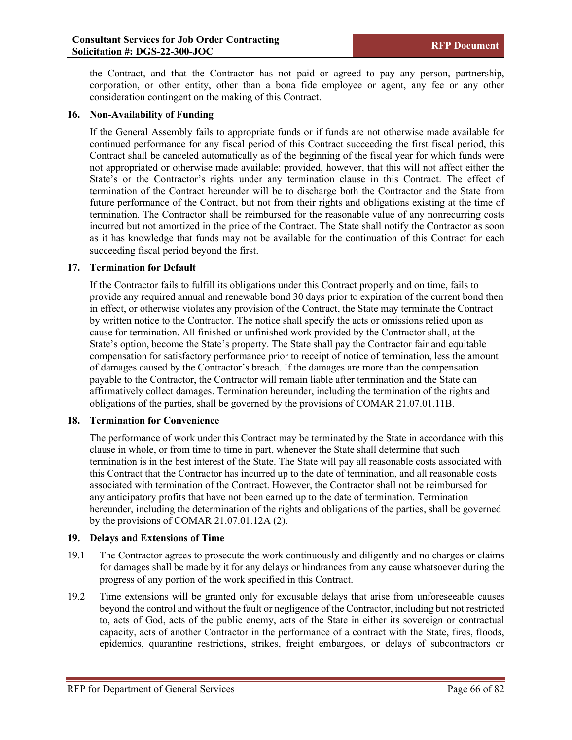the Contract, and that the Contractor has not paid or agreed to pay any person, partnership, corporation, or other entity, other than a bona fide employee or agent, any fee or any other consideration contingent on the making of this Contract.

#### **16. Non-Availability of Funding**

If the General Assembly fails to appropriate funds or if funds are not otherwise made available for continued performance for any fiscal period of this Contract succeeding the first fiscal period, this Contract shall be canceled automatically as of the beginning of the fiscal year for which funds were not appropriated or otherwise made available; provided, however, that this will not affect either the State's or the Contractor's rights under any termination clause in this Contract. The effect of termination of the Contract hereunder will be to discharge both the Contractor and the State from future performance of the Contract, but not from their rights and obligations existing at the time of termination. The Contractor shall be reimbursed for the reasonable value of any nonrecurring costs incurred but not amortized in the price of the Contract. The State shall notify the Contractor as soon as it has knowledge that funds may not be available for the continuation of this Contract for each succeeding fiscal period beyond the first.

#### **17. Termination for Default**

If the Contractor fails to fulfill its obligations under this Contract properly and on time, fails to provide any required annual and renewable bond 30 days prior to expiration of the current bond then in effect, or otherwise violates any provision of the Contract, the State may terminate the Contract by written notice to the Contractor. The notice shall specify the acts or omissions relied upon as cause for termination. All finished or unfinished work provided by the Contractor shall, at the State's option, become the State's property. The State shall pay the Contractor fair and equitable compensation for satisfactory performance prior to receipt of notice of termination, less the amount of damages caused by the Contractor's breach. If the damages are more than the compensation payable to the Contractor, the Contractor will remain liable after termination and the State can affirmatively collect damages. Termination hereunder, including the termination of the rights and obligations of the parties, shall be governed by the provisions of COMAR 21.07.01.11B.

#### **18. Termination for Convenience**

The performance of work under this Contract may be terminated by the State in accordance with this clause in whole, or from time to time in part, whenever the State shall determine that such termination is in the best interest of the State. The State will pay all reasonable costs associated with this Contract that the Contractor has incurred up to the date of termination, and all reasonable costs associated with termination of the Contract. However, the Contractor shall not be reimbursed for any anticipatory profits that have not been earned up to the date of termination. Termination hereunder, including the determination of the rights and obligations of the parties, shall be governed by the provisions of COMAR 21.07.01.12A (2).

#### **19. Delays and Extensions of Time**

- 19.1 The Contractor agrees to prosecute the work continuously and diligently and no charges or claims for damages shall be made by it for any delays or hindrances from any cause whatsoever during the progress of any portion of the work specified in this Contract.
- 19.2 Time extensions will be granted only for excusable delays that arise from unforeseeable causes beyond the control and without the fault or negligence of the Contractor, including but not restricted to, acts of God, acts of the public enemy, acts of the State in either its sovereign or contractual capacity, acts of another Contractor in the performance of a contract with the State, fires, floods, epidemics, quarantine restrictions, strikes, freight embargoes, or delays of subcontractors or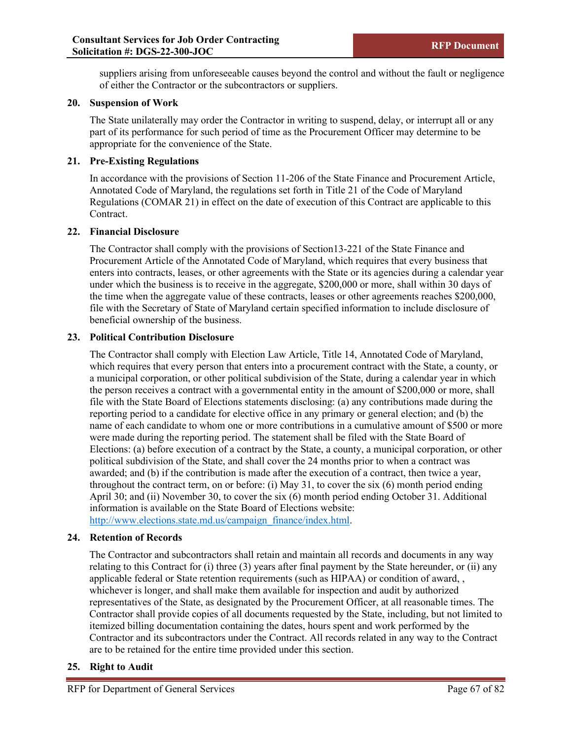suppliers arising from unforeseeable causes beyond the control and without the fault or negligence of either the Contractor or the subcontractors or suppliers.

#### **20. Suspension of Work**

The State unilaterally may order the Contractor in writing to suspend, delay, or interrupt all or any part of its performance for such period of time as the Procurement Officer may determine to be appropriate for the convenience of the State.

#### **21. Pre-Existing Regulations**

In accordance with the provisions of Section 11-206 of the State Finance and Procurement Article, Annotated Code of Maryland, the regulations set forth in Title 21 of the Code of Maryland Regulations (COMAR 21) in effect on the date of execution of this Contract are applicable to this Contract.

#### **22. Financial Disclosure**

The Contractor shall comply with the provisions of Section13-221 of the State Finance and Procurement Article of the Annotated Code of Maryland, which requires that every business that enters into contracts, leases, or other agreements with the State or its agencies during a calendar year under which the business is to receive in the aggregate, \$200,000 or more, shall within 30 days of the time when the aggregate value of these contracts, leases or other agreements reaches \$200,000, file with the Secretary of State of Maryland certain specified information to include disclosure of beneficial ownership of the business.

#### **23. Political Contribution Disclosure**

The Contractor shall comply with Election Law Article, Title 14, Annotated Code of Maryland, which requires that every person that enters into a procurement contract with the State, a county, or a municipal corporation, or other political subdivision of the State, during a calendar year in which the person receives a contract with a governmental entity in the amount of \$200,000 or more, shall file with the State Board of Elections statements disclosing: (a) any contributions made during the reporting period to a candidate for elective office in any primary or general election; and (b) the name of each candidate to whom one or more contributions in a cumulative amount of \$500 or more were made during the reporting period. The statement shall be filed with the State Board of Elections: (a) before execution of a contract by the State, a county, a municipal corporation, or other political subdivision of the State, and shall cover the 24 months prior to when a contract was awarded; and (b) if the contribution is made after the execution of a contract, then twice a year, throughout the contract term, on or before: (i) May 31, to cover the six  $(6)$  month period ending April 30; and (ii) November 30, to cover the six (6) month period ending October 31. Additional information is available on the State Board of Elections website: [http://www.elections.state.md.us/campaign\\_finance/index.html.](http://www.elections.state.md.us/campaign_finance/index.html)

#### **24. Retention of Records**

The Contractor and subcontractors shall retain and maintain all records and documents in any way relating to this Contract for (i) three (3) years after final payment by the State hereunder, or (ii) any applicable federal or State retention requirements (such as HIPAA) or condition of award, , whichever is longer, and shall make them available for inspection and audit by authorized representatives of the State, as designated by the Procurement Officer, at all reasonable times. The Contractor shall provide copies of all documents requested by the State, including, but not limited to itemized billing documentation containing the dates, hours spent and work performed by the Contractor and its subcontractors under the Contract. All records related in any way to the Contract are to be retained for the entire time provided under this section.

#### **25. Right to Audit**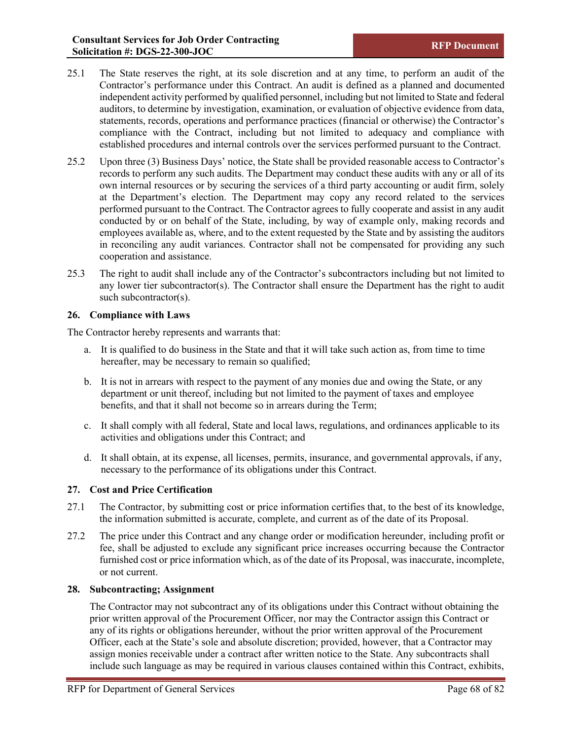- 25.1 The State reserves the right, at its sole discretion and at any time, to perform an audit of the Contractor's performance under this Contract. An audit is defined as a planned and documented independent activity performed by qualified personnel, including but not limited to State and federal auditors, to determine by investigation, examination, or evaluation of objective evidence from data, statements, records, operations and performance practices (financial or otherwise) the Contractor's compliance with the Contract, including but not limited to adequacy and compliance with established procedures and internal controls over the services performed pursuant to the Contract.
- 25.2 Upon three (3) Business Days' notice, the State shall be provided reasonable access to Contractor's records to perform any such audits. The Department may conduct these audits with any or all of its own internal resources or by securing the services of a third party accounting or audit firm, solely at the Department's election. The Department may copy any record related to the services performed pursuant to the Contract. The Contractor agrees to fully cooperate and assist in any audit conducted by or on behalf of the State, including, by way of example only, making records and employees available as, where, and to the extent requested by the State and by assisting the auditors in reconciling any audit variances. Contractor shall not be compensated for providing any such cooperation and assistance.
- 25.3 The right to audit shall include any of the Contractor's subcontractors including but not limited to any lower tier subcontractor(s). The Contractor shall ensure the Department has the right to audit such subcontractor(s).

#### **26. Compliance with Laws**

The Contractor hereby represents and warrants that:

- a. It is qualified to do business in the State and that it will take such action as, from time to time hereafter, may be necessary to remain so qualified;
- b. It is not in arrears with respect to the payment of any monies due and owing the State, or any department or unit thereof, including but not limited to the payment of taxes and employee benefits, and that it shall not become so in arrears during the Term;
- c. It shall comply with all federal, State and local laws, regulations, and ordinances applicable to its activities and obligations under this Contract; and
- d. It shall obtain, at its expense, all licenses, permits, insurance, and governmental approvals, if any, necessary to the performance of its obligations under this Contract.

#### **27. Cost and Price Certification**

- 27.1 The Contractor, by submitting cost or price information certifies that, to the best of its knowledge, the information submitted is accurate, complete, and current as of the date of its Proposal.
- 27.2 The price under this Contract and any change order or modification hereunder, including profit or fee, shall be adjusted to exclude any significant price increases occurring because the Contractor furnished cost or price information which, as of the date of its Proposal, was inaccurate, incomplete, or not current.

#### **28. Subcontracting; Assignment**

The Contractor may not subcontract any of its obligations under this Contract without obtaining the prior written approval of the Procurement Officer, nor may the Contractor assign this Contract or any of its rights or obligations hereunder, without the prior written approval of the Procurement Officer, each at the State's sole and absolute discretion; provided, however, that a Contractor may assign monies receivable under a contract after written notice to the State. Any subcontracts shall include such language as may be required in various clauses contained within this Contract, exhibits,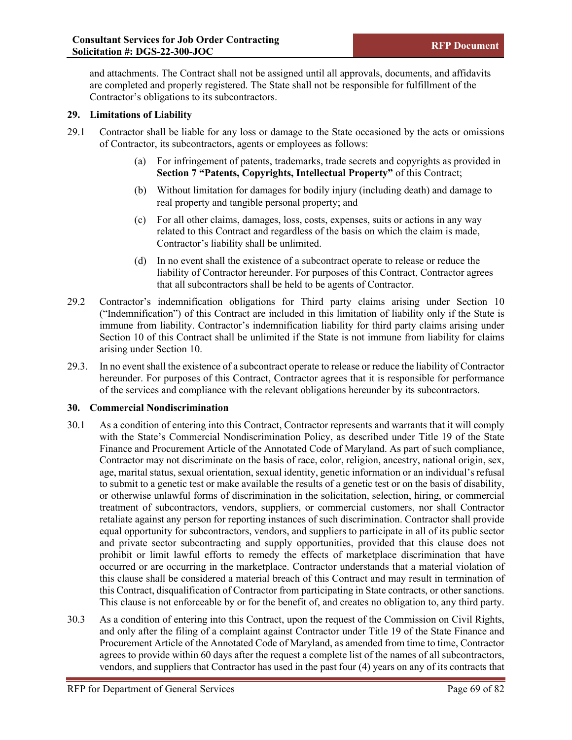and attachments. The Contract shall not be assigned until all approvals, documents, and affidavits are completed and properly registered. The State shall not be responsible for fulfillment of the Contractor's obligations to its subcontractors.

#### **29. Limitations of Liability**

- 29.1 Contractor shall be liable for any loss or damage to the State occasioned by the acts or omissions of Contractor, its subcontractors, agents or employees as follows:
	- (a) For infringement of patents, trademarks, trade secrets and copyrights as provided in **Section 7 "Patents, Copyrights, Intellectual Property"** of this Contract;
	- (b) Without limitation for damages for bodily injury (including death) and damage to real property and tangible personal property; and
	- (c) For all other claims, damages, loss, costs, expenses, suits or actions in any way related to this Contract and regardless of the basis on which the claim is made, Contractor's liability shall be unlimited.
	- (d) In no event shall the existence of a subcontract operate to release or reduce the liability of Contractor hereunder. For purposes of this Contract, Contractor agrees that all subcontractors shall be held to be agents of Contractor.
- 29.2 Contractor's indemnification obligations for Third party claims arising under Section 10 ("Indemnification") of this Contract are included in this limitation of liability only if the State is immune from liability. Contractor's indemnification liability for third party claims arising under Section 10 of this Contract shall be unlimited if the State is not immune from liability for claims arising under Section 10.
- 29.3. In no event shall the existence of a subcontract operate to release or reduce the liability of Contractor hereunder. For purposes of this Contract, Contractor agrees that it is responsible for performance of the services and compliance with the relevant obligations hereunder by its subcontractors.

#### **30. Commercial Nondiscrimination**

- 30.1 As a condition of entering into this Contract, Contractor represents and warrants that it will comply with the State's Commercial Nondiscrimination Policy, as described under Title 19 of the State Finance and Procurement Article of the Annotated Code of Maryland. As part of such compliance, Contractor may not discriminate on the basis of race, color, religion, ancestry, national origin, sex, age, marital status, sexual orientation, sexual identity, genetic information or an individual's refusal to submit to a genetic test or make available the results of a genetic test or on the basis of disability, or otherwise unlawful forms of discrimination in the solicitation, selection, hiring, or commercial treatment of subcontractors, vendors, suppliers, or commercial customers, nor shall Contractor retaliate against any person for reporting instances of such discrimination. Contractor shall provide equal opportunity for subcontractors, vendors, and suppliers to participate in all of its public sector and private sector subcontracting and supply opportunities, provided that this clause does not prohibit or limit lawful efforts to remedy the effects of marketplace discrimination that have occurred or are occurring in the marketplace. Contractor understands that a material violation of this clause shall be considered a material breach of this Contract and may result in termination of this Contract, disqualification of Contractor from participating in State contracts, or other sanctions. This clause is not enforceable by or for the benefit of, and creates no obligation to, any third party.
- 30.3 As a condition of entering into this Contract, upon the request of the Commission on Civil Rights, and only after the filing of a complaint against Contractor under Title 19 of the State Finance and Procurement Article of the Annotated Code of Maryland, as amended from time to time, Contractor agrees to provide within 60 days after the request a complete list of the names of all subcontractors, vendors, and suppliers that Contractor has used in the past four (4) years on any of its contracts that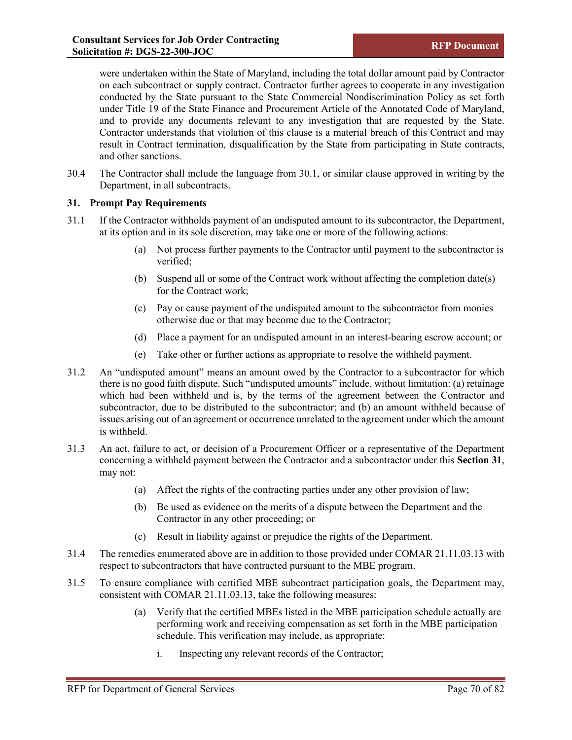were undertaken within the State of Maryland, including the total dollar amount paid by Contractor on each subcontract or supply contract. Contractor further agrees to cooperate in any investigation conducted by the State pursuant to the State Commercial Nondiscrimination Policy as set forth under Title 19 of the State Finance and Procurement Article of the Annotated Code of Maryland, and to provide any documents relevant to any investigation that are requested by the State. Contractor understands that violation of this clause is a material breach of this Contract and may result in Contract termination, disqualification by the State from participating in State contracts, and other sanctions.

30.4 The Contractor shall include the language from 30.1, or similar clause approved in writing by the Department, in all subcontracts.

#### **31. Prompt Pay Requirements**

- 31.1 If the Contractor withholds payment of an undisputed amount to its subcontractor, the Department, at its option and in its sole discretion, may take one or more of the following actions:
	- (a) Not process further payments to the Contractor until payment to the subcontractor is verified;
	- (b) Suspend all or some of the Contract work without affecting the completion date(s) for the Contract work;
	- (c) Pay or cause payment of the undisputed amount to the subcontractor from monies otherwise due or that may become due to the Contractor;
	- (d) Place a payment for an undisputed amount in an interest-bearing escrow account; or
	- (e) Take other or further actions as appropriate to resolve the withheld payment.
- 31.2 An "undisputed amount" means an amount owed by the Contractor to a subcontractor for which there is no good faith dispute. Such "undisputed amounts" include, without limitation: (a) retainage which had been withheld and is, by the terms of the agreement between the Contractor and subcontractor, due to be distributed to the subcontractor; and (b) an amount withheld because of issues arising out of an agreement or occurrence unrelated to the agreement under which the amount is withheld.
- 31.3 An act, failure to act, or decision of a Procurement Officer or a representative of the Department concerning a withheld payment between the Contractor and a subcontractor under this **Section 31**, may not:
	- (a) Affect the rights of the contracting parties under any other provision of law;
	- (b) Be used as evidence on the merits of a dispute between the Department and the Contractor in any other proceeding; or
	- (c) Result in liability against or prejudice the rights of the Department.
- 31.4 The remedies enumerated above are in addition to those provided under COMAR 21.11.03.13 with respect to subcontractors that have contracted pursuant to the MBE program.
- 31.5 To ensure compliance with certified MBE subcontract participation goals, the Department may, consistent with COMAR 21.11.03.13, take the following measures:
	- (a) Verify that the certified MBEs listed in the MBE participation schedule actually are performing work and receiving compensation as set forth in the MBE participation schedule. This verification may include, as appropriate:
		- i. Inspecting any relevant records of the Contractor;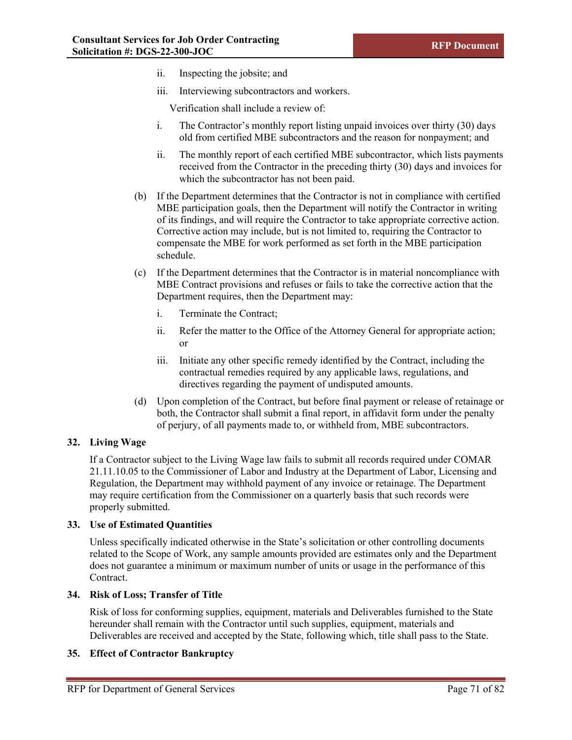- ii. Inspecting the jobsite; and
- iii. Interviewing subcontractors and workers.

Verification shall include a review of:

- i. The Contractor's monthly report listing unpaid invoices over thirty (30) days old from certified MBE subcontractors and the reason for nonpayment; and
- ii. The monthly report of each certified MBE subcontractor, which lists payments received from the Contractor in the preceding thirty (30) days and invoices for which the subcontractor has not been paid.
- (b) If the Department determines that the Contractor is not in compliance with certified MBE participation goals, then the Department will notify the Contractor in writing of its findings, and will require the Contractor to take appropriate corrective action. Corrective action may include, but is not limited to, requiring the Contractor to compensate the MBE for work performed as set forth in the MBE participation schedule.
- (c) If the Department determines that the Contractor is in material noncompliance with MBE Contract provisions and refuses or fails to take the corrective action that the Department requires, then the Department may:
	- i. Terminate the Contract;
	- ii. Refer the matter to the Office of the Attorney General for appropriate action; or
	- iii. Initiate any other specific remedy identified by the Contract, including the contractual remedies required by any applicable laws, regulations, and directives regarding the payment of undisputed amounts.
- (d) Upon completion of the Contract, but before final payment or release of retainage or both, the Contractor shall submit a final report, in affidavit form under the penalty of perjury, of all payments made to, or withheld from, MBE subcontractors.

#### **32. Living Wage**

If a Contractor subject to the Living Wage law fails to submit all records required under COMAR 21.11.10.05 to the Commissioner of Labor and Industry at the Department of Labor, Licensing and Regulation, the Department may withhold payment of any invoice or retainage. The Department may require certification from the Commissioner on a quarterly basis that such records were properly submitted.

#### **33. Use of Estimated Quantities**

Unless specifically indicated otherwise in the State's solicitation or other controlling documents related to the Scope of Work, any sample amounts provided are estimates only and the Department does not guarantee a minimum or maximum number of units or usage in the performance of this Contract.

#### **34. Risk of Loss; Transfer of Title**

Risk of loss for conforming supplies, equipment, materials and Deliverables furnished to the State hereunder shall remain with the Contractor until such supplies, equipment, materials and Deliverables are received and accepted by the State, following which, title shall pass to the State.

#### **35. Effect of Contractor Bankruptcy**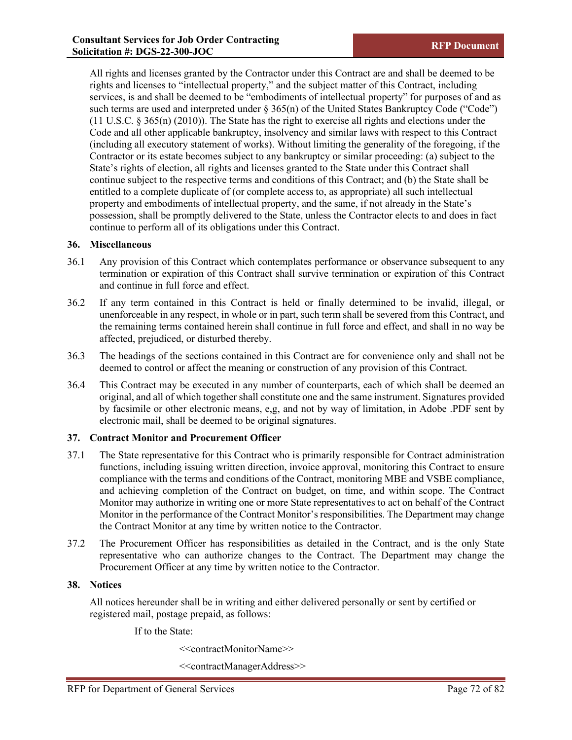All rights and licenses granted by the Contractor under this Contract are and shall be deemed to be rights and licenses to "intellectual property," and the subject matter of this Contract, including services, is and shall be deemed to be "embodiments of intellectual property" for purposes of and as such terms are used and interpreted under  $\S 365(n)$  of the United States Bankruptcy Code ("Code") (11 U.S.C. § 365(n) (2010)). The State has the right to exercise all rights and elections under the Code and all other applicable bankruptcy, insolvency and similar laws with respect to this Contract (including all executory statement of works). Without limiting the generality of the foregoing, if the Contractor or its estate becomes subject to any bankruptcy or similar proceeding: (a) subject to the State's rights of election, all rights and licenses granted to the State under this Contract shall continue subject to the respective terms and conditions of this Contract; and (b) the State shall be entitled to a complete duplicate of (or complete access to, as appropriate) all such intellectual property and embodiments of intellectual property, and the same, if not already in the State's possession, shall be promptly delivered to the State, unless the Contractor elects to and does in fact continue to perform all of its obligations under this Contract.

#### **36. Miscellaneous**

- 36.1 Any provision of this Contract which contemplates performance or observance subsequent to any termination or expiration of this Contract shall survive termination or expiration of this Contract and continue in full force and effect.
- 36.2 If any term contained in this Contract is held or finally determined to be invalid, illegal, or unenforceable in any respect, in whole or in part, such term shall be severed from this Contract, and the remaining terms contained herein shall continue in full force and effect, and shall in no way be affected, prejudiced, or disturbed thereby.
- 36.3 The headings of the sections contained in this Contract are for convenience only and shall not be deemed to control or affect the meaning or construction of any provision of this Contract.
- 36.4 This Contract may be executed in any number of counterparts, each of which shall be deemed an original, and all of which together shall constitute one and the same instrument. Signatures provided by facsimile or other electronic means, e,g, and not by way of limitation, in Adobe .PDF sent by electronic mail, shall be deemed to be original signatures.

#### **37. Contract Monitor and Procurement Officer**

- 37.1 The State representative for this Contract who is primarily responsible for Contract administration functions, including issuing written direction, invoice approval, monitoring this Contract to ensure compliance with the terms and conditions of the Contract, monitoring MBE and VSBE compliance, and achieving completion of the Contract on budget, on time, and within scope. The Contract Monitor may authorize in writing one or more State representatives to act on behalf of the Contract Monitor in the performance of the Contract Monitor's responsibilities. The Department may change the Contract Monitor at any time by written notice to the Contractor.
- 37.2 The Procurement Officer has responsibilities as detailed in the Contract, and is the only State representative who can authorize changes to the Contract. The Department may change the Procurement Officer at any time by written notice to the Contractor.

#### **38. Notices**

All notices hereunder shall be in writing and either delivered personally or sent by certified or registered mail, postage prepaid, as follows:

If to the State:

<<contractMonitorName>>

<<contractManagerAddress>>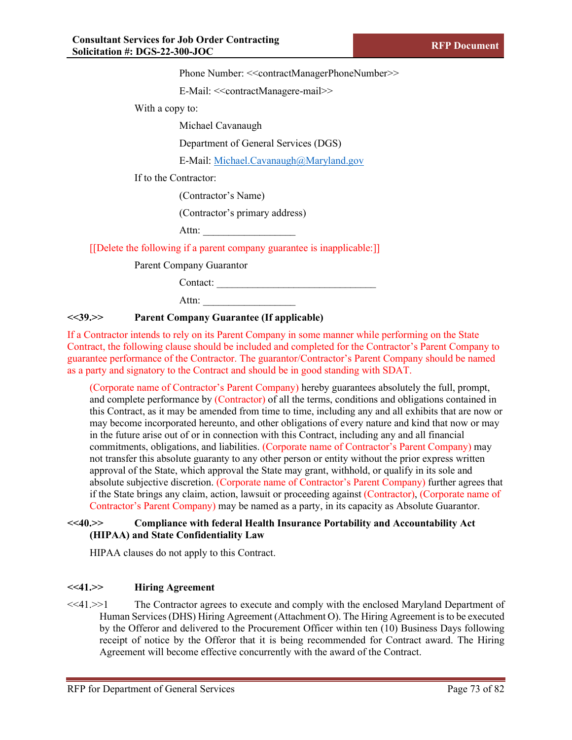Phone Number: <<<oontractManagerPhoneNumber>>

E-Mail: <<contractManagere-mail>>

With a copy to:

Michael Cavanaugh

Department of General Services (DGS)

E-Mail: [Michael.Cavanaugh@Maryland.gov](mailto:Michael.Cavanaugh@Maryland.gov) 

If to the Contractor:

(Contractor's Name)

(Contractor's primary address)

Attn:

[[Delete the following if a parent company guarantee is inapplicable:]]

Parent Company Guarantor

Contact: \_\_\_\_\_\_\_\_\_\_\_\_\_\_\_\_\_\_\_\_\_\_\_\_\_\_\_\_\_\_\_

Attn:

#### **<<39.>> Parent Company Guarantee (If applicable)**

If a Contractor intends to rely on its Parent Company in some manner while performing on the State Contract, the following clause should be included and completed for the Contractor's Parent Company to guarantee performance of the Contractor. The guarantor/Contractor's Parent Company should be named as a party and signatory to the Contract and should be in good standing with SDAT.

(Corporate name of Contractor's Parent Company) hereby guarantees absolutely the full, prompt, and complete performance by (Contractor) of all the terms, conditions and obligations contained in this Contract, as it may be amended from time to time, including any and all exhibits that are now or may become incorporated hereunto, and other obligations of every nature and kind that now or may in the future arise out of or in connection with this Contract, including any and all financial commitments, obligations, and liabilities. (Corporate name of Contractor's Parent Company) may not transfer this absolute guaranty to any other person or entity without the prior express written approval of the State, which approval the State may grant, withhold, or qualify in its sole and absolute subjective discretion. (Corporate name of Contractor's Parent Company) further agrees that if the State brings any claim, action, lawsuit or proceeding against (Contractor), (Corporate name of Contractor's Parent Company) may be named as a party, in its capacity as Absolute Guarantor.

#### **<<40.>> Compliance with federal Health Insurance Portability and Accountability Act (HIPAA) and State Confidentiality Law**

HIPAA clauses do not apply to this Contract.

#### **<<41.>> Hiring Agreement**

<<41.>>1 The Contractor agrees to execute and comply with the enclosed Maryland Department of Human Services (DHS) Hiring Agreement (Attachment O). The Hiring Agreement is to be executed by the Offeror and delivered to the Procurement Officer within ten (10) Business Days following receipt of notice by the Offeror that it is being recommended for Contract award. The Hiring Agreement will become effective concurrently with the award of the Contract.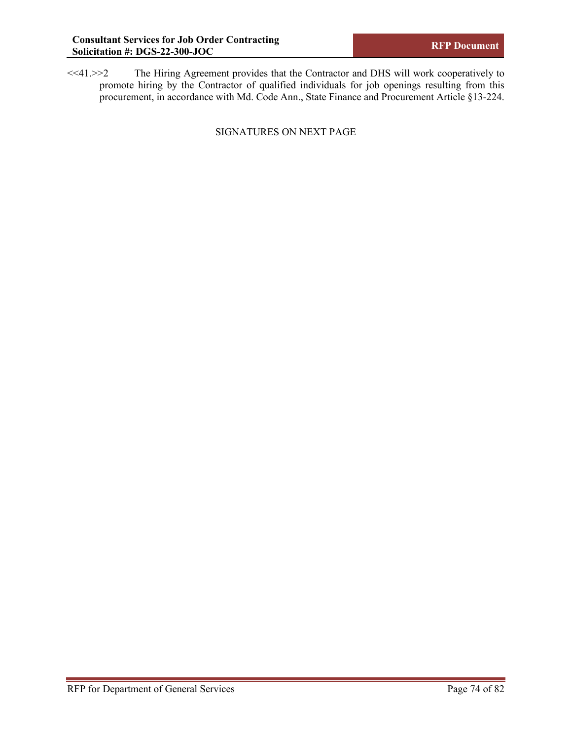<<41.>>2 The Hiring Agreement provides that the Contractor and DHS will work cooperatively to promote hiring by the Contractor of qualified individuals for job openings resulting from this procurement, in accordance with Md. Code Ann., State Finance and Procurement Article §13-224.

SIGNATURES ON NEXT PAGE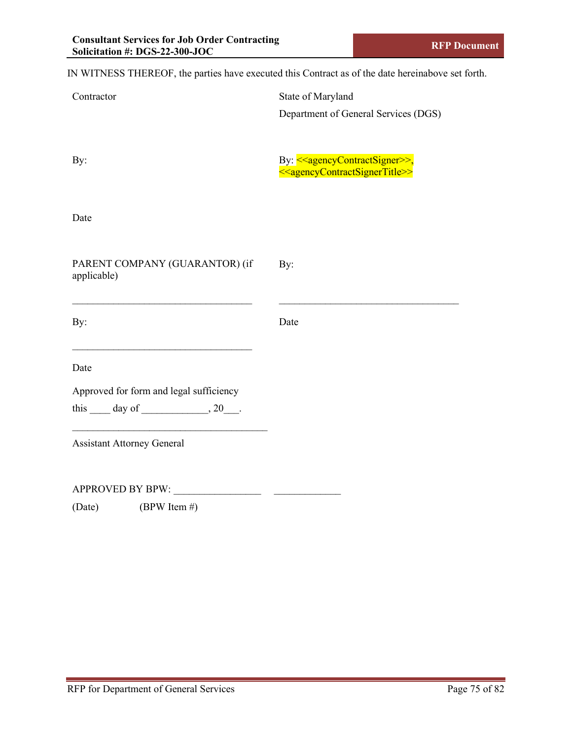IN WITNESS THEREOF, the parties have executed this Contract as of the date hereinabove set forth.

| Contractor                                           | State of Maryland                                             |
|------------------------------------------------------|---------------------------------------------------------------|
|                                                      | Department of General Services (DGS)                          |
|                                                      |                                                               |
| By:                                                  | By: < <agencycontractsigner>&gt;,</agencycontractsigner>      |
|                                                      | < <agencycontractsignertitle>&gt;</agencycontractsignertitle> |
|                                                      |                                                               |
| Date                                                 |                                                               |
|                                                      |                                                               |
| PARENT COMPANY (GUARANTOR) (if                       | By:                                                           |
| applicable)                                          |                                                               |
|                                                      |                                                               |
| By:                                                  | Date                                                          |
|                                                      |                                                               |
| Date                                                 |                                                               |
| Approved for form and legal sufficiency              |                                                               |
| this $\_\_\_$ day of $\_\_\_\_\_$ , 20 $\_\_\_\_\$ . |                                                               |
| <b>Assistant Attorney General</b>                    |                                                               |
|                                                      |                                                               |
|                                                      |                                                               |
| APPROVED BY BPW:                                     |                                                               |
| (BPW Item #)<br>(Date)                               |                                                               |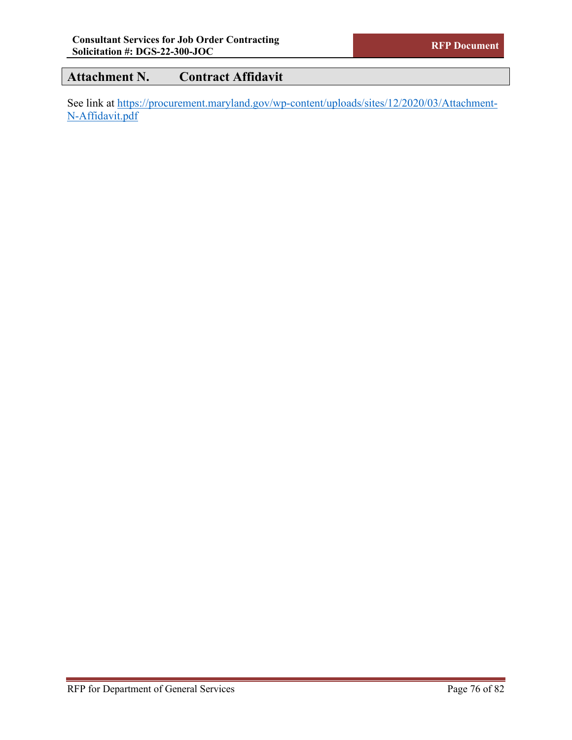# **Attachment N. Contract Affidavit**

See link at [https://procurement.maryland.gov/wp-content/uploads/sites/12/2020/03/Attachment-](https://procurement.maryland.gov/wp-content/uploads/sites/12/2020/03/Attachment-N-Affidavit.pdf)[N-Affidavit.pdf](https://procurement.maryland.gov/wp-content/uploads/sites/12/2020/03/Attachment-N-Affidavit.pdf)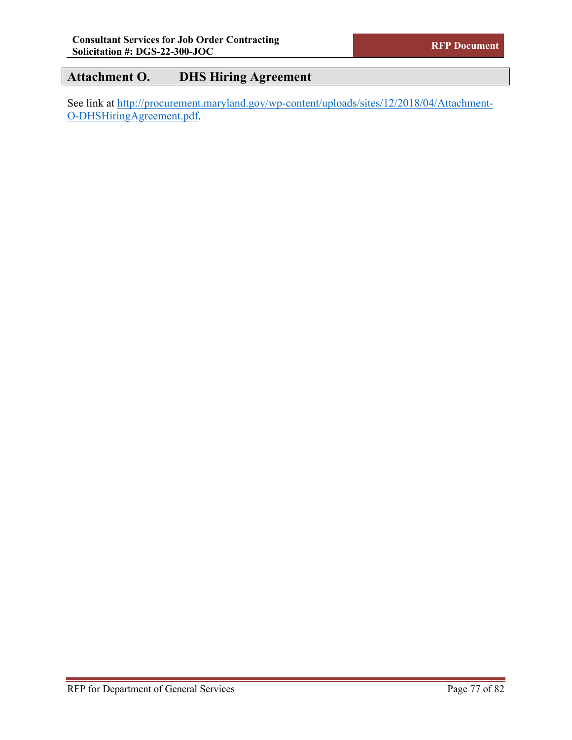### **Attachment O. DHS Hiring Agreement**

See link at [http://procurement.maryland.gov/wp-content/uploads/sites/12/2018/04/Attachment-](http://procurement.maryland.gov/wp-content/uploads/sites/12/2018/04/Attachment-O-DHSHiringAgreement.pdf)[O-DHSHiringAgreement.pdf.](http://procurement.maryland.gov/wp-content/uploads/sites/12/2018/04/Attachment-O-DHSHiringAgreement.pdf)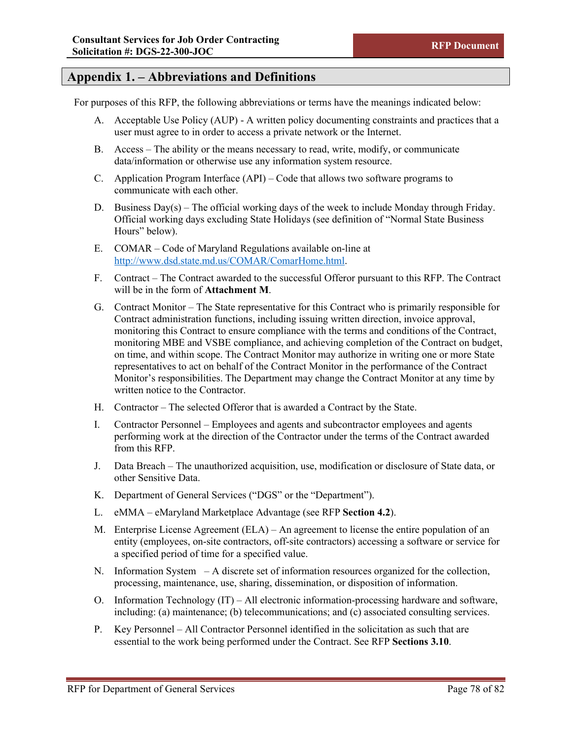### **Appendix 1. – Abbreviations and Definitions**

For purposes of this RFP, the following abbreviations or terms have the meanings indicated below:

- A. Acceptable Use Policy (AUP) A written policy documenting constraints and practices that a user must agree to in order to access a private network or the Internet.
- B. Access The ability or the means necessary to read, write, modify, or communicate data/information or otherwise use any information system resource.
- C. Application Program Interface (API) Code that allows two software programs to communicate with each other.
- D. Business  $Day(s)$  The official working days of the week to include Monday through Friday. Official working days excluding State Holidays (see definition of "Normal State Business Hours" below).
- E. COMAR Code of Maryland Regulations available on-line at [http://www.dsd.state.md.us/COMAR/ComarHome.html.](http://www.dsd.state.md.us/COMAR/ComarHome.html)
- F. Contract The Contract awarded to the successful Offeror pursuant to this RFP. The Contract will be in the form of **Attachment M**.
- G. Contract Monitor The State representative for this Contract who is primarily responsible for Contract administration functions, including issuing written direction, invoice approval, monitoring this Contract to ensure compliance with the terms and conditions of the Contract, monitoring MBE and VSBE compliance, and achieving completion of the Contract on budget, on time, and within scope. The Contract Monitor may authorize in writing one or more State representatives to act on behalf of the Contract Monitor in the performance of the Contract Monitor's responsibilities. The Department may change the Contract Monitor at any time by written notice to the Contractor.
- H. Contractor The selected Offeror that is awarded a Contract by the State.
- I. Contractor Personnel Employees and agents and subcontractor employees and agents performing work at the direction of the Contractor under the terms of the Contract awarded from this RFP.
- J. Data Breach The unauthorized acquisition, use, modification or disclosure of State data, or other Sensitive Data.
- K. Department of General Services ("DGS" or the "Department").
- L. eMMA eMaryland Marketplace Advantage (see RFP **Section 4.2**).
- M. Enterprise License Agreement (ELA) An agreement to license the entire population of an entity (employees, on-site contractors, off-site contractors) accessing a software or service for a specified period of time for a specified value.
- N. Information System A discrete set of information resources organized for the collection, processing, maintenance, use, sharing, dissemination, or disposition of information.
- O. Information Technology  $(IT) All electronic information-processing hardware and software,$ including: (a) maintenance; (b) telecommunications; and (c) associated consulting services.
- P. Key Personnel All Contractor Personnel identified in the solicitation as such that are essential to the work being performed under the Contract. See RFP **Sections 3.10**.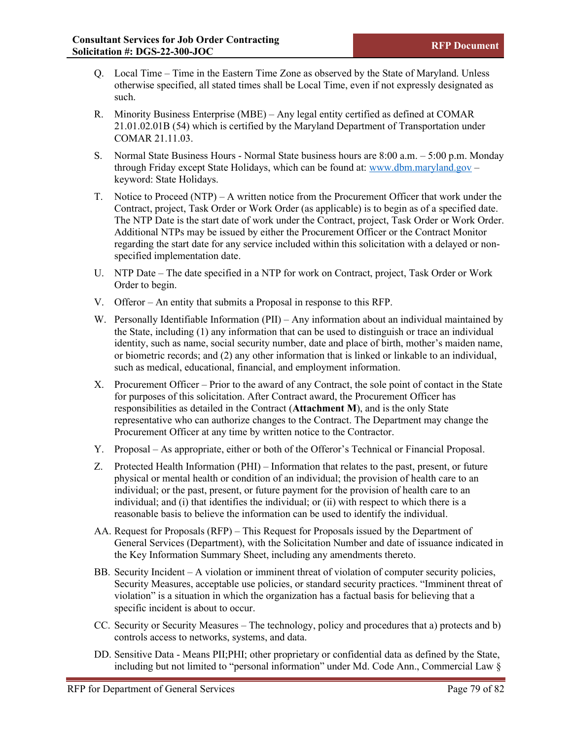- Q. Local Time Time in the Eastern Time Zone as observed by the State of Maryland. Unless otherwise specified, all stated times shall be Local Time, even if not expressly designated as such.
- R. Minority Business Enterprise (MBE) Any legal entity certified as defined at COMAR 21.01.02.01B (54) which is certified by the Maryland Department of Transportation under COMAR 21.11.03.
- S. Normal State Business Hours Normal State business hours are 8:00 a.m. 5:00 p.m. Monday through Friday except State Holidays, which can be found at: www.dbm.maryland.gov – keyword: State Holidays.
- T. Notice to Proceed (NTP) A written notice from the Procurement Officer that work under the Contract, project, Task Order or Work Order (as applicable) is to begin as of a specified date. The NTP Date is the start date of work under the Contract, project, Task Order or Work Order. Additional NTPs may be issued by either the Procurement Officer or the Contract Monitor regarding the start date for any service included within this solicitation with a delayed or nonspecified implementation date.
- U. NTP Date The date specified in a NTP for work on Contract, project, Task Order or Work Order to begin.
- V. Offeror An entity that submits a Proposal in response to this RFP.
- W. Personally Identifiable Information (PII) Any information about an individual maintained by the State, including (1) any information that can be used to distinguish or trace an individual identity, such as name, social security number, date and place of birth, mother's maiden name, or biometric records; and (2) any other information that is linked or linkable to an individual, such as medical, educational, financial, and employment information.
- X. Procurement Officer Prior to the award of any Contract, the sole point of contact in the State for purposes of this solicitation. After Contract award, the Procurement Officer has responsibilities as detailed in the Contract (**Attachment M**), and is the only State representative who can authorize changes to the Contract. The Department may change the Procurement Officer at any time by written notice to the Contractor.
- Y. Proposal As appropriate, either or both of the Offeror's Technical or Financial Proposal.
- Z. Protected Health Information (PHI) Information that relates to the past, present, or future physical or mental health or condition of an individual; the provision of health care to an individual; or the past, present, or future payment for the provision of health care to an individual; and (i) that identifies the individual; or (ii) with respect to which there is a reasonable basis to believe the information can be used to identify the individual.
- AA. Request for Proposals (RFP) This Request for Proposals issued by the Department of General Services (Department), with the Solicitation Number and date of issuance indicated in the Key Information Summary Sheet, including any amendments thereto.
- BB. Security Incident  $-A$  violation or imminent threat of violation of computer security policies, Security Measures, acceptable use policies, or standard security practices. "Imminent threat of violation" is a situation in which the organization has a factual basis for believing that a specific incident is about to occur.
- CC. Security or Security Measures The technology, policy and procedures that a) protects and b) controls access to networks, systems, and data.
- DD. Sensitive Data Means PII;PHI; other proprietary or confidential data as defined by the State, including but not limited to "personal information" under Md. Code Ann., Commercial Law §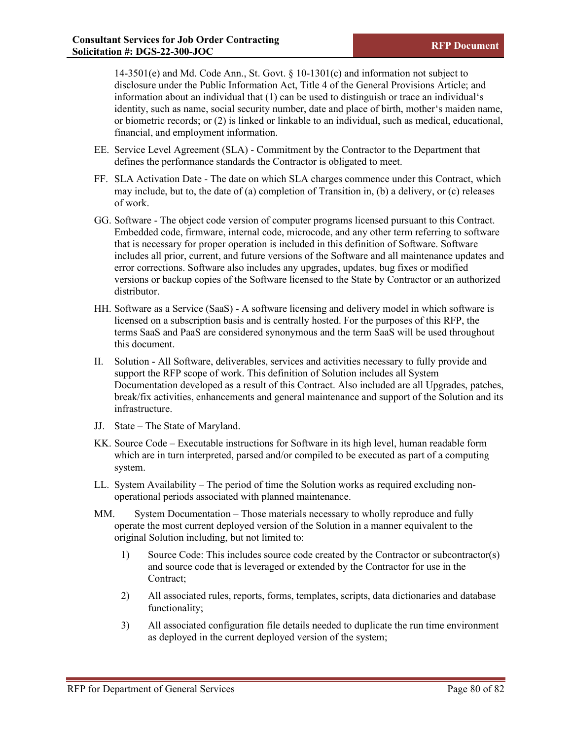14-3501(e) and Md. Code Ann., St. Govt. § 10-1301(c) and information not subject to disclosure under the Public Information Act, Title 4 of the General Provisions Article; and information about an individual that (1) can be used to distinguish or trace an individual's identity, such as name, social security number, date and place of birth, mother's maiden name, or biometric records; or (2) is linked or linkable to an individual, such as medical, educational, financial, and employment information.

- EE. Service Level Agreement (SLA) Commitment by the Contractor to the Department that defines the performance standards the Contractor is obligated to meet.
- FF. SLA Activation Date The date on which SLA charges commence under this Contract, which may include, but to, the date of (a) completion of Transition in, (b) a delivery, or (c) releases of work.
- GG. Software The object code version of computer programs licensed pursuant to this Contract. Embedded code, firmware, internal code, microcode, and any other term referring to software that is necessary for proper operation is included in this definition of Software. Software includes all prior, current, and future versions of the Software and all maintenance updates and error corrections. Software also includes any upgrades, updates, bug fixes or modified versions or backup copies of the Software licensed to the State by Contractor or an authorized distributor.
- HH. Software as a Service (SaaS) A software licensing and delivery model in which software is licensed on a subscription basis and is centrally hosted. For the purposes of this RFP, the terms SaaS and PaaS are considered synonymous and the term SaaS will be used throughout this document.
- II. Solution All Software, deliverables, services and activities necessary to fully provide and support the RFP scope of work. This definition of Solution includes all System Documentation developed as a result of this Contract. Also included are all Upgrades, patches, break/fix activities, enhancements and general maintenance and support of the Solution and its infrastructure.
- JJ. State The State of Maryland.
- KK. Source Code Executable instructions for Software in its high level, human readable form which are in turn interpreted, parsed and/or compiled to be executed as part of a computing system.
- LL. System Availability The period of time the Solution works as required excluding nonoperational periods associated with planned maintenance.
- MM. System Documentation Those materials necessary to wholly reproduce and fully operate the most current deployed version of the Solution in a manner equivalent to the original Solution including, but not limited to:
	- 1) Source Code: This includes source code created by the Contractor or subcontractor(s) and source code that is leveraged or extended by the Contractor for use in the Contract;
	- 2) All associated rules, reports, forms, templates, scripts, data dictionaries and database functionality;
	- 3) All associated configuration file details needed to duplicate the run time environment as deployed in the current deployed version of the system;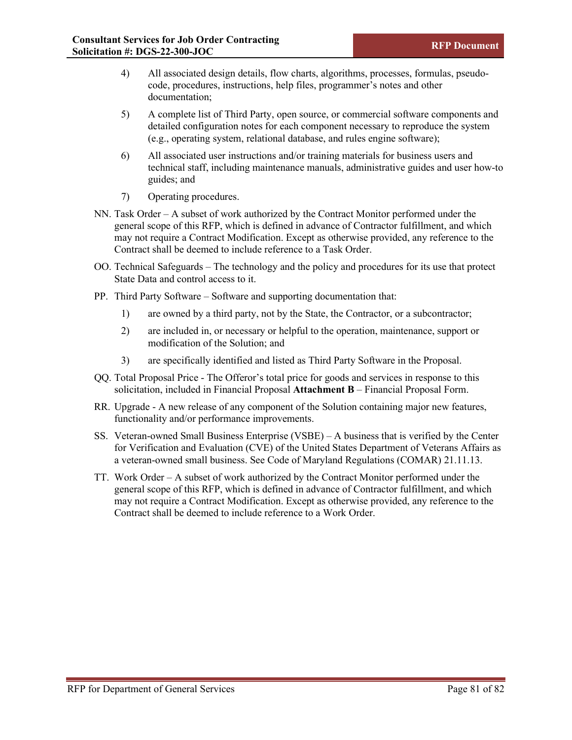- 4) All associated design details, flow charts, algorithms, processes, formulas, pseudocode, procedures, instructions, help files, programmer's notes and other documentation;
- 5) A complete list of Third Party, open source, or commercial software components and detailed configuration notes for each component necessary to reproduce the system (e.g., operating system, relational database, and rules engine software);
- 6) All associated user instructions and/or training materials for business users and technical staff, including maintenance manuals, administrative guides and user how-to guides; and
- 7) Operating procedures.
- NN. Task Order A subset of work authorized by the Contract Monitor performed under the general scope of this RFP, which is defined in advance of Contractor fulfillment, and which may not require a Contract Modification. Except as otherwise provided, any reference to the Contract shall be deemed to include reference to a Task Order.
- OO. Technical Safeguards The technology and the policy and procedures for its use that protect State Data and control access to it.
- PP. Third Party Software Software and supporting documentation that:
	- 1) are owned by a third party, not by the State, the Contractor, or a subcontractor;
	- 2) are included in, or necessary or helpful to the operation, maintenance, support or modification of the Solution; and
	- 3) are specifically identified and listed as Third Party Software in the Proposal.
- QQ. Total Proposal Price The Offeror's total price for goods and services in response to this solicitation, included in Financial Proposal **Attachment B** – Financial Proposal Form.
- RR. Upgrade A new release of any component of the Solution containing major new features, functionality and/or performance improvements.
- SS. Veteran-owned Small Business Enterprise (VSBE) A business that is verified by the Center for Verification and Evaluation (CVE) of the United States Department of Veterans Affairs as a veteran-owned small business. See Code of Maryland Regulations (COMAR) 21.11.13.
- TT. Work Order A subset of work authorized by the Contract Monitor performed under the general scope of this RFP, which is defined in advance of Contractor fulfillment, and which may not require a Contract Modification. Except as otherwise provided, any reference to the Contract shall be deemed to include reference to a Work Order.